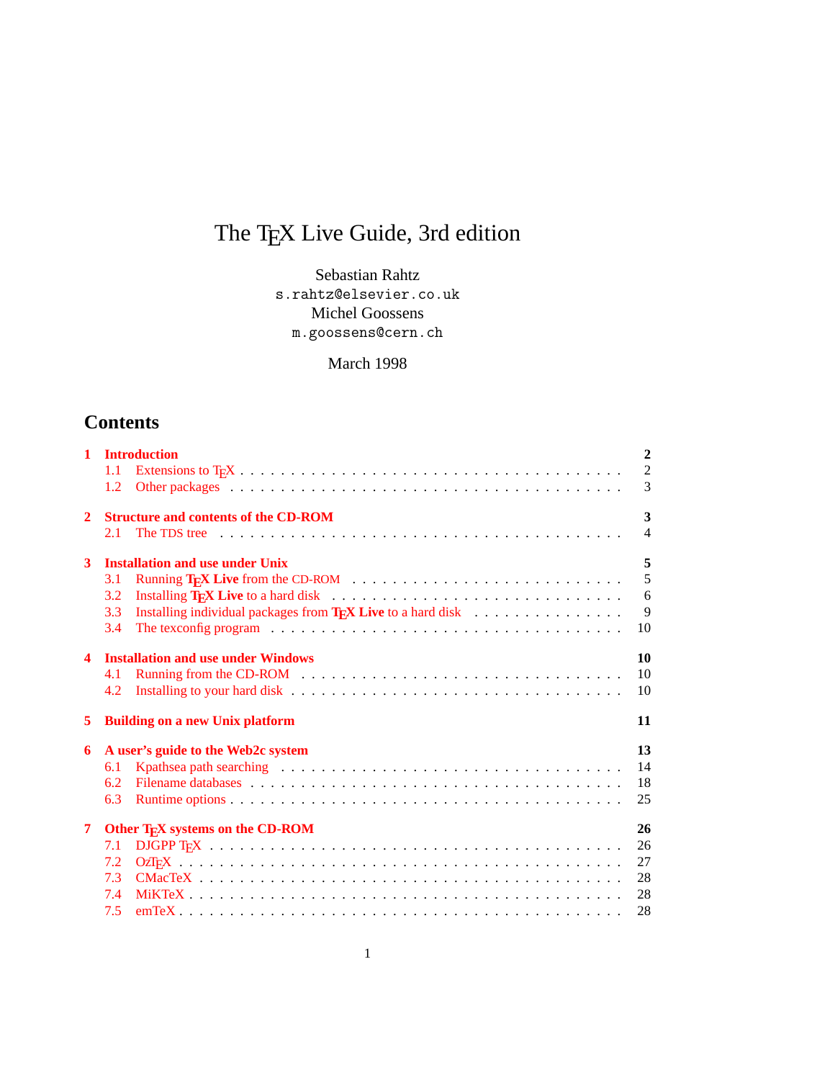# The TEX Live Guide, 3rd edition

Sebastian Rahtz s.rahtz@elsevier.co.uk Michel Goossens m.goossens@cern.ch

March 1998

## **Contents**

|                  | 1 Introduction                                                                                                                                                                                                                       | $\overline{2}$ |
|------------------|--------------------------------------------------------------------------------------------------------------------------------------------------------------------------------------------------------------------------------------|----------------|
|                  | 1.1                                                                                                                                                                                                                                  | $\overline{2}$ |
|                  | Other packages entertainment is not all the packages entertainment in the set of the packages of the set of the set of the set of the set of the set of the set of the set of the set of the set of the set of the set of the<br>1.2 | 3              |
| $\overline{2}$   | <b>Structure and contents of the CD-ROM</b>                                                                                                                                                                                          | $\overline{3}$ |
|                  |                                                                                                                                                                                                                                      | $\overline{4}$ |
| 3                | <b>Installation and use under Unix</b>                                                                                                                                                                                               | 5              |
|                  | 3.1                                                                                                                                                                                                                                  | $\overline{5}$ |
|                  | 3.2                                                                                                                                                                                                                                  | 6              |
|                  | 3.3                                                                                                                                                                                                                                  | 9              |
|                  | The texconfig program $\dots \dots \dots \dots \dots \dots \dots \dots \dots \dots \dots \dots \dots \dots$<br>3.4                                                                                                                   | 10             |
| $\blacktriangle$ | <b>Installation and use under Windows</b>                                                                                                                                                                                            | 10             |
|                  | Running from the CD-ROM $\ldots \ldots \ldots \ldots \ldots \ldots \ldots \ldots \ldots \ldots \ldots$<br>4.1                                                                                                                        | 10             |
|                  | 4.2                                                                                                                                                                                                                                  | 10             |
| 5.               | <b>Building on a new Unix platform</b>                                                                                                                                                                                               | 11             |
| 6                | A user's guide to the Web2c system                                                                                                                                                                                                   | 13             |
|                  | 6.1                                                                                                                                                                                                                                  | 14             |
|                  | 6.2                                                                                                                                                                                                                                  | 18             |
|                  | 6.3                                                                                                                                                                                                                                  | 25             |
| 7                | Other T <sub>E</sub> X systems on the CD-ROM                                                                                                                                                                                         | 26             |
|                  | $\widehat{\mathrm{DJGPP}}$ T <sub>F</sub> X $\ldots$ $\ldots$ $\ldots$ $\ldots$ $\ldots$ $\ldots$ $\ldots$ $\ldots$ $\ldots$ $\ldots$ $\ldots$ $\ldots$ $\ldots$ $\ldots$<br>7.1                                                     | 26             |
|                  | 7.2                                                                                                                                                                                                                                  | 27             |
|                  | 7.3                                                                                                                                                                                                                                  | 28             |
|                  | 7.4                                                                                                                                                                                                                                  | 28             |
|                  | 7.5                                                                                                                                                                                                                                  | 28             |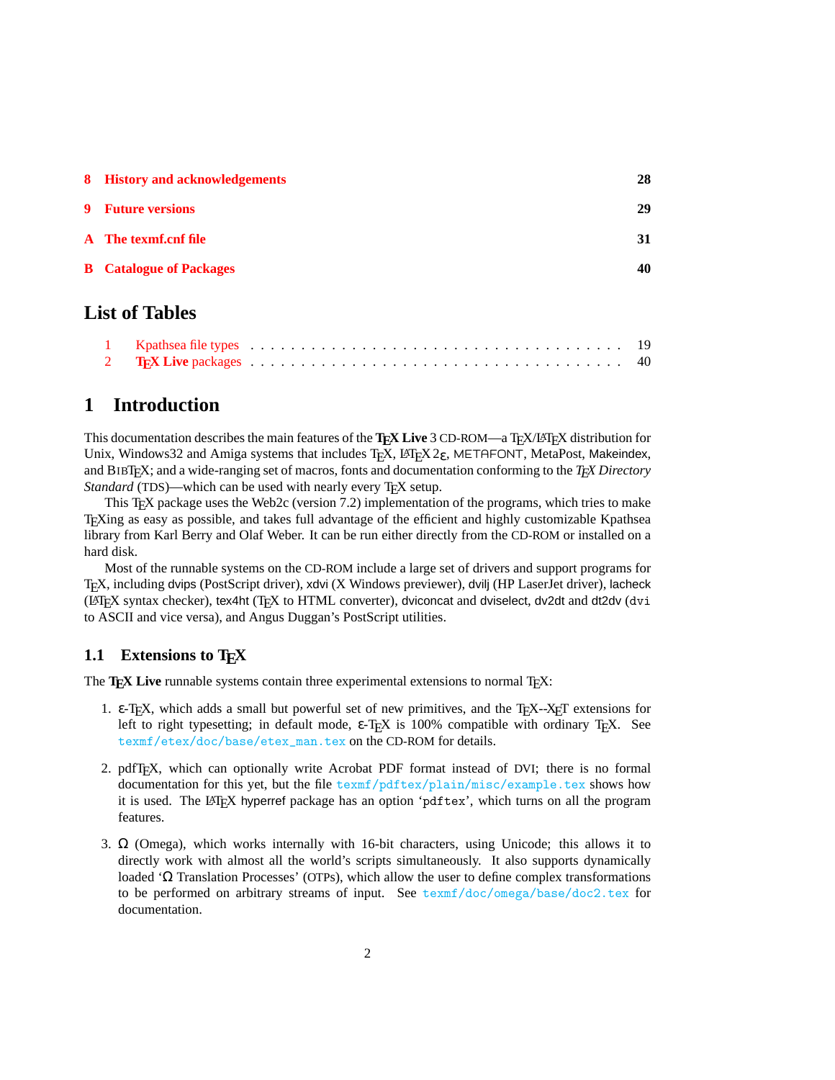<span id="page-1-0"></span>

| <b>List of Tables</b>          |    |
|--------------------------------|----|
| <b>B</b> Catalogue of Packages | 40 |
| A The texmf.cnf file           | 31 |
| <b>9</b> Future versions       | 29 |
| 8 History and acknowledgements | 28 |

## **1 Introduction**

This documentation describes the main features of the **T<sub>EX</sub> Live** 3 CD-ROM—a T<sub>EX</sub>/L<sub>ATEX</sub> distribution for Unix, Windows32 and Amiga systems that includes T<sub>E</sub>X, LAT<sub>E</sub>X 2<sub>ε</sub>, METAFONT, MetaPost, Makeindex, and BIBTEX; and a wide-ranging set of macros, fonts and documentation conforming to the *TEX Directory Standard* (TDS)—which can be used with nearly every T<sub>E</sub>X setup.

This TEX package uses the Web2c (version 7.2) implementation of the programs, which tries to make TEXing as easy as possible, and takes full advantage of the efficient and highly customizable Kpathsea library from Karl Berry and Olaf Weber. It can be run either directly from the CD-ROM or installed on a hard disk.

Most of the runnable systems on the CD-ROM include a large set of drivers and support programs for TEX, including dvips (PostScript driver), xdvi (X Windows previewer), dvilj (HP LaserJet driver), lacheck (LATEX syntax checker), tex4ht (TEX to HTML converter), dviconcat and dviselect, dv2dt and dt2dv (dvi to ASCII and vice versa), and Angus Duggan's PostScript utilities.

## **1.1** Extensions to T<sub>E</sub>X

The TEX Live runnable systems contain three experimental extensions to normal TEX:

- 1. ε-TEX, which adds a small but powerful set of new primitives, and the TEX--XET extensions for left to right typesetting; in default mode,  $\varepsilon$ -T<sub>E</sub>X is 100% compatible with ordinary T<sub>E</sub>X. See texmf/etex/doc/base/etex\_man.tex on the CD-ROM for details.
- 2. pdfTEX, which can optionally write Acrobat PDF format instead of DVI; there is no formal documentation for this yet, but the file texmf/pdftex/plain/misc/example.tex shows how it is used. The LATEX hyperref package has an option 'pdftex', which turns on all the program features.
- 3.  $\Omega$  (Omega), which works internally with 16-bit characters, using Unicode; this allows it to directly work with almost all the world's scripts simultaneously. It also supports dynamically loaded 'Ω Translation Processes' (OTPs), which allow the user to define complex transformations to be performed on arbitrary streams of input. See texmf/doc/omega/base/doc2.tex for documentation.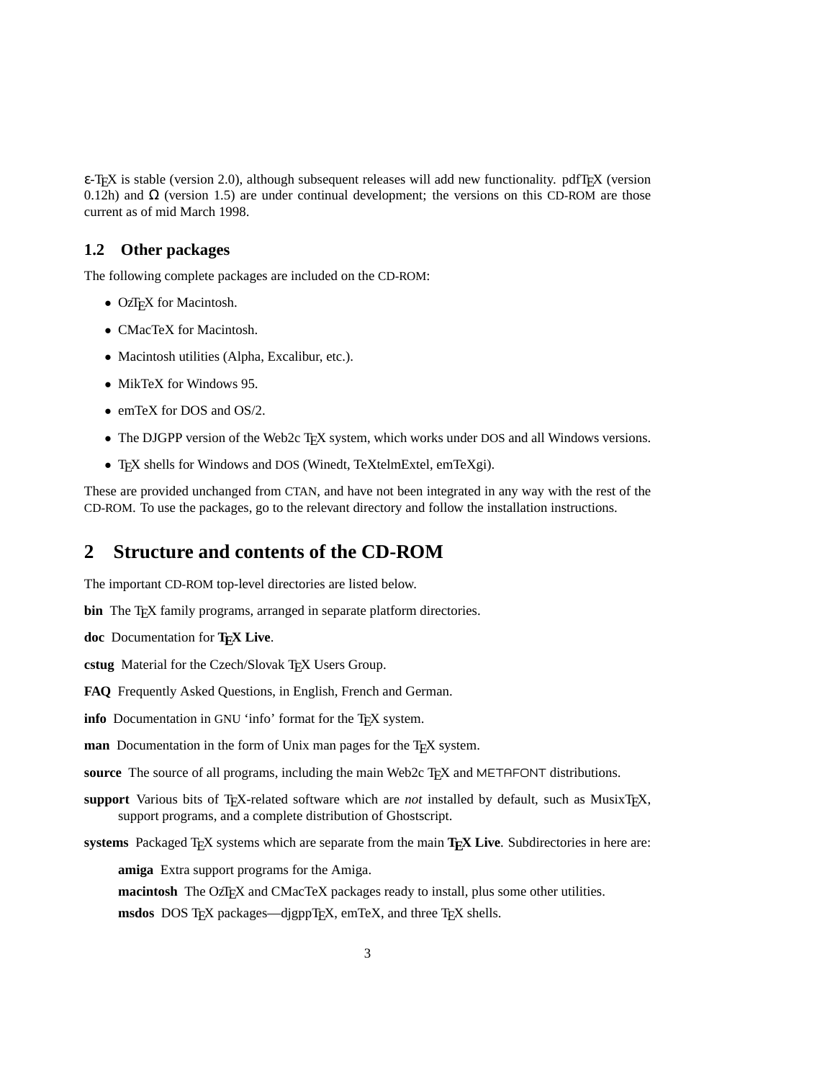<span id="page-2-0"></span>ε-TEX is stable (version 2.0), although subsequent releases will add new functionality. pdfTEX (version 0.12h) and  $\Omega$  (version 1.5) are under continual development; the versions on this CD-ROM are those current as of mid March 1998.

### **1.2 Other packages**

The following complete packages are included on the CD-ROM:

- OzTEX for Macintosh.
- CMacTeX for Macintosh.
- Macintosh utilities (Alpha, Excalibur, etc.).
- MikTeX for Windows 95.
- emTeX for DOS and OS/2.
- The DJGPP version of the Web2c T<sub>EX</sub> system, which works under DOS and all Windows versions.
- TEX shells for Windows and DOS (Winedt, TeXtelmExtel, emTeXgi).

These are provided unchanged from CTAN, and have not been integrated in any way with the rest of the CD-ROM. To use the packages, go to the relevant directory and follow the installation instructions.

## **2 Structure and contents of the CD-ROM**

The important CD-ROM top-level directories are listed below.

**bin** The T<sub>E</sub>X family programs, arranged in separate platform directories.

doc Documentation for **TEX Live**.

cstug Material for the Czech/Slovak T<sub>E</sub>X Users Group.

**FAQ** Frequently Asked Questions, in English, French and German.

info Documentation in GNU 'info' format for the TEX system.

**man** Documentation in the form of Unix man pages for the T<sub>E</sub>X system.

**source** The source of all programs, including the main Web2c T<sub>E</sub>X and METAFONT distributions.

**support** Various bits of TEX-related software which are *not* installed by default, such as MusixTEX, support programs, and a complete distribution of Ghostscript.

systems Packaged T<sub>E</sub>X systems which are separate from the main T<sub>E</sub>X Live. Subdirectories in here are:

**amiga** Extra support programs for the Amiga.

macintosh The OzT<sub>E</sub>X and CMacTeX packages ready to install, plus some other utilities.

msdos DOS TEX packages-djgppTEX, emTeX, and three TEX shells.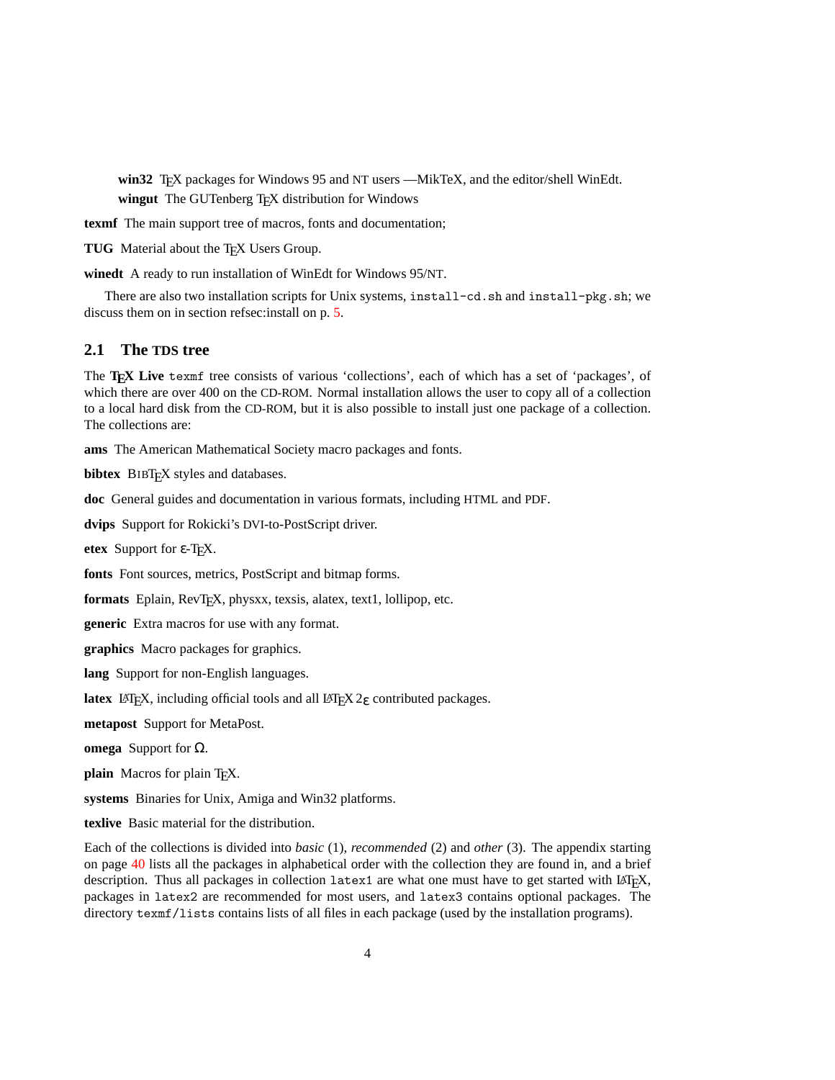<span id="page-3-0"></span>win32 T<sub>E</sub>X packages for Windows 95 and NT users —MikTeX, and the editor/shell WinEdt. wingut The GUTenberg T<sub>E</sub>X distribution for Windows

**texmf** The main support tree of macros, fonts and documentation;

TUG Material about the TEX Users Group.

**winedt** A ready to run installation of WinEdt for Windows 95/NT.

There are also two installation scripts for Unix systems, install-cd.sh and install-pkg.sh; we discuss them on in section refsec:install on p. [5.](#page-4-0)

#### **2.1 The TDS tree**

The **TEX Live** texmf tree consists of various 'collections', each of which has a set of 'packages', of which there are over 400 on the CD-ROM. Normal installation allows the user to copy all of a collection to a local hard disk from the CD-ROM, but it is also possible to install just one package of a collection. The collections are:

**ams** The American Mathematical Society macro packages and fonts.

**bibtex** BIBT<sub>E</sub>X styles and databases.

**doc** General guides and documentation in various formats, including HTML and PDF.

**dvips** Support for Rokicki's DVI-to-PostScript driver.

**etex** Support for ε-TEX.

**fonts** Font sources, metrics, PostScript and bitmap forms.

formats Eplain, RevT<sub>E</sub>X, physxx, texsis, alatex, text1, lollipop, etc.

**generic** Extra macros for use with any format.

**graphics** Macro packages for graphics.

**lang** Support for non-English languages.

**latex** LAT<sub>E</sub>X, including official tools and all LAT<sub>E</sub>X 2 $_{\epsilon}$  contributed packages.

**metapost** Support for MetaPost.

**omega** Support for Ω.

**plain** Macros for plain T<sub>E</sub>X.

**systems** Binaries for Unix, Amiga and Win32 platforms.

**texlive** Basic material for the distribution.

Each of the collections is divided into *basic* (1), *recommended* (2) and *other* (3). The appendix starting on page [40](#page-39-0) lists all the packages in alphabetical order with the collection they are found in, and a brief description. Thus all packages in collection latex1 are what one must have to get started with LATEX, packages in latex2 are recommended for most users, and latex3 contains optional packages. The directory texmf/lists contains lists of all files in each package (used by the installation programs).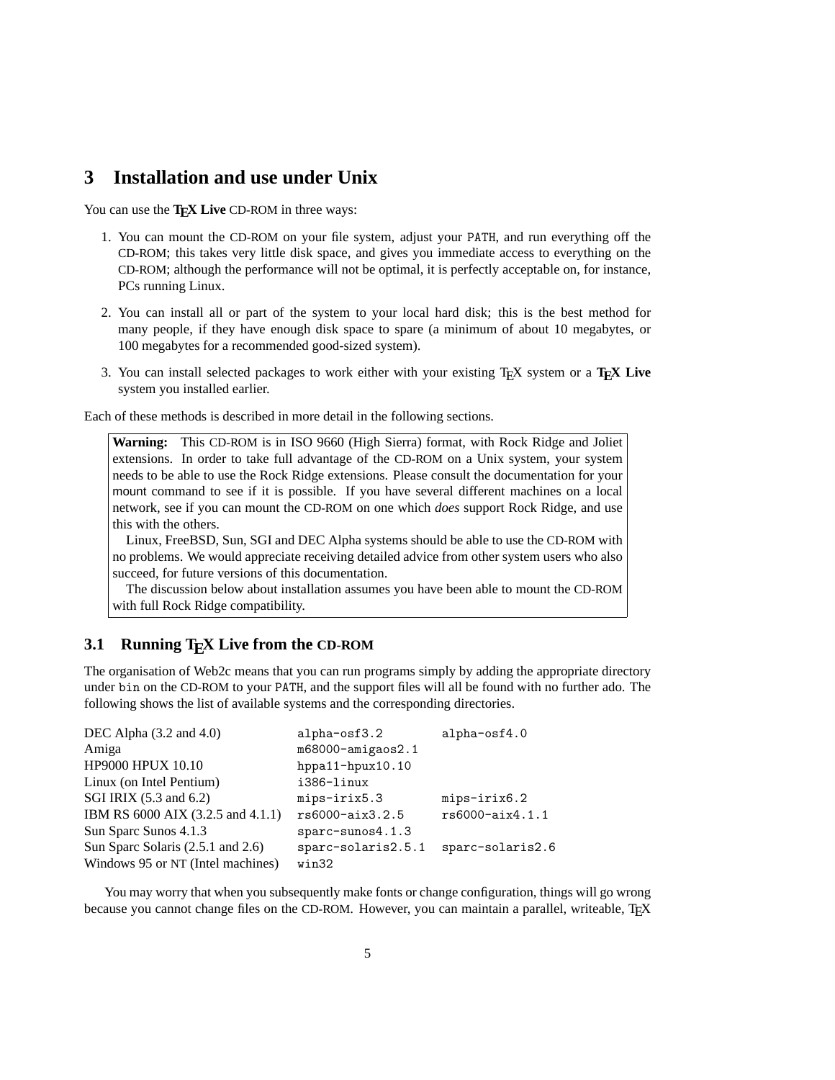## <span id="page-4-0"></span>**3 Installation and use under Unix**

You can use the TEX Live CD-ROM in three ways:

- 1. You can mount the CD-ROM on your file system, adjust your PATH, and run everything off the CD-ROM; this takes very little disk space, and gives you immediate access to everything on the CD-ROM; although the performance will not be optimal, it is perfectly acceptable on, for instance, PCs running Linux.
- 2. You can install all or part of the system to your local hard disk; this is the best method for many people, if they have enough disk space to spare (a minimum of about 10 megabytes, or 100 megabytes for a recommended good-sized system).
- 3. You can install selected packages to work either with your existing TEX system or a **TEX Live** system you installed earlier.

Each of these methods is described in more detail in the following sections.

**Warning:** This CD-ROM is in ISO 9660 (High Sierra) format, with Rock Ridge and Joliet extensions. In order to take full advantage of the CD-ROM on a Unix system, your system needs to be able to use the Rock Ridge extensions. Please consult the documentation for your mount command to see if it is possible. If you have several different machines on a local network, see if you can mount the CD-ROM on one which *does* support Rock Ridge, and use this with the others.

Linux, FreeBSD, Sun, SGI and DEC Alpha systems should be able to use the CD-ROM with no problems. We would appreciate receiving detailed advice from other system users who also succeed, for future versions of this documentation.

The discussion below about installation assumes you have been able to mount the CD-ROM with full Rock Ridge compatibility.

## **3.1 Running T<sub>E</sub>X Live from the CD-ROM**

The organisation of Web2c means that you can run programs simply by adding the appropriate directory under bin on the CD-ROM to your PATH, and the support files will all be found with no further ado. The following shows the list of available systems and the corresponding directories.

| DEC Alpha $(3.2 \text{ and } 4.0)$ | alpha-osf3.2            | alpha-osf4.0     |
|------------------------------------|-------------------------|------------------|
| Amiga                              | $m68000$ -amigaos $2.1$ |                  |
| <b>HP9000 HPUX 10.10</b>           | $hppa11-hpux10.10$      |                  |
| Linux (on Intel Pentium)           | i386-linux              |                  |
| SGI IRIX (5.3 and 6.2)             | mips-irix5.3            | mips-irix6.2     |
| IBM RS 6000 AIX (3.2.5 and 4.1.1)  | rs6000-aix3.2.5         | rs6000-aix4.1.1  |
| Sun Sparc Sunos 4.1.3              | $sprc$ -sunos $4.1.3$   |                  |
| Sun Sparc Solaris (2.5.1 and 2.6)  | sparc-solaris2.5.1      | sparc-solaris2.6 |
| Windows 95 or NT (Intel machines)  | win32                   |                  |

You may worry that when you subsequently make fonts or change configuration, things will go wrong because you cannot change files on the CD-ROM. However, you can maintain a parallel, writeable, T<sub>EX</sub>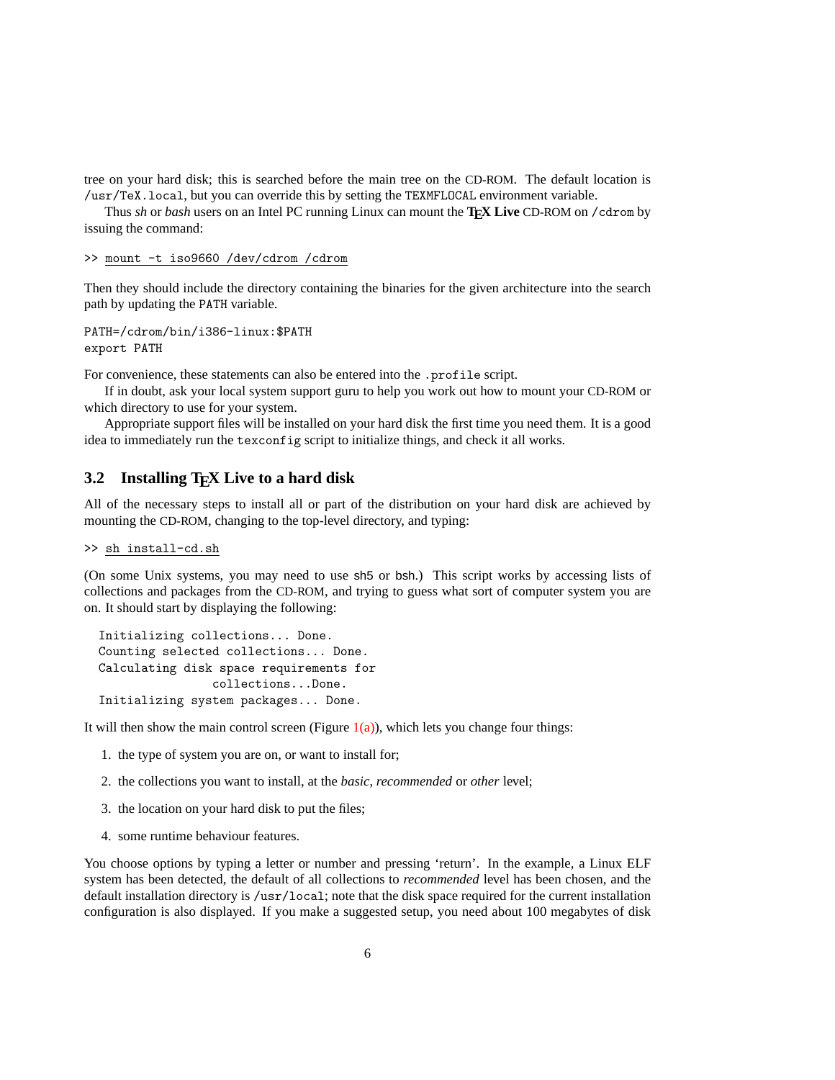<span id="page-5-0"></span>tree on your hard disk; this is searched before the main tree on the CD-ROM. The default location is /usr/TeX.local, but you can override this by setting the TEXMFLOCAL environment variable.

Thus *sh* or *bash* users on an Intel PC running Linux can mount the **TEX Live** CD-ROM on /cdrom by issuing the command:

#### >> mount -t iso9660 /dev/cdrom /cdrom

Then they should include the directory containing the binaries for the given architecture into the search path by updating the PATH variable.

```
PATH=/cdrom/bin/i386-linux:$PATH
export PATH
```
For convenience, these statements can also be entered into the .profile script.

If in doubt, ask your local system support guru to help you work out how to mount your CD-ROM or which directory to use for your system.

Appropriate support files will be installed on your hard disk the first time you need them. It is a good idea to immediately run the texconfig script to initialize things, and check it all works.

#### **3.2 Installing TEX Live to a hard disk**

All of the necessary steps to install all or part of the distribution on your hard disk are achieved by mounting the CD-ROM, changing to the top-level directory, and typing:

>> sh install-cd.sh

(On some Unix systems, you may need to use sh5 or bsh.) This script works by accessing lists of collections and packages from the CD-ROM, and trying to guess what sort of computer system you are on. It should start by displaying the following:

Initializing collections... Done. Counting selected collections... Done. Calculating disk space requirements for collections...Done. Initializing system packages... Done.

It will then show the main control screen (Figure  $1(a)$ ), which lets you change four things:

- 1. the type of system you are on, or want to install for;
- 2. the collections you want to install, at the *basic*, *recommended* or *other* level;
- 3. the location on your hard disk to put the files;
- 4. some runtime behaviour features.

You choose options by typing a letter or number and pressing 'return'. In the example, a Linux ELF system has been detected, the default of all collections to *recommended* level has been chosen, and the default installation directory is /usr/local; note that the disk space required for the current installation configuration is also displayed. If you make a suggested setup, you need about 100 megabytes of disk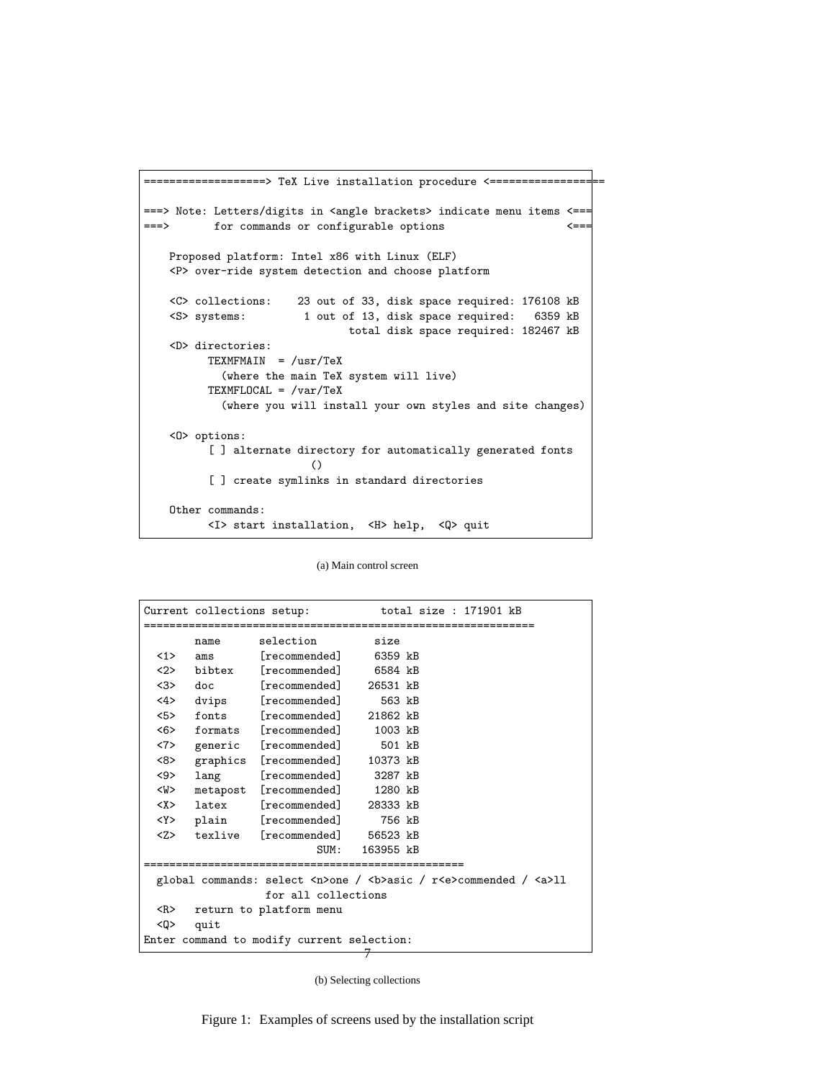```
===================> TeX Live installation procedure <==================
===> Note: Letters/digits in <angle brackets> indicate menu items <==
===> for commands or configurable options <===
   Proposed platform: Intel x86 with Linux (ELF)
   <P> over-ride system detection and choose platform
   <C> collections: 23 out of 33, disk space required: 176108 kB
   <S> systems: 1 out of 13, disk space required: 6359 kB
                              total disk space required: 182467 kB
   <D> directories:
         TEXMFMAIN = /usr/TeX
           (where the main TeX system will live)
         TEXMFLOCAL = /var/TeX
           (where you will install your own styles and site changes)
   <O> options:
         [ ] alternate directory for automatically generated fonts
                         ()
         [ ] create symlinks in standard directories
   Other commands:
         <I> start installation, <H> help, <Q> quit
```
(a) Main control screen

| Current collections setup:                                                                            |                                 |                                 | total size : 171901 kB |  |  |
|-------------------------------------------------------------------------------------------------------|---------------------------------|---------------------------------|------------------------|--|--|
|                                                                                                       | selection<br>name               |                                 | size                   |  |  |
| $\langle 1 \rangle$                                                                                   | ams                             | [recommended]                   | 6359 kB                |  |  |
|                                                                                                       | <2> bibtex                      | [recommended]                   | 6584 kB                |  |  |
| $\langle 3 \rangle$ doc                                                                               |                                 | [recommended]                   | 26531 kB               |  |  |
| 4                                                                                                     | dvips                           | [reconnected]                   | 563 kB                 |  |  |
| 5                                                                                                     | fonts                           | [recommended]                   | 21862 kB               |  |  |
| <6>                                                                                                   |                                 | formats [recommended]           | 1003 kB                |  |  |
| < 7                                                                                                   | generic                         | [recommended]                   | 501 kB                 |  |  |
| <8>                                                                                                   | graphics                        | [recommended]                   | 10373 kB               |  |  |
| $9$                                                                                                   | lang                            | $\lbrack$ recommended $\rbrack$ | 3287 kB                |  |  |
| <w></w>                                                                                               |                                 | metapost [recommended]          | 1280 kB                |  |  |
|                                                                                                       | $<\chi>$ latex                  | [recommended]                   | 28333 kB               |  |  |
|                                                                                                       | <y> plain [recommended]</y>     |                                 | 756 kB                 |  |  |
|                                                                                                       | $<$ Z><br>texlive [recommended] |                                 | 56523 kB               |  |  |
| SUM:                                                                                                  |                                 |                                 | 163955 kB              |  |  |
|                                                                                                       |                                 |                                 |                        |  |  |
| global commands: select <n>one / <br/> <br/>b&gt;asic / r<e>&gt;r<e>commended / <a>ll</a></e></e></n> |                                 |                                 |                        |  |  |
| for all collections                                                                                   |                                 |                                 |                        |  |  |
| $<\mathbb{R}>$                                                                                        | return to platform menu         |                                 |                        |  |  |
| <q></q>                                                                                               | quit                            |                                 |                        |  |  |
| Enter command to modify current selection:                                                            |                                 |                                 |                        |  |  |
|                                                                                                       |                                 |                                 |                        |  |  |

(b) Selecting collections

Figure 1: Examples of screens used by the installation script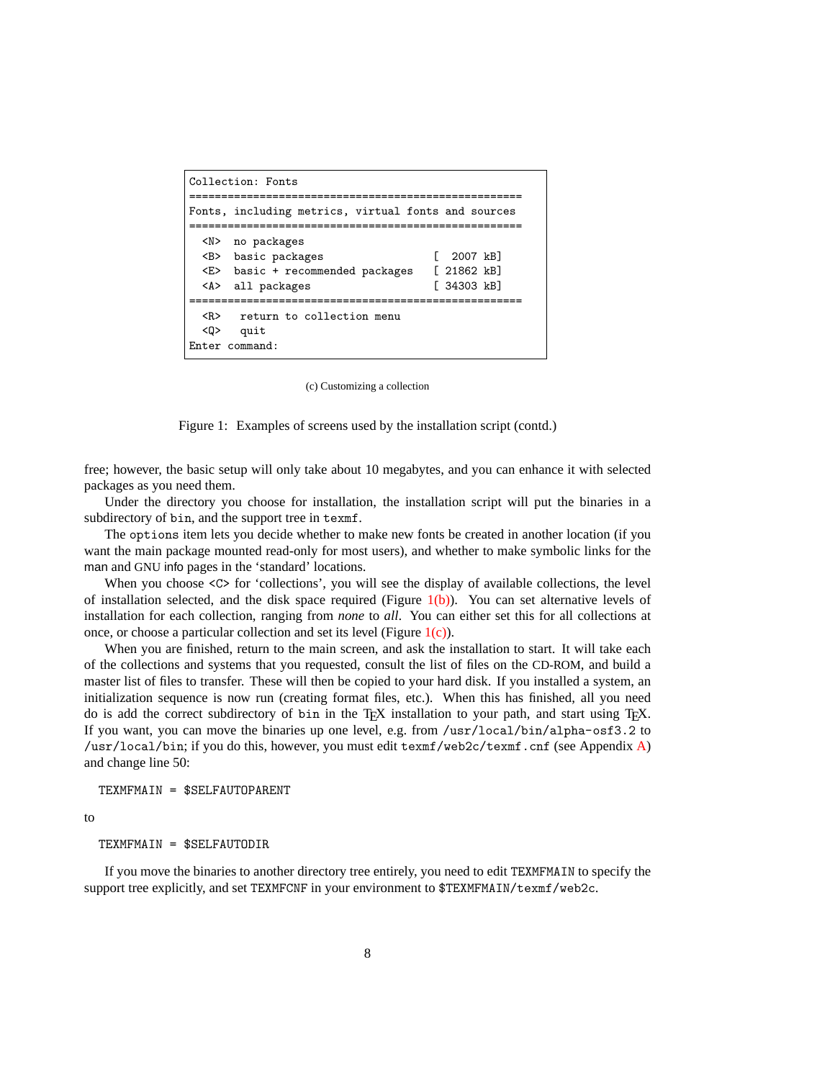```
Collection: Fonts
====================================================
Fonts, including metrics, virtual fonts and sources
====================================================
 <N> no packages
 <B> basic packages [ 2007 kB]
 <E> basic + recommended packages [ 21862 kB]
 <A> all packages [ 34303 kB]
====================================================
  <R> return to collection menu
  <Q> quit
Enter command:
```
(c) Customizing a collection

Figure 1: Examples of screens used by the installation script (contd.)

free; however, the basic setup will only take about 10 megabytes, and you can enhance it with selected packages as you need them.

Under the directory you choose for installation, the installation script will put the binaries in a subdirectory of bin, and the support tree in texmf.

The options item lets you decide whether to make new fonts be created in another location (if you want the main package mounted read-only for most users), and whether to make symbolic links for the man and GNU info pages in the 'standard' locations.

When you choose <C> for 'collections', you will see the display of available collections, the level of installation selected, and the disk space required (Figure  $1(b)$ ). You can set alternative levels of installation for each collection, ranging from *none* to *all*. You can either set this for all collections at once, or choose a particular collection and set its level (Figure  $1(c)$ ).

When you are finished, return to the main screen, and ask the installation to start. It will take each of the collections and systems that you requested, consult the list of files on the CD-ROM, and build a master list of files to transfer. These will then be copied to your hard disk. If you installed a system, an initialization sequence is now run (creating format files, etc.). When this has finished, all you need do is add the correct subdirectory of bin in the T<sub>E</sub>X installation to your path, and start using T<sub>E</sub>X. If you want, you can move the binaries up one level, e.g. from /usr/local/bin/alpha-osf3.2 to /usr/local/bin; if you do this, however, you must edit texmf/web2c/texmf.cnf (see Appendix [A](#page-30-0)) and change line 50:

TEXMFMAIN = \$SELFAUTOPARENT

to

TEXMFMAIN = \$SELFAUTODIR

If you move the binaries to another directory tree entirely, you need to edit TEXMFMAIN to specify the support tree explicitly, and set TEXMFCNF in your environment to \$TEXMFMAIN/texmf/web2c.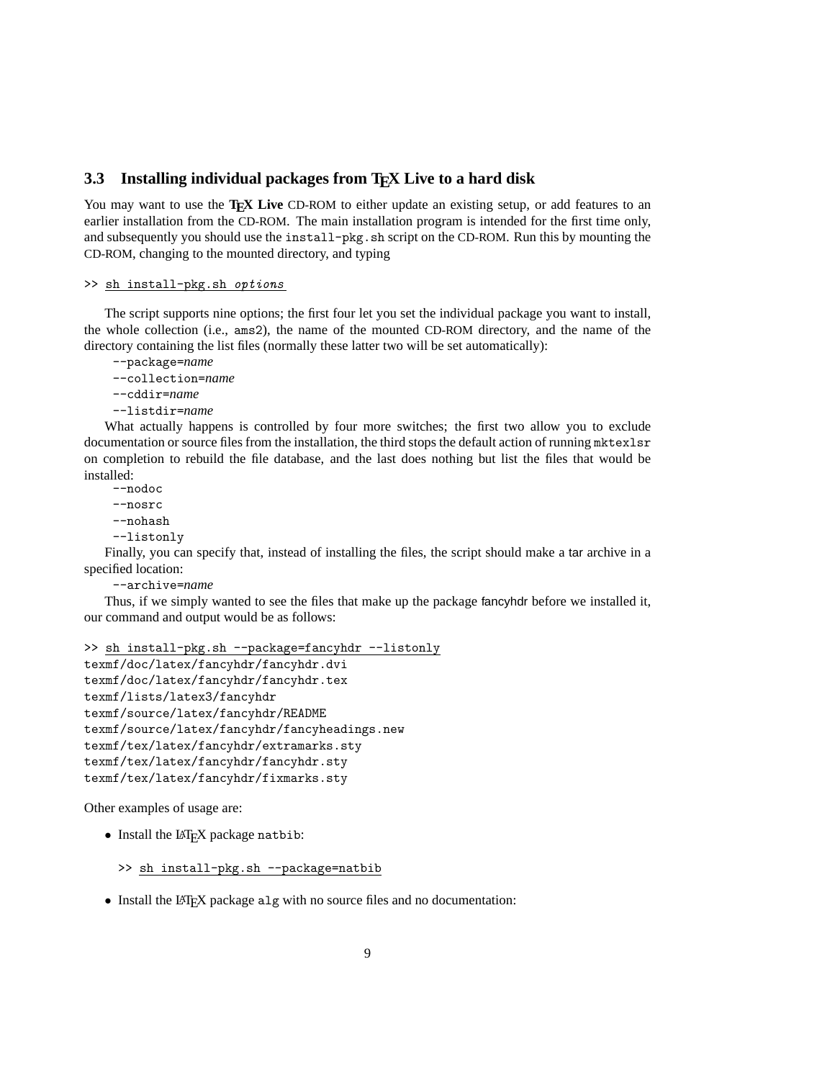### <span id="page-8-0"></span>**3.3 Installing individual packages from TEX Live to a hard disk**

You may want to use the **TEX Live** CD-ROM to either update an existing setup, or add features to an earlier installation from the CD-ROM. The main installation program is intended for the first time only, and subsequently you should use the install-pkg.sh script on the CD-ROM. Run this by mounting the CD-ROM, changing to the mounted directory, and typing

#### >> sh install-pkg.sh options

The script supports nine options; the first four let you set the individual package you want to install, the whole collection (i.e., ams2), the name of the mounted CD-ROM directory, and the name of the directory containing the list files (normally these latter two will be set automatically):

```
--package=name
--collection=name
--cddir=name
--listdir=name
```
What actually happens is controlled by four more switches; the first two allow you to exclude documentation or source files from the installation, the third stops the default action of running mktexlsr on completion to rebuild the file database, and the last does nothing but list the files that would be installed:

--nodoc

--nosrc

--nohash --listonly

Finally, you can specify that, instead of installing the files, the script should make a tar archive in a specified location:

--archive=*name*

Thus, if we simply wanted to see the files that make up the package fancyhdr before we installed it, our command and output would be as follows:

```
>> sh install-pkg.sh --package=fancyhdr --listonly
texmf/doc/latex/fancyhdr/fancyhdr.dvi
texmf/doc/latex/fancyhdr/fancyhdr.tex
texmf/lists/latex3/fancyhdr
texmf/source/latex/fancyhdr/README
texmf/source/latex/fancyhdr/fancyheadings.new
texmf/tex/latex/fancyhdr/extramarks.sty
texmf/tex/latex/fancyhdr/fancyhdr.sty
texmf/tex/latex/fancyhdr/fixmarks.sty
```
Other examples of usage are:

- Install the LAT<sub>E</sub>X package natbib:
	- >> sh install-pkg.sh --package=natbib
- Install the LAT<sub>E</sub>X package alg with no source files and no documentation: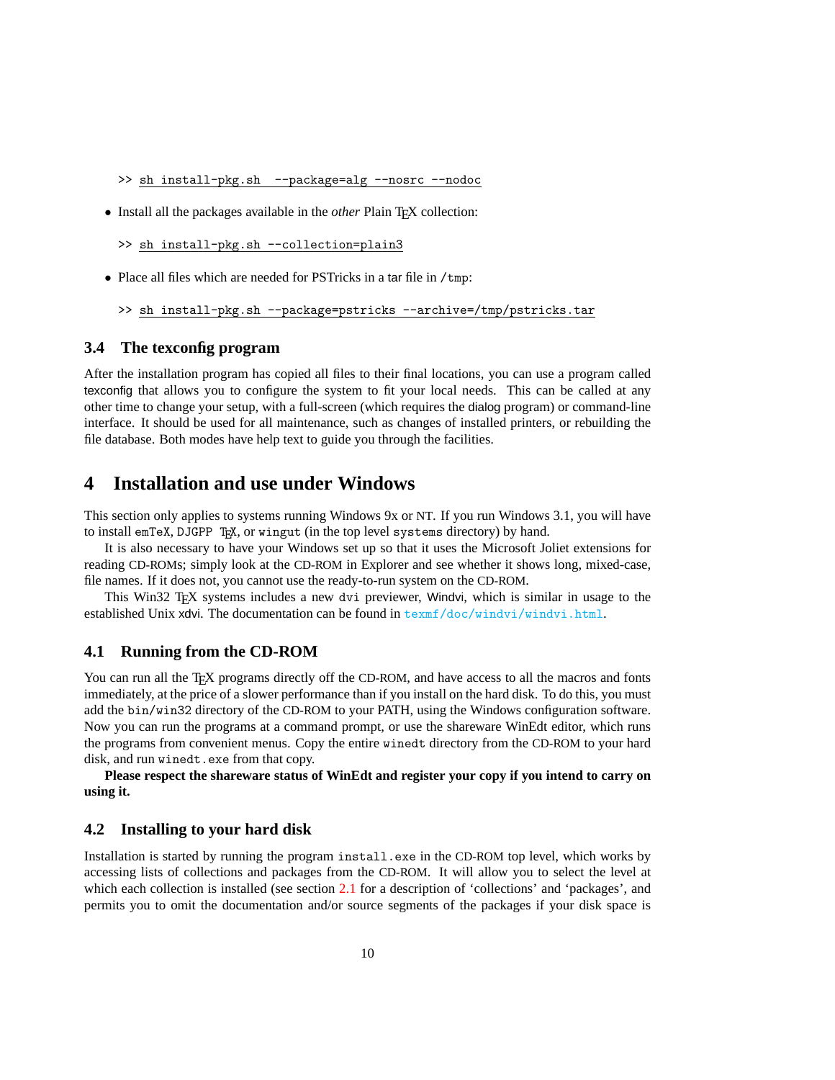- <span id="page-9-0"></span>>> sh install-pkg.sh --package=alg --nosrc --nodoc
- Install all the packages available in the *other* Plain T<sub>E</sub>X collection:

```
>> sh install-pkg.sh --collection=plain3
```
• Place all files which are needed for PSTricks in a tar file in /tmp:

```
>> sh install-pkg.sh --package=pstricks --archive=/tmp/pstricks.tar
```
#### **3.4 The texconfig program**

After the installation program has copied all files to their final locations, you can use a program called texconfig that allows you to configure the system to fit your local needs. This can be called at any other time to change your setup, with a full-screen (which requires the dialog program) or command-line interface. It should be used for all maintenance, such as changes of installed printers, or rebuilding the file database. Both modes have help text to guide you through the facilities.

## **4 Installation and use under Windows**

This section only applies to systems running Windows 9x or NT. If you run Windows 3.1, you will have to install emTeX, DJGPP TEX, or wingut (in the top level systems directory) by hand.

It is also necessary to have your Windows set up so that it uses the Microsoft Joliet extensions for reading CD-ROMs; simply look at the CD-ROM in Explorer and see whether it shows long, mixed-case, file names. If it does not, you cannot use the ready-to-run system on the CD-ROM.

This Win32 TEX systems includes a new dvi previewer, Windvi, which is similar in usage to the established Unix xdvi. The documentation can be found in  $t$ exmf/doc/windvi/windvi.html.

#### **4.1 Running from the CD-ROM**

You can run all the TEX programs directly off the CD-ROM, and have access to all the macros and fonts immediately, at the price of a slower performance than if you install on the hard disk. To do this, you must add the bin/win32 directory of the CD-ROM to your PATH, using the Windows configuration software. Now you can run the programs at a command prompt, or use the shareware WinEdt editor, which runs the programs from convenient menus. Copy the entire winedt directory from the CD-ROM to your hard disk, and run winedt.exe from that copy.

**Please respect the shareware status of WinEdt and register your copy if you intend to carry on using it.**

#### **4.2 Installing to your hard disk**

Installation is started by running the program install.exe in the CD-ROM top level, which works by accessing lists of collections and packages from the CD-ROM. It will allow you to select the level at which each collection is installed (see section [2.1](#page-3-0) for a description of 'collections' and 'packages', and permits you to omit the documentation and/or source segments of the packages if your disk space is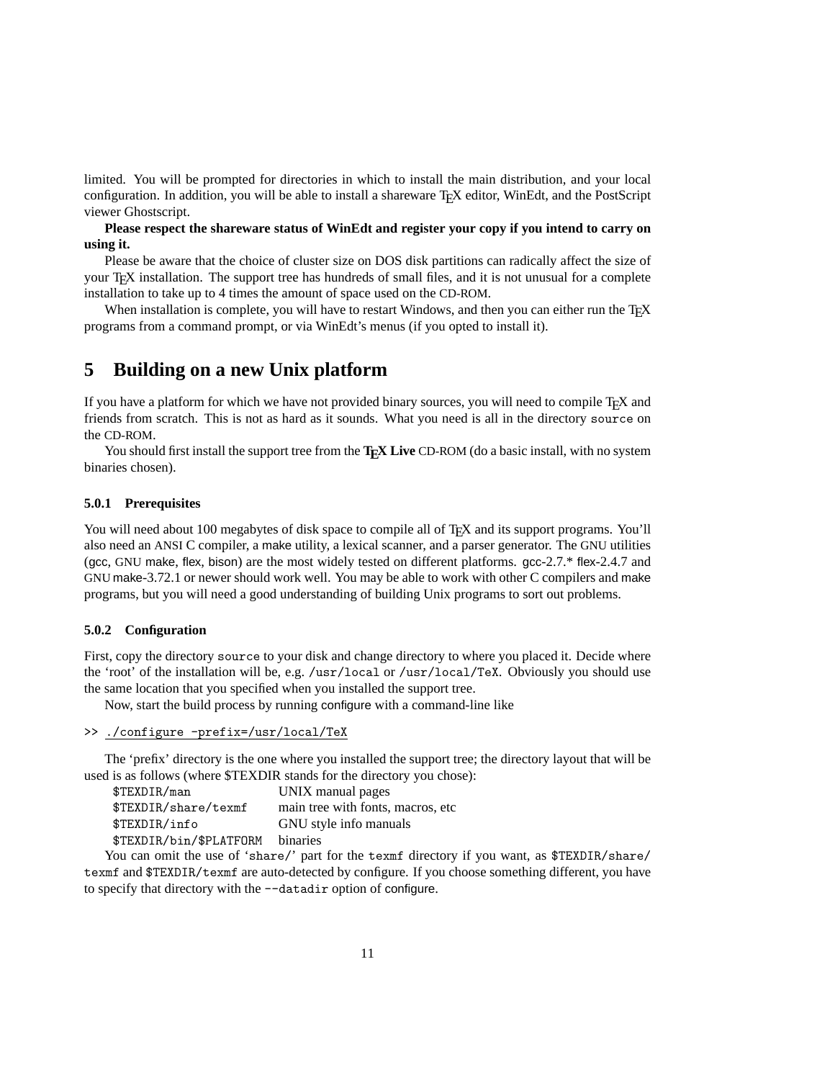<span id="page-10-0"></span>limited. You will be prompted for directories in which to install the main distribution, and your local configuration. In addition, you will be able to install a shareware TEX editor, WinEdt, and the PostScript viewer Ghostscript.

#### **Please respect the shareware status of WinEdt and register your copy if you intend to carry on using it.**

Please be aware that the choice of cluster size on DOS disk partitions can radically affect the size of your T<sub>E</sub>X installation. The support tree has hundreds of small files, and it is not unusual for a complete installation to take up to 4 times the amount of space used on the CD-ROM.

When installation is complete, you will have to restart Windows, and then you can either run the T<sub>EX</sub> programs from a command prompt, or via WinEdt's menus (if you opted to install it).

## **5 Building on a new Unix platform**

If you have a platform for which we have not provided binary sources, you will need to compile T<sub>E</sub>X and friends from scratch. This is not as hard as it sounds. What you need is all in the directory source on the CD-ROM.

You should first install the support tree from the **TEX Live** CD-ROM (do a basic install, with no system binaries chosen).

#### **5.0.1 Prerequisites**

You will need about 100 megabytes of disk space to compile all of TEX and its support programs. You'll also need an ANSI C compiler, a make utility, a lexical scanner, and a parser generator. The GNU utilities (gcc, GNU make, flex, bison) are the most widely tested on different platforms. gcc-2.7.\* flex-2.4.7 and GNU make-3.72.1 or newer should work well. You may be able to work with other C compilers and make programs, but you will need a good understanding of building Unix programs to sort out problems.

#### **5.0.2 Configuration**

First, copy the directory source to your disk and change directory to where you placed it. Decide where the 'root' of the installation will be, e.g. /usr/local or /usr/local/TeX. Obviously you should use the same location that you specified when you installed the support tree.

Now, start the build process by running configure with a command-line like

#### >> ./configure -prefix=/usr/local/TeX

The 'prefix' directory is the one where you installed the support tree; the directory layout that will be used is as follows (where \$TEXDIR stands for the directory you chose):

| \$TEXDIR/man            | UNIX manual pages                  |
|-------------------------|------------------------------------|
| \$TEXDIR/share/texmf    | main tree with fonts, macros, etc. |
| \$TEXDIR/info           | GNU style info manuals             |
| \$TEXDIR/bin/\$PLATFORM | binaries                           |

You can omit the use of 'share/' part for the texmf directory if you want, as  $TEXDIR/share/$ texmf and \$TEXDIR/texmf are auto-detected by configure. If you choose something different, you have to specify that directory with the  $-$ -datadir option of configure.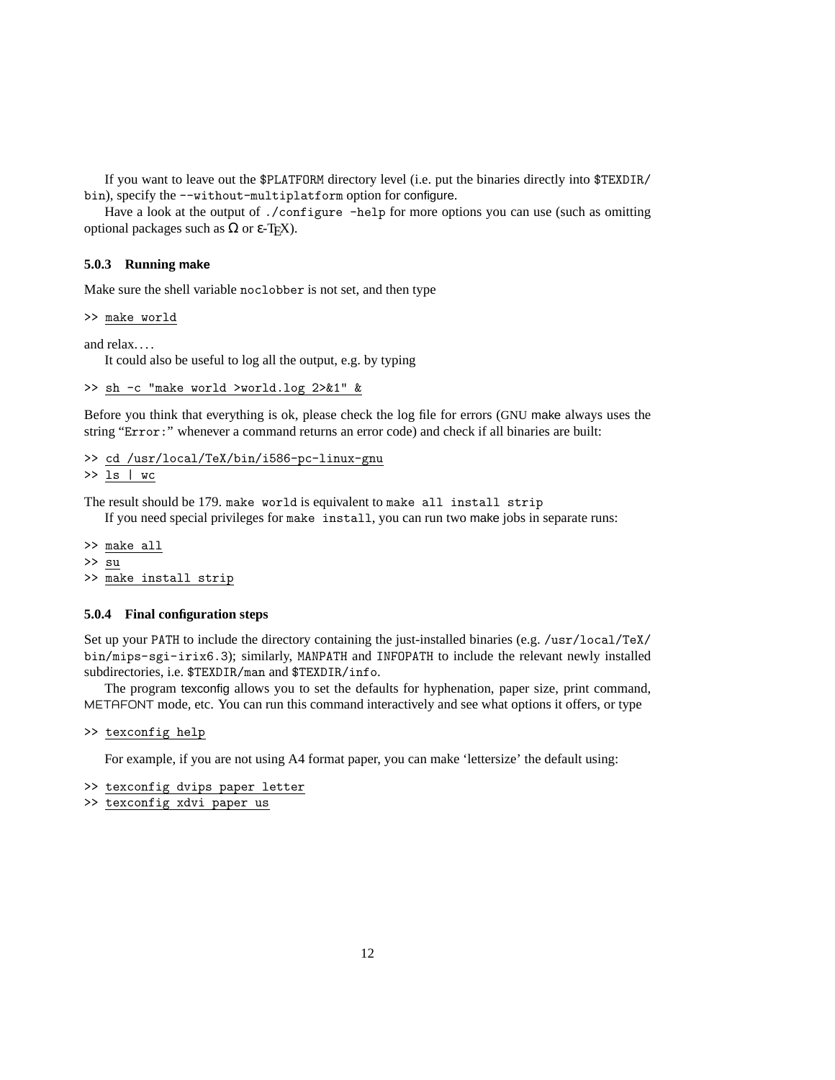If you want to leave out the \$PLATFORM directory level (i.e. put the binaries directly into \$TEXDIR/ bin), specify the --without-multiplatform option for configure.

Have a look at the output of ./configure -help for more options you can use (such as omitting optional packages such as  $Ω$  or  $ε$ -T<sub>E</sub>X).

#### **5.0.3 Running make**

Make sure the shell variable noclobber is not set, and then type

```
>> make world
```
and relax. . . .

It could also be useful to log all the output, e.g. by typing

>> sh -c "make world >world.log 2>&1" &

Before you think that everything is ok, please check the log file for errors (GNU make always uses the string "Error:" whenever a command returns an error code) and check if all binaries are built:

>> cd /usr/local/TeX/bin/i586-pc-linux-gnu >> ls | wc

The result should be 179. make world is equivalent to make all install strip

If you need special privileges for make install, you can run two make jobs in separate runs:

>> make all >> su >> make install strip

#### **5.0.4 Final configuration steps**

Set up your PATH to include the directory containing the just-installed binaries (e.g. /usr/local/TeX/ bin/mips-sgi-irix6.3); similarly, MANPATH and INFOPATH to include the relevant newly installed subdirectories, i.e. \$TEXDIR/man and \$TEXDIR/info.

The program texconfig allows you to set the defaults for hyphenation, paper size, print command, METAFONT mode, etc. You can run this command interactively and see what options it offers, or type

>> texconfig help

For example, if you are not using A4 format paper, you can make 'lettersize' the default using:

- >> texconfig dvips paper letter
- >> texconfig xdvi paper us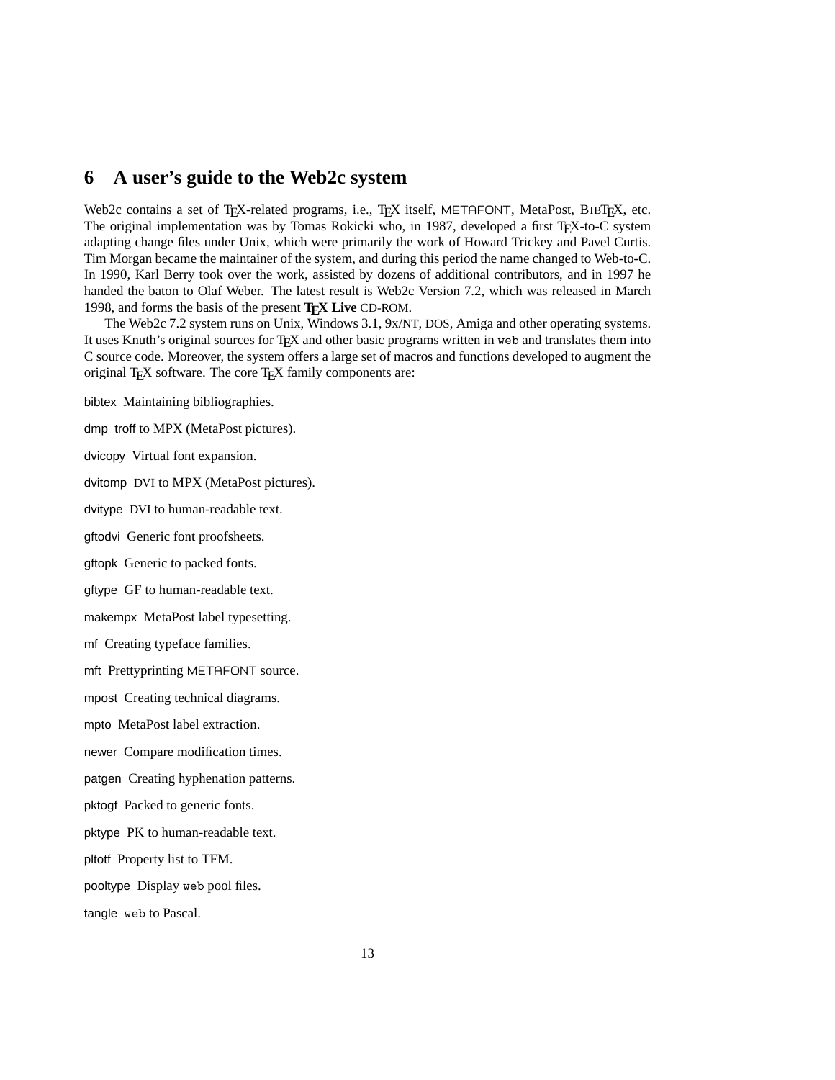## <span id="page-12-0"></span>**6 A user's guide to the Web2c system**

Web2c contains a set of TEX-related programs, i.e., TEX itself, METAFONT, MetaPost, BIBTEX, etc. The original implementation was by Tomas Rokicki who, in 1987, developed a first TEX-to-C system adapting change files under Unix, which were primarily the work of Howard Trickey and Pavel Curtis. Tim Morgan became the maintainer of the system, and during this period the name changed to Web-to-C. In 1990, Karl Berry took over the work, assisted by dozens of additional contributors, and in 1997 he handed the baton to Olaf Weber. The latest result is Web2c Version 7.2, which was released in March 1998, and forms the basis of the present T<sub>E</sub>X Live CD-ROM.

The Web2c 7.2 system runs on Unix, Windows 3.1, 9x/NT, DOS, Amiga and other operating systems. It uses Knuth's original sources for TEX and other basic programs written in web and translates them into C source code. Moreover, the system offers a large set of macros and functions developed to augment the original T<sub>E</sub>X software. The core T<sub>E</sub>X family components are:

bibtex Maintaining bibliographies.

dmp troff to MPX (MetaPost pictures).

dvicopy Virtual font expansion.

dvitomp DVI to MPX (MetaPost pictures).

dvitype DVI to human-readable text.

gftodvi Generic font proofsheets.

gftopk Generic to packed fonts.

gftype GF to human-readable text.

makempx MetaPost label typesetting.

mf Creating typeface families.

mft Prettyprinting METAFONT source.

mpost Creating technical diagrams.

mpto MetaPost label extraction.

newer Compare modification times.

patgen Creating hyphenation patterns.

pktogf Packed to generic fonts.

pktype PK to human-readable text.

pltotf Property list to TFM.

pooltype Display web pool files.

tangle web to Pascal.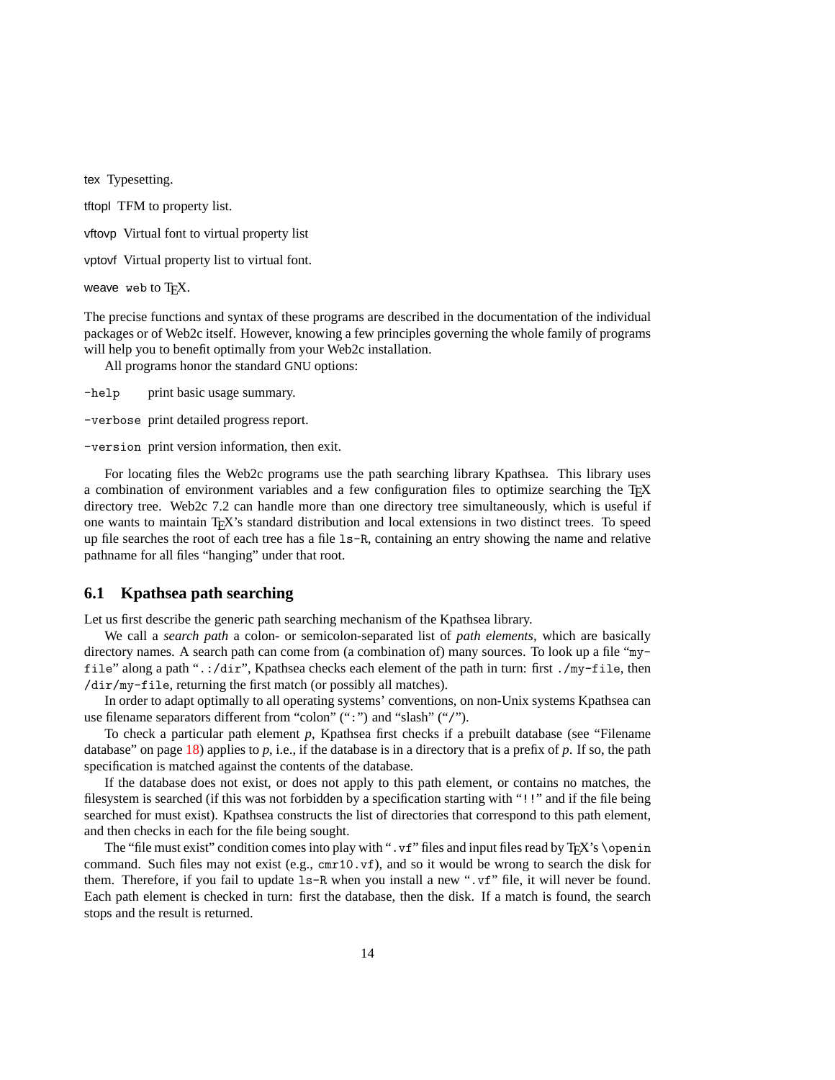<span id="page-13-0"></span>tex Typesetting.

tftopl TFM to property list.

vftovp Virtual font to virtual property list

vptovf Virtual property list to virtual font.

weave web to TEX.

The precise functions and syntax of these programs are described in the documentation of the individual packages or of Web2c itself. However, knowing a few principles governing the whole family of programs will help you to benefit optimally from your Web2c installation.

All programs honor the standard GNU options:

- -help print basic usage summary.
- -verbose print detailed progress report.

-version print version information, then exit.

For locating files the Web2c programs use the path searching library Kpathsea. This library uses a combination of environment variables and a few configuration files to optimize searching the TEX directory tree. Web2c 7.2 can handle more than one directory tree simultaneously, which is useful if one wants to maintain TEX's standard distribution and local extensions in two distinct trees. To speed up file searches the root of each tree has a file ls-R, containing an entry showing the name and relative pathname for all files "hanging" under that root.

#### **6.1 Kpathsea path searching**

Let us first describe the generic path searching mechanism of the Kpathsea library.

We call a *search path* a colon- or semicolon-separated list of *path elements*, which are basically directory names. A search path can come from (a combination of) many sources. To look up a file "myfile" along a path ".:/dir", Kpathsea checks each element of the path in turn: first ./my-file, then /dir/my-file, returning the first match (or possibly all matches).

In order to adapt optimally to all operating systems' conventions, on non-Unix systems Kpathsea can use filename separators different from "colon" (":") and "slash" ("/").

To check a particular path element *p*, Kpathsea first checks if a prebuilt database (see "Filename database" on page [18](#page-17-0)) applies to *p*, i.e., if the database is in a directory that is a prefix of *p*. If so, the path specification is matched against the contents of the database.

If the database does not exist, or does not apply to this path element, or contains no matches, the filesystem is searched (if this was not forbidden by a specification starting with "!!" and if the file being searched for must exist). Kpathsea constructs the list of directories that correspond to this path element, and then checks in each for the file being sought.

The "file must exist" condition comes into play with ". vf" files and input files read by T<sub>E</sub>X's \openin command. Such files may not exist (e.g.,  $cm10. vf$ ), and so it would be wrong to search the disk for them. Therefore, if you fail to update ls-R when you install a new ".vf" file, it will never be found. Each path element is checked in turn: first the database, then the disk. If a match is found, the search stops and the result is returned.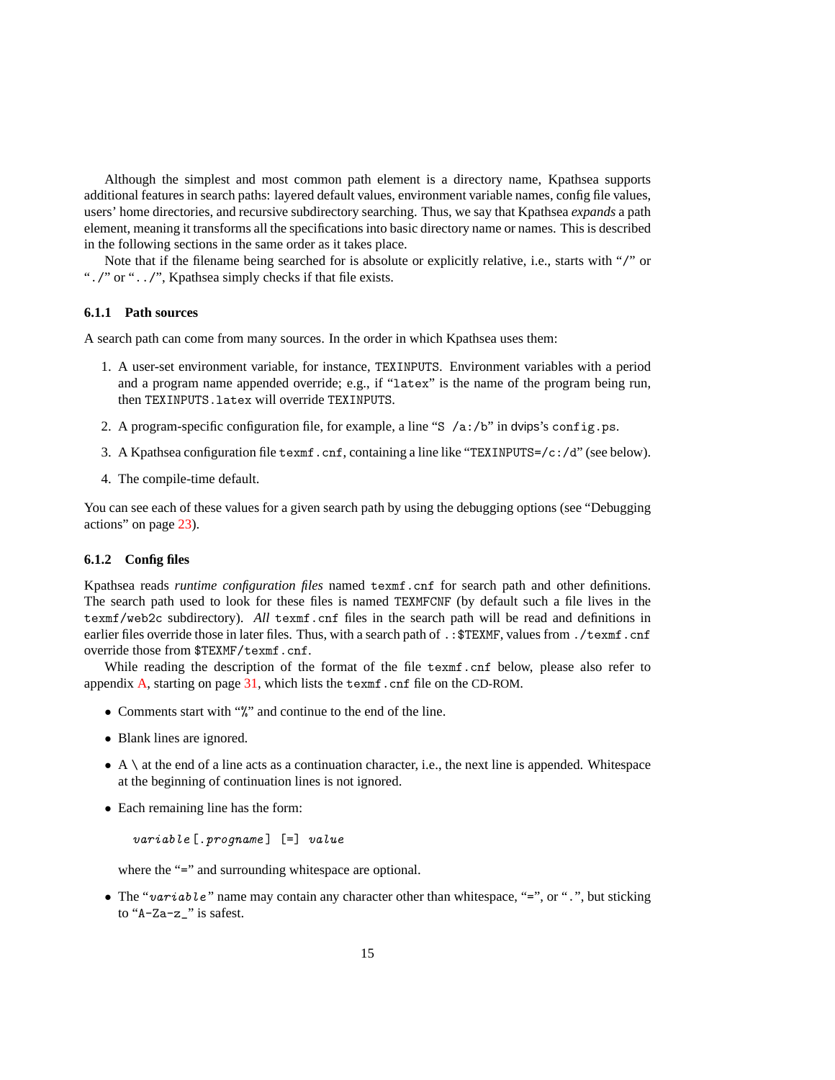<span id="page-14-0"></span>Although the simplest and most common path element is a directory name, Kpathsea supports additional features in search paths: layered default values, environment variable names, config file values, users' home directories, and recursive subdirectory searching. Thus, we say that Kpathsea *expands* a path element, meaning it transforms all the specifications into basic directory name or names. This is described in the following sections in the same order as it takes place.

Note that if the filename being searched for is absolute or explicitly relative, i.e., starts with "/" or "./" or "../", Kpathsea simply checks if that file exists.

#### **6.1.1 Path sources**

A search path can come from many sources. In the order in which Kpathsea uses them:

- 1. A user-set environment variable, for instance, TEXINPUTS. Environment variables with a period and a program name appended override; e.g., if "latex" is the name of the program being run, then TEXINPUTS.latex will override TEXINPUTS.
- 2. A program-specific configuration file, for example, a line "S  $/a$ :/b" in dvips's config.ps.
- 3. A Kpathsea configuration file texmf.cnf, containing a line like "TEXINPUTS=/c:/d" (see below).
- 4. The compile-time default.

You can see each of these values for a given search path by using the debugging options (see "Debugging actions" on page [23\)](#page-22-0).

#### **6.1.2 Config files**

Kpathsea reads *runtime configuration files* named texmf.cnf for search path and other definitions. The search path used to look for these files is named TEXMFCNF (by default such a file lives in the texmf/web2c subdirectory). All texmf.cnf files in the search path will be read and definitions in earlier files override those in later files. Thus, with a search path of .: \$TEXMF, values from ./texmf.cnf override those from \$TEXMF/texmf.cnf.

While reading the description of the format of the file texmf.cnf below, please also refer to appendix [A,](#page-30-0) starting on page [31](#page-30-0), which lists the texmf.cnf file on the CD-ROM.

- Comments start with "%" and continue to the end of the line.
- Blank lines are ignored.
- $\bullet$  A \ at the end of a line acts as a continuation character, i.e., the next line is appended. Whitespace at the beginning of continuation lines is not ignored.
- Each remaining line has the form:

variable [.progname ] [=] value

where the "=" and surrounding whitespace are optional.

• The "variable" name may contain any character other than whitespace, "=", or ".", but sticking to "A-Za-z\_" is safest.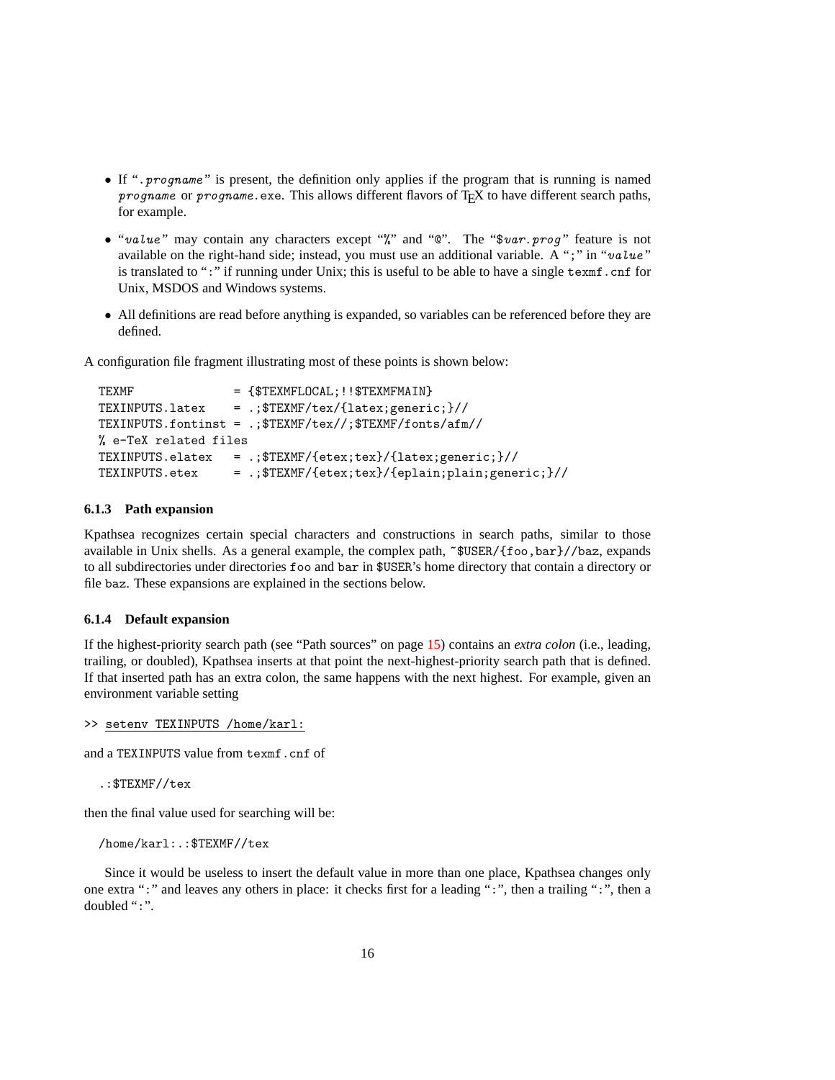- If ". progname" is present, the definition only applies if the program that is running is named progname or progname.exe. This allows different flavors of TEX to have different search paths, for example.
- "value" may contain any characters except "%" and "@". The "\$var.prog" feature is not available on the right-hand side; instead, you must use an additional variable. A ";" in "value" is translated to ":" if running under Unix; this is useful to be able to have a single texmf.cnf for Unix, MSDOS and Windows systems.
- All definitions are read before anything is expanded, so variables can be referenced before they are defined.

A configuration file fragment illustrating most of these points is shown below:

```
TEXMF = {$TEXMFLOCAL;!!$TEXMFMAIN}
TEXINPUTS.latex = .;$TEXMF/tex/{latex;generic;}//
TEXINPUTS.fontinst = .;$TEXMF/tex//;$TEXMF/fonts/afm//
% e-TeX related files
TEXINPUTS.elatex = .;$TEXMF/{etex;tex}/{latex;generic;}//
TEXINPUTS.etex = .;$TEXMF/{etex;tex}/{eplain;plain;generic;}//
```
#### **6.1.3 Path expansion**

Kpathsea recognizes certain special characters and constructions in search paths, similar to those available in Unix shells. As a general example, the complex path, ~\$USER/{foo,bar}//baz, expands to all subdirectories under directories foo and bar in \$USER's home directory that contain a directory or file baz. These expansions are explained in the sections below.

#### **6.1.4 Default expansion**

If the highest-priority search path (see "Path sources" on page [15](#page-14-0)) contains an *extra colon* (i.e., leading, trailing, or doubled), Kpathsea inserts at that point the next-highest-priority search path that is defined. If that inserted path has an extra colon, the same happens with the next highest. For example, given an environment variable setting

>> setenv TEXINPUTS /home/karl:

and a TEXINPUTS value from texmf.cnf of

.:\$TEXMF//tex

then the final value used for searching will be:

/home/karl:.:\$TEXMF//tex

Since it would be useless to insert the default value in more than one place, Kpathsea changes only one extra ":" and leaves any others in place: it checks first for a leading ":", then a trailing ":", then a doubled ":".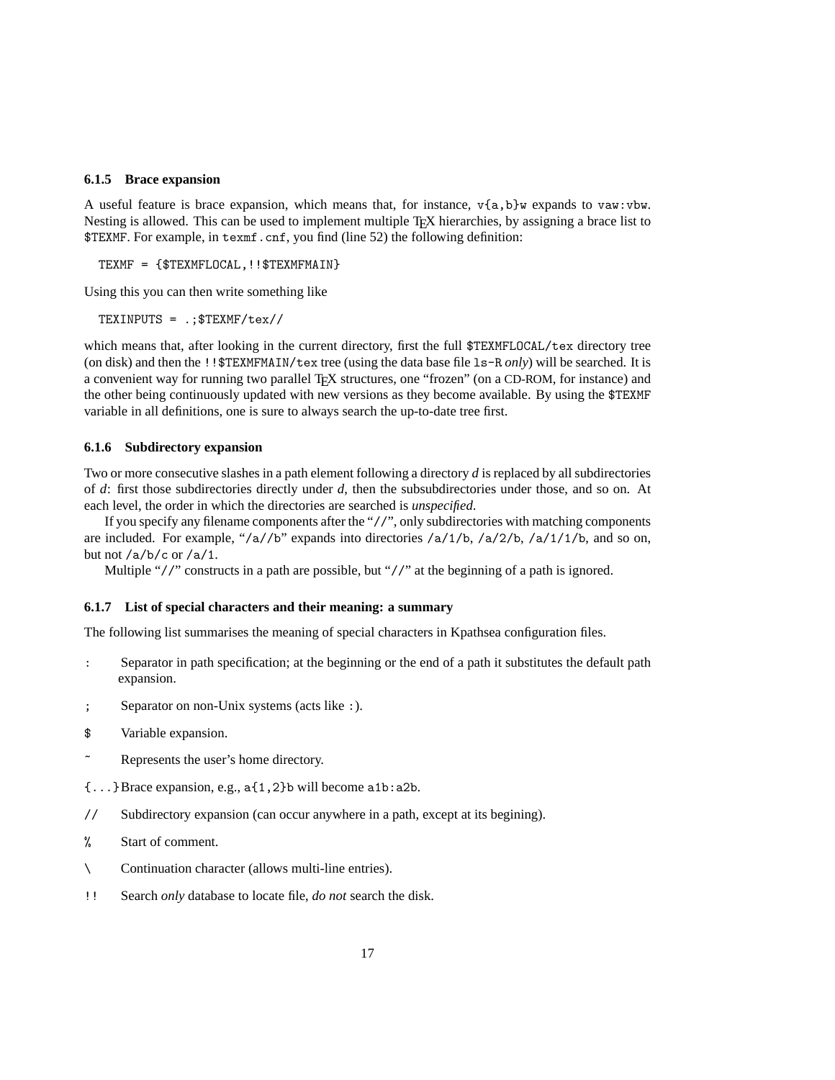#### **6.1.5 Brace expansion**

A useful feature is brace expansion, which means that, for instance, v{a,b}w expands to vaw:vbw. Nesting is allowed. This can be used to implement multiple T<sub>EX</sub> hierarchies, by assigning a brace list to \$TEXMF. For example, in texmf.cnf, you find (line 52) the following definition:

TEXMF = {\$TEXMFLOCAL, !! \$TEXMFMAIN}

Using this you can then write something like

TEXINPUTS = .;\$TEXMF/tex//

which means that, after looking in the current directory, first the full \$TEXMFLOCAL/tex directory tree (on disk) and then the !!\$TEXMFMAIN/tex tree (using the data base file ls-R *only*) will be searched. It is a convenient way for running two parallel TEX structures, one "frozen" (on a CD-ROM, for instance) and the other being continuously updated with new versions as they become available. By using the \$TEXMF variable in all definitions, one is sure to always search the up-to-date tree first.

#### **6.1.6 Subdirectory expansion**

Two or more consecutive slashes in a path element following a directory *d* is replaced by all subdirectories of *d*: first those subdirectories directly under *d*, then the subsubdirectories under those, and so on. At each level, the order in which the directories are searched is *unspecified*.

If you specify any filename components after the "//", only subdirectories with matching components are included. For example, "/a//b" expands into directories /a/1/b, /a/2/b, /a/1/1/b, and so on, but not  $\frac{a}{b}$  c or  $\frac{a}{1}$ .

Multiple "//" constructs in a path are possible, but "//" at the beginning of a path is ignored.

#### **6.1.7 List of special characters and their meaning: a summary**

The following list summarises the meaning of special characters in Kpathsea configuration files.

- : Separator in path specification; at the beginning or the end of a path it substitutes the default path expansion.
- ; Separator on non-Unix systems (acts like :).
- \$ Variable expansion.
- Represents the user's home directory.
- {...}Brace expansion, e.g., a{1,2}b will become a1b:a2b.
- // Subdirectory expansion (can occur anywhere in a path, except at its begining).
- % Start of comment.
- \ Continuation character (allows multi-line entries).
- !! Search *only* database to locate file, *do not* search the disk.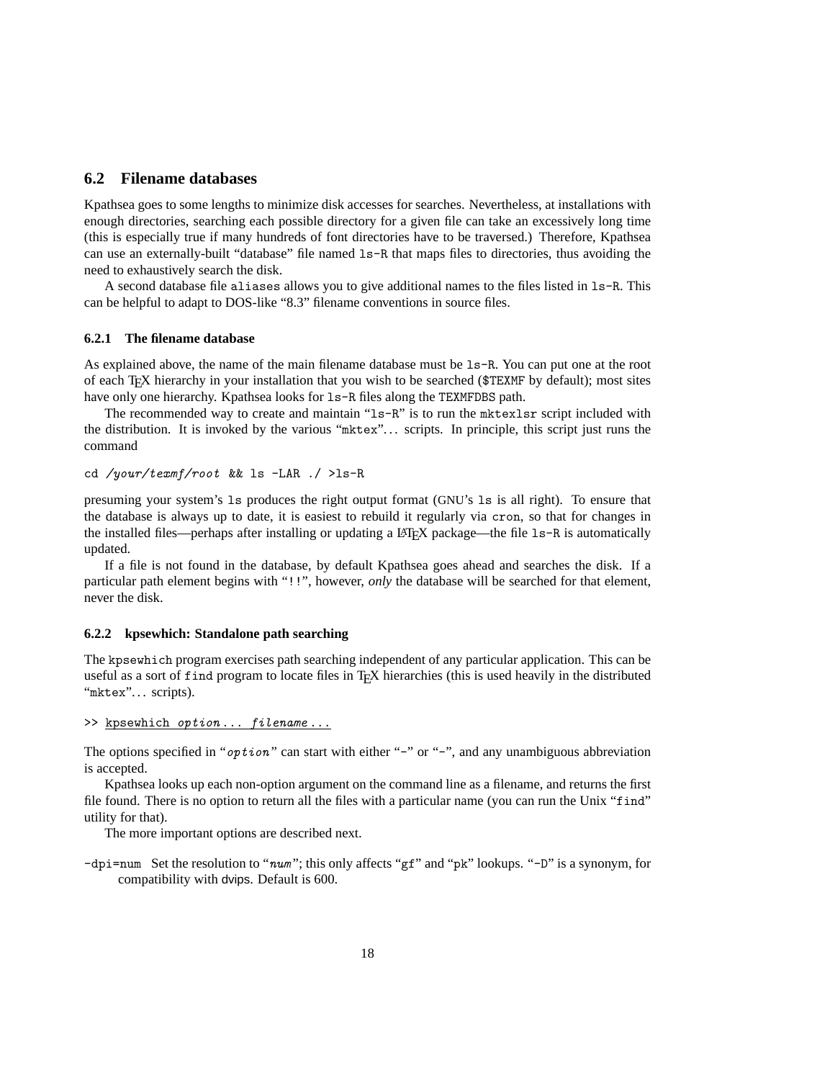#### <span id="page-17-0"></span>**6.2 Filename databases**

Kpathsea goes to some lengths to minimize disk accesses for searches. Nevertheless, at installations with enough directories, searching each possible directory for a given file can take an excessively long time (this is especially true if many hundreds of font directories have to be traversed.) Therefore, Kpathsea can use an externally-built "database" file named ls-R that maps files to directories, thus avoiding the need to exhaustively search the disk.

A second database file aliases allows you to give additional names to the files listed in ls-R. This can be helpful to adapt to DOS-like "8.3" filename conventions in source files.

#### **6.2.1 The filename database**

As explained above, the name of the main filename database must be ls-R. You can put one at the root of each TEX hierarchy in your installation that you wish to be searched (\$TEXMF by default); most sites have only one hierarchy. Kpathsea looks for  $ls-R$  files along the TEXMFDBS path.

The recommended way to create and maintain "ls-R" is to run the mktexlsr script included with the distribution. It is invoked by the various "mktex". . . scripts. In principle, this script just runs the command

```
cd /your/texmf/root && ls -LAR ./ >ls-R
```
presuming your system's ls produces the right output format (GNU's ls is all right). To ensure that the database is always up to date, it is easiest to rebuild it regularly via cron, so that for changes in the installed files—perhaps after installing or updating a LATEX package—the file 1s-R is automatically updated.

If a file is not found in the database, by default Kpathsea goes ahead and searches the disk. If a particular path element begins with "!!", however, *only* the database will be searched for that element, never the disk.

#### **6.2.2 kpsewhich: Standalone path searching**

The kpsewhich program exercises path searching independent of any particular application. This can be useful as a sort of find program to locate files in TEX hierarchies (this is used heavily in the distributed "mktex"... scripts).

#### >> kpsewhich option ... filename ...

The options specified in "*option*" can start with either "-" or "-", and any unambiguous abbreviation is accepted.

Kpathsea looks up each non-option argument on the command line as a filename, and returns the first file found. There is no option to return all the files with a particular name (you can run the Unix "find" utility for that).

The more important options are described next.

 $-dpi=num$  Set the resolution to "num"; this only affects "gf" and "pk" lookups. " $-D$ " is a synonym, for compatibility with dvips. Default is 600.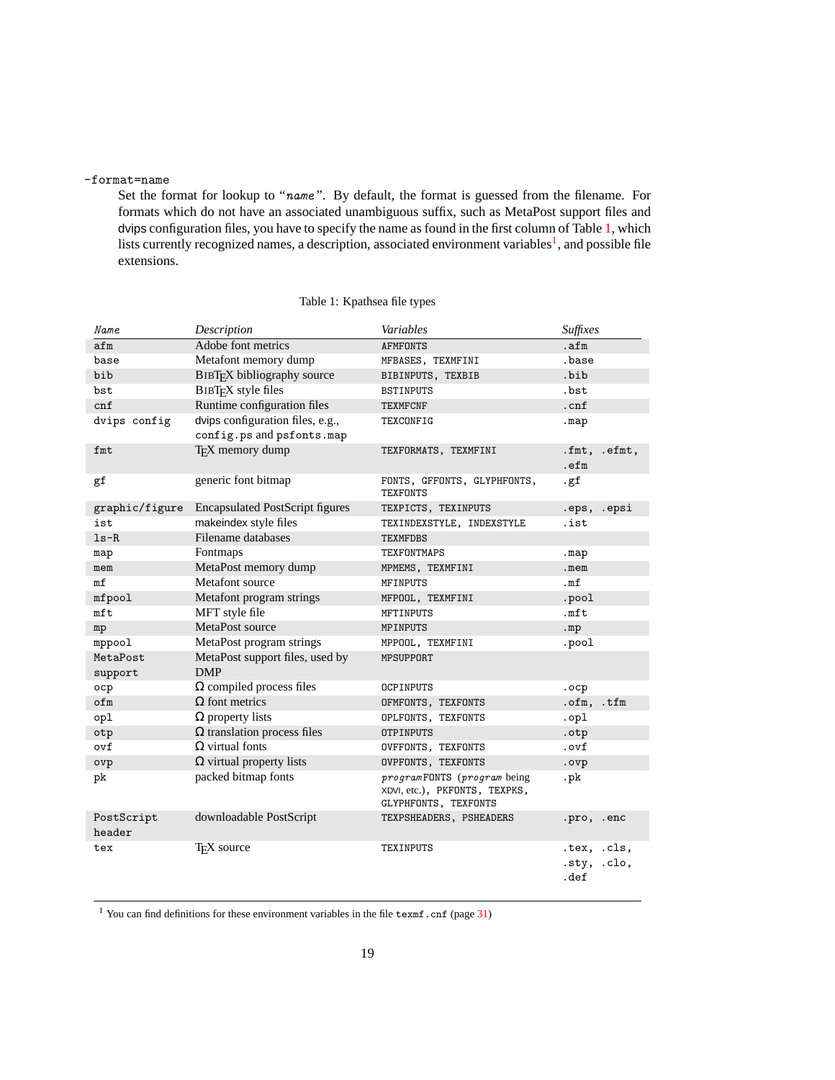#### <span id="page-18-0"></span>-format=name

Set the format for lookup to "name". By default, the format is guessed from the filename. For formats which do not have an associated unambiguous suffix, such as MetaPost support files and dvips configuration files, you have to specify the name as found in the first column of Table 1, which lists currently recognized names, a description, associated environment variables<sup>1</sup>, and possible file extensions.

#### Table 1: Kpathsea file types

| Name                               | Description                                                   | Variables                                                                            | Suffixes                           |
|------------------------------------|---------------------------------------------------------------|--------------------------------------------------------------------------------------|------------------------------------|
| afm                                | Adobe font metrics                                            | <b>AFMFONTS</b>                                                                      | $.$ afm                            |
| base                               | Metafont memory dump                                          | MFBASES, TEXMFINI                                                                    | .base                              |
| bib                                | <b>BIBTEX</b> bibliography source                             | BIBINPUTS, TEXBIB                                                                    | .bib                               |
| bst                                | <b>BIBTFX</b> style files                                     | <b>BSTINPUTS</b>                                                                     | .bst                               |
| cnf                                | Runtime configuration files                                   | TEXMFCNF                                                                             | .cnf                               |
| dvips config                       | dvips configuration files, e.g.,<br>config.ps and psfonts.map | TEXCONFIG                                                                            | .map                               |
| fmt                                | TFX memory dump                                               | TEXFORMATS, TEXMFINI                                                                 | .fmt, .efmt,<br>.efm               |
| gf                                 | generic font bitmap                                           | FONTS, GFFONTS, GLYPHFONTS,<br>TEXFONTS                                              | .gf                                |
| graphic/figure                     | <b>Encapsulated PostScript figures</b>                        | TEXPICTS, TEXINPUTS                                                                  | .eps, .epsi                        |
| ist                                | makeindex style files                                         | TEXINDEXSTYLE, INDEXSTYLE                                                            | .ist                               |
| $ls-R$                             | Filename databases                                            | <b>TEXMFDBS</b>                                                                      |                                    |
| map                                | Fontmaps                                                      | TEXFONTMAPS                                                                          | .map                               |
| mem                                | MetaPost memory dump                                          | MPMEMS, TEXMFINI                                                                     | .mem                               |
| $m$ f                              | Metafont source                                               | MFINPUTS                                                                             | .mf                                |
| mfpool                             | Metafont program strings                                      | MFPOOL, TEXMFINI                                                                     | .pool                              |
| MFT style file<br>mft<br>MFTINPUTS |                                                               | .mft                                                                                 |                                    |
| mp                                 | MetaPost source                                               | MPINPUTS                                                                             | .mp                                |
| mppool                             | MetaPost program strings<br>MPPOOL, TEXMFINI                  |                                                                                      | .pool                              |
| MetaPost<br>support                | MetaPost support files, used by<br><b>DMP</b>                 | MPSUPPORT                                                                            |                                    |
| оср                                | $\Omega$ compiled process files                               | <b>OCPINPUTS</b>                                                                     | .ocp                               |
| ofm                                | $\Omega$ font metrics                                         | OFMFONTS, TEXFONTS                                                                   | .ofm, .tfm                         |
| opl                                | $\Omega$ property lists                                       | OPLFONTS, TEXFONTS                                                                   | .opl                               |
| otp                                | $\Omega$ translation process files                            | <b>OTPINPUTS</b>                                                                     | .otp                               |
| ovf                                | $\Omega$ virtual fonts                                        | OVFFONTS, TEXFONTS                                                                   | .ovf                               |
| ovp                                | $\Omega$ virtual property lists                               | OVPFONTS, TEXFONTS                                                                   | .ovp                               |
| pk                                 | packed bitmap fonts                                           | programFONTS (program being<br>XDVI, etc.), PKFONTS, TEXPKS,<br>GLYPHFONTS, TEXFONTS | .pk                                |
| PostScript<br>header               | downloadable PostScript                                       | TEXPSHEADERS, PSHEADERS                                                              | .pro, .enc                         |
| tex                                | TFX source                                                    | TEXINPUTS                                                                            | .tex, .cls,<br>.sty, .clo,<br>.def |

<sup>1</sup> You can find definitions for these environment variables in the file texmf.cnf (page  $31$ )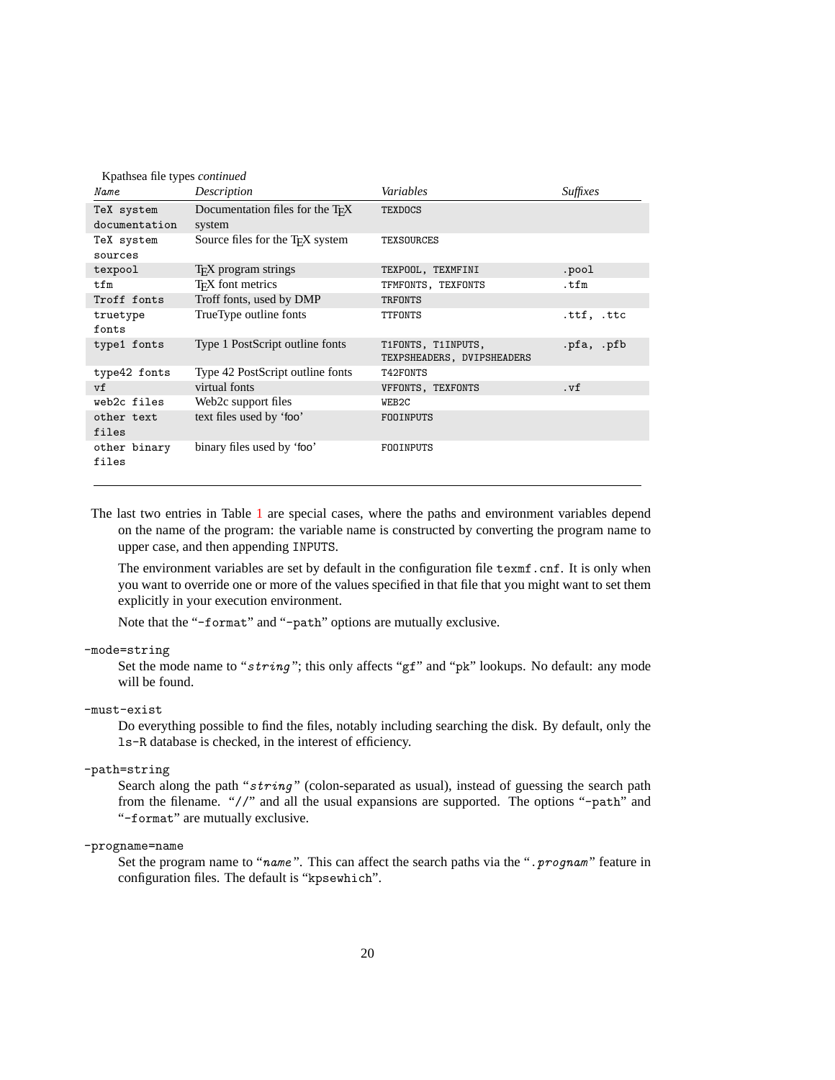| Kpathsea file types <i>continued</i> |                                              |                                                  |                 |  |
|--------------------------------------|----------------------------------------------|--------------------------------------------------|-----------------|--|
| Name                                 | Description                                  | Variables                                        | <i>Suffixes</i> |  |
| TeX system                           | Documentation files for the T <sub>F</sub> X | TEXDOCS                                          |                 |  |
| documentation                        | system                                       |                                                  |                 |  |
| TeX system                           | Source files for the T <sub>F</sub> X system | TEXSOURCES                                       |                 |  |
| sources                              |                                              |                                                  |                 |  |
| texpool                              | T <sub>F</sub> X program strings             | TEXPOOL, TEXMFINI                                | .pool           |  |
| tfm                                  | T <sub>F</sub> X font metrics                | TFMFONTS, TEXFONTS                               | .tfm            |  |
| Troff fonts                          | Troff fonts, used by DMP                     | TRFONTS                                          |                 |  |
| truetype                             | TrueType outline fonts                       | TTFONTS                                          | .ttf, .ttc      |  |
| fonts                                |                                              |                                                  |                 |  |
| type1 fonts                          | Type 1 PostScript outline fonts              | T1FONTS, T1INPUTS,<br>TEXPSHEADERS, DVIPSHEADERS | .pfa, .pfb      |  |
| type42 fonts                         | Type 42 PostScript outline fonts             | T42FONTS                                         |                 |  |
| v <sub>f</sub>                       | virtual fonts                                | VFFONTS, TEXFONTS                                | .vf             |  |
| web2c files                          | Web2c support files                          | WEB <sub>2</sub> C                               |                 |  |
| other text                           | text files used by 'foo'                     | FOOINPUTS                                        |                 |  |
| files                                |                                              |                                                  |                 |  |
| other binary<br>files                | binary files used by 'foo'                   | FOOINPUTS                                        |                 |  |

The last two entries in Table [1](#page-18-0) are special cases, where the paths and environment variables depend on the name of the program: the variable name is constructed by converting the program name to upper case, and then appending INPUTS.

The environment variables are set by default in the configuration file texmf. Cnf. It is only when you want to override one or more of the values specified in that file that you might want to set them explicitly in your execution environment.

Note that the "-format" and "-path" options are mutually exclusive.

#### -mode=string

Set the mode name to "string"; this only affects "gf" and "pk" lookups. No default: any mode will be found.

#### -must-exist

Do everything possible to find the files, notably including searching the disk. By default, only the ls-R database is checked, in the interest of efficiency.

#### -path=string

Search along the path "string" (colon-separated as usual), instead of guessing the search path from the filename. "//" and all the usual expansions are supported. The options "-path" and "-format" are mutually exclusive.

#### -progname=name

Set the program name to "name". This can affect the search paths via the ". prognam" feature in configuration files. The default is "kpsewhich".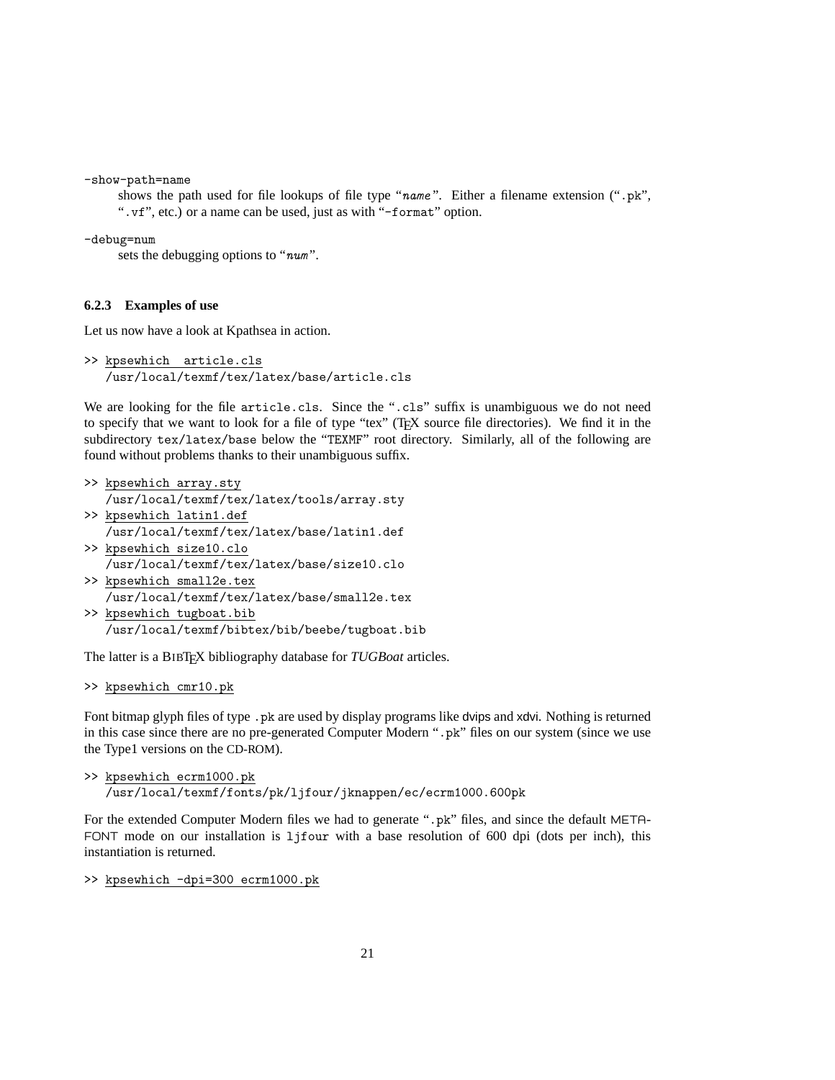<span id="page-20-0"></span>-show-path=name

shows the path used for file lookups of file type "name". Either a filename extension (".pk", ".vf", etc.) or a name can be used, just as with "-format" option.

-debug=num

sets the debugging options to "num".

#### **6.2.3 Examples of use**

Let us now have a look at Kpathsea in action.

>> kpsewhich article.cls /usr/local/texmf/tex/latex/base/article.cls

We are looking for the file article.cls. Since the ".cls" suffix is unambiguous we do not need to specify that we want to look for a file of type "tex" (T<sub>EX</sub> source file directories). We find it in the subdirectory tex/latex/base below the "TEXMF" root directory. Similarly, all of the following are found without problems thanks to their unambiguous suffix.

- >> kpsewhich array.sty /usr/local/texmf/tex/latex/tools/array.sty >> kpsewhich latin1.def /usr/local/texmf/tex/latex/base/latin1.def >> kpsewhich size10.clo
- /usr/local/texmf/tex/latex/base/size10.clo
- >> kpsewhich small2e.tex /usr/local/texmf/tex/latex/base/small2e.tex >> kpsewhich tugboat.bib
	- /usr/local/texmf/bibtex/bib/beebe/tugboat.bib

The latter is a BIBTEX bibliography database for *TUGBoat* articles.

```
>> kpsewhich cmr10.pk
```
Font bitmap glyph files of type .pk are used by display programs like dvips and xdvi. Nothing is returned in this case since there are no pre-generated Computer Modern ".pk" files on our system (since we use the Type1 versions on the CD-ROM).

>> kpsewhich ecrm1000.pk /usr/local/texmf/fonts/pk/ljfour/jknappen/ec/ecrm1000.600pk

For the extended Computer Modern files we had to generate ".pk" files, and since the default META-FONT mode on our installation is 1 j four with a base resolution of 600 dpi (dots per inch), this instantiation is returned.

>> kpsewhich -dpi=300 ecrm1000.pk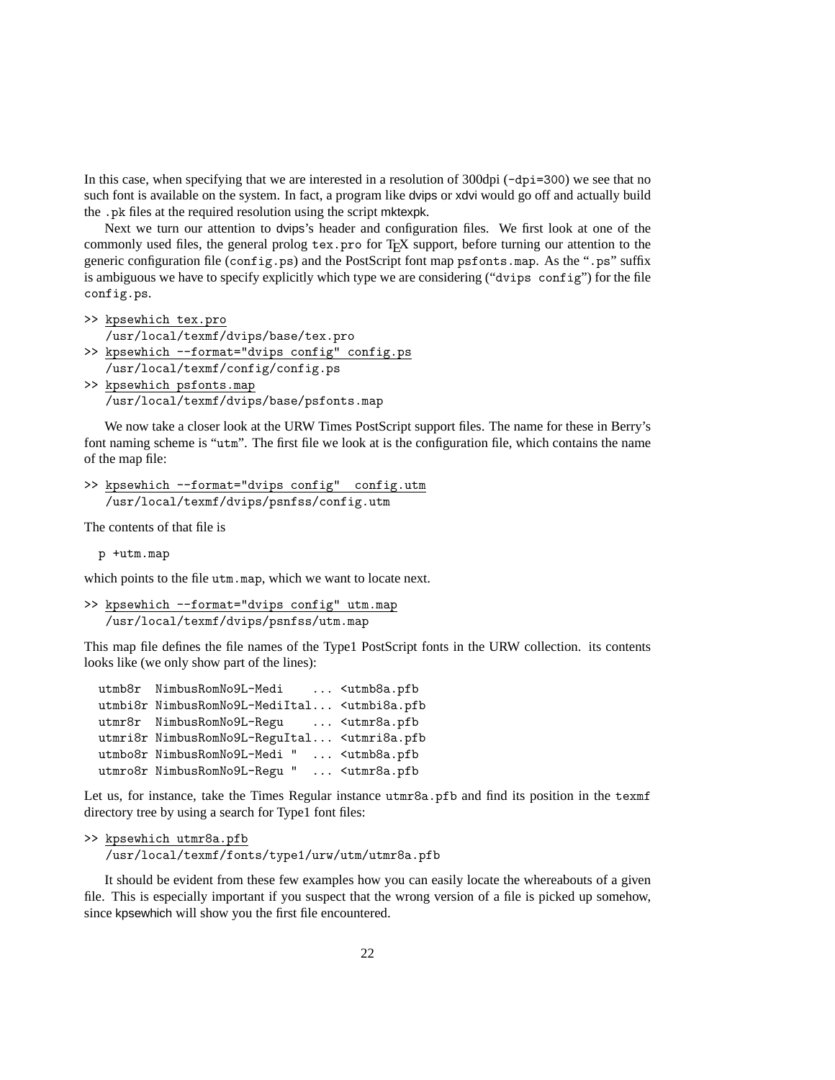In this case, when specifying that we are interested in a resolution of 300dpi (-dpi=300) we see that no such font is available on the system. In fact, a program like dvips or xdvi would go off and actually build the .pk files at the required resolution using the script mktexpk.

Next we turn our attention to dvips's header and configuration files. We first look at one of the commonly used files, the general prolog tex.pro for T<sub>E</sub>X support, before turning our attention to the generic configuration file (config.ps) and the PostScript font map psfonts.map. As the ".ps" suffix is ambiguous we have to specify explicitly which type we are considering ("dvips config") for the file config.ps.

```
>> kpsewhich tex.pro
   /usr/local/texmf/dvips/base/tex.pro
>> kpsewhich --format="dvips config" config.ps
   /usr/local/texmf/config/config.ps
```
>> kpsewhich psfonts.map /usr/local/texmf/dvips/base/psfonts.map

We now take a closer look at the URW Times PostScript support files. The name for these in Berry's font naming scheme is "utm". The first file we look at is the configuration file, which contains the name of the map file:

```
>> kpsewhich --format="dvips config" config.utm
   /usr/local/texmf/dvips/psnfss/config.utm
```
The contents of that file is

p +utm.map

which points to the file utm.map, which we want to locate next.

```
>> kpsewhich --format="dvips config" utm.map
   /usr/local/texmf/dvips/psnfss/utm.map
```
This map file defines the file names of the Type1 PostScript fonts in the URW collection. its contents looks like (we only show part of the lines):

| utmb8r NimbusRomNo9L-Medi                                                   | $\ldots$ <utmb8a.pfb< th=""></utmb8a.pfb<> |
|-----------------------------------------------------------------------------|--------------------------------------------|
| utmbi8r NimbusRomNo9L-MediItal <utmbi8a.pfb< td=""><td></td></utmbi8a.pfb<> |                                            |
| utmr8r NimbusRomNo9L-Regu <utmr8a.pfb< td=""><td></td></utmr8a.pfb<>        |                                            |
| utmri8r NimbusRomNo9L-ReguItal <utmri8a.pfb< td=""><td></td></utmri8a.pfb<> |                                            |
| utmbo8r NimbusRomNo9L-Medi "                                                | $\ldots$ <utmb8a.pfb< td=""></utmb8a.pfb<> |
| utmro8r NimbusRomNo9L-Regu "                                                | <utmr8a.pfb< td=""></utmr8a.pfb<>          |

Let us, for instance, take the Times Regular instance utmr8a.pfb and find its position in the texmf directory tree by using a search for Type1 font files:

```
>> kpsewhich utmr8a.pfb
   /usr/local/texmf/fonts/type1/urw/utm/utmr8a.pfb
```
It should be evident from these few examples how you can easily locate the whereabouts of a given file. This is especially important if you suspect that the wrong version of a file is picked up somehow, since kpsewhich will show you the first file encountered.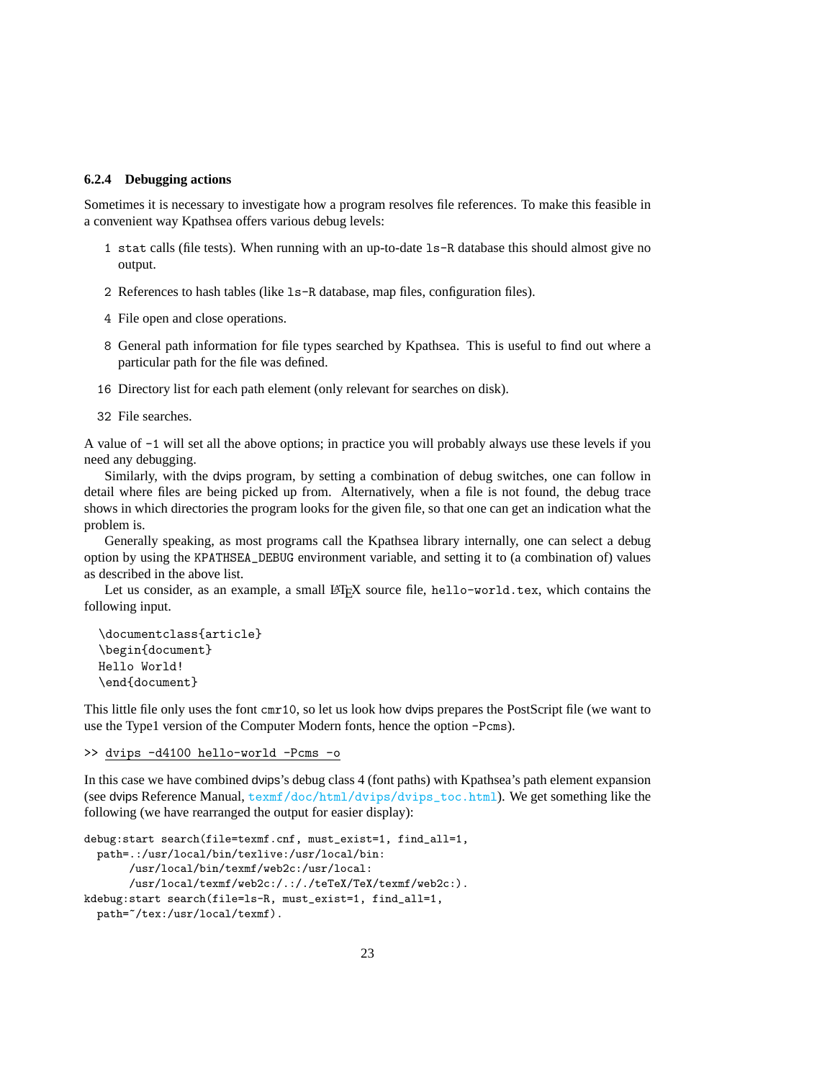#### <span id="page-22-0"></span>**6.2.4 Debugging actions**

Sometimes it is necessary to investigate how a program resolves file references. To make this feasible in a convenient way Kpathsea offers various debug levels:

- 1 stat calls (file tests). When running with an up-to-date ls-R database this should almost give no output.
- 2 References to hash tables (like ls-R database, map files, configuration files).
- 4 File open and close operations.
- 8 General path information for file types searched by Kpathsea. This is useful to find out where a particular path for the file was defined.
- 16 Directory list for each path element (only relevant for searches on disk).
- 32 File searches.

A value of -1 will set all the above options; in practice you will probably always use these levels if you need any debugging.

Similarly, with the dvips program, by setting a combination of debug switches, one can follow in detail where files are being picked up from. Alternatively, when a file is not found, the debug trace shows in which directories the program looks for the given file, so that one can get an indication what the problem is.

Generally speaking, as most programs call the Kpathsea library internally, one can select a debug option by using the KPATHSEA\_DEBUG environment variable, and setting it to (a combination of) values as described in the above list.

Let us consider, as an example, a small LATEX source file, hello-world.tex, which contains the following input.

```
\documentclass{article}
\begin{document}
Hello World!
\end{document}
```
This little file only uses the font cmr10, so let us look how dvips prepares the PostScript file (we want to use the Type1 version of the Computer Modern fonts, hence the option -Pcms).

>> dvips -d4100 hello-world -Pcms -o

In this case we have combined dvips's debug class 4 (font paths) with Kpathsea's path element expansion (see dvips Reference Manual, texmf/doc/html/dvips/dvips\_toc.html). We get something like the following (we have rearranged the output for easier display):

```
debug:start search(file=texmf.cnf, must_exist=1, find_all=1,
 path=.:/usr/local/bin/texlive:/usr/local/bin:
       /usr/local/bin/texmf/web2c:/usr/local:
       /usr/local/texmf/web2c:/.:/./teTeX/TeX/texmf/web2c:).
kdebug:start search(file=ls-R, must_exist=1, find_all=1,
 path="/tex:/usr/local/texmf).
```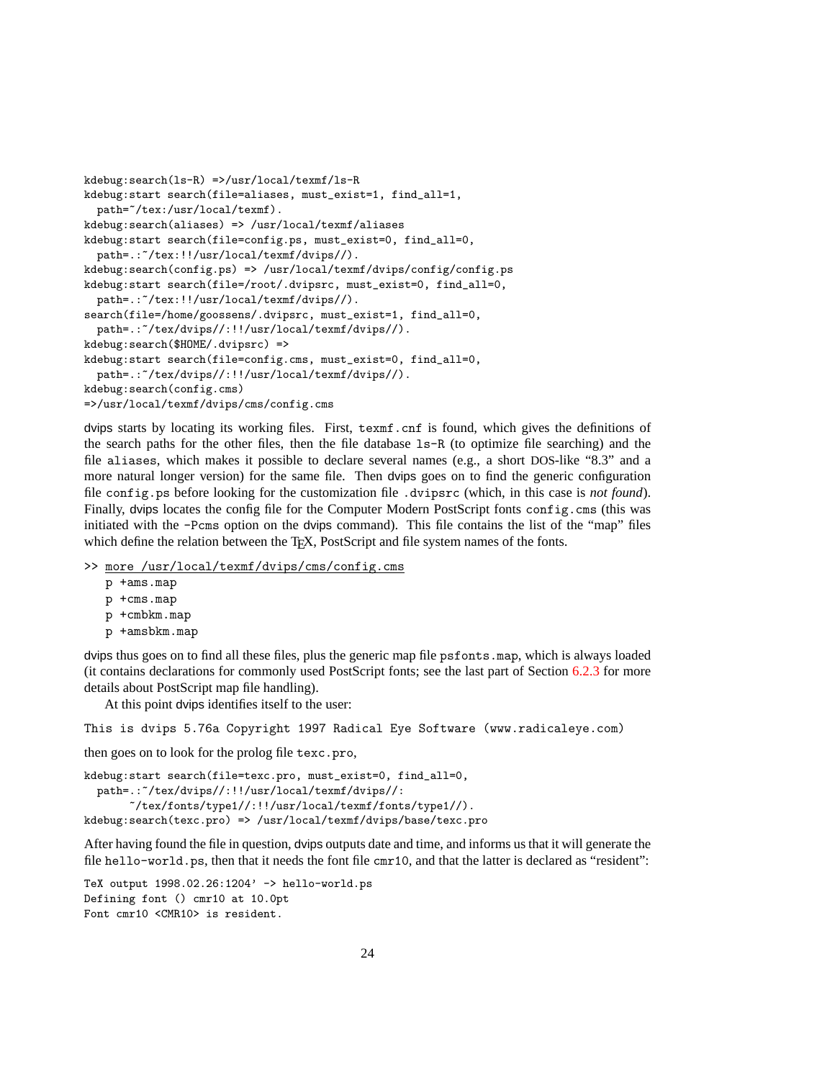```
kdebug:search(ls-R) =>/usr/local/texmf/ls-R
kdebug:start search(file=aliases, must_exist=1, find_all=1,
  path="/tex:/usr/local/texmf).
kdebug:search(aliases) => /usr/local/texmf/aliases
kdebug:start search(file=config.ps, must_exist=0, find_all=0,
  path=.:~/tex:!!/usr/local/texmf/dvips//).
kdebug:search(config.ps) => /usr/local/texmf/dvips/config/config.ps
kdebug:start search(file=/root/.dvipsrc, must_exist=0, find_all=0,
 path=.:~/tex:!!/usr/local/texmf/dvips//).
search(file=/home/goossens/.dvipsrc, must_exist=1, find_all=0,
 path=.:~/tex/dvips//:!!/usr/local/texmf/dvips//).
kdebug:search($HOME/.dvipsrc) =>
kdebug:start search(file=config.cms, must_exist=0, find_all=0,
  path=.:~/tex/dvips//:!!/usr/local/texmf/dvips//).
kdebug:search(config.cms)
=>/usr/local/texmf/dvips/cms/config.cms
```
dvips starts by locating its working files. First, texmf.cnf is found, which gives the definitions of the search paths for the other files, then the file database ls-R (to optimize file searching) and the file aliases, which makes it possible to declare several names (e.g., a short DOS-like "8.3" and a more natural longer version) for the same file. Then dvips goes on to find the generic configuration file config.ps before looking for the customization file .dvipsrc (which, in this case is *not found*). Finally, dvips locates the config file for the Computer Modern PostScript fonts config.cms (this was initiated with the -Pcms option on the dvips command). This file contains the list of the "map" files which define the relation between the T<sub>EX</sub>, PostScript and file system names of the fonts.

>> more /usr/local/texmf/dvips/cms/config.cms

```
p +ams.map
```
- p +cms.map
- p +cmbkm.map
- p +amsbkm.map

dvips thus goes on to find all these files, plus the generic map file psfonts.map, which is always loaded (it contains declarations for commonly used PostScript fonts; see the last part of Section [6.2.3](#page-20-0) for more details about PostScript map file handling).

At this point dvips identifies itself to the user:

This is dvips 5.76a Copyright 1997 Radical Eye Software (www.radicaleye.com)

then goes on to look for the prolog file texc.pro,

kdebug:start search(file=texc.pro, must\_exist=0, find\_all=0,

path=.:~/tex/dvips//:!!/usr/local/texmf/dvips//: ~/tex/fonts/type1//:!!/usr/local/texmf/fonts/type1//). kdebug:search(texc.pro) => /usr/local/texmf/dvips/base/texc.pro

After having found the file in question, dvips outputs date and time, and informs us that it will generate the file hello-world.ps, then that it needs the font file cmr10, and that the latter is declared as "resident":

```
TeX output 1998.02.26:1204' -> hello-world.ps
Defining font () cmr10 at 10.0pt
Font cmr10 <CMR10> is resident.
```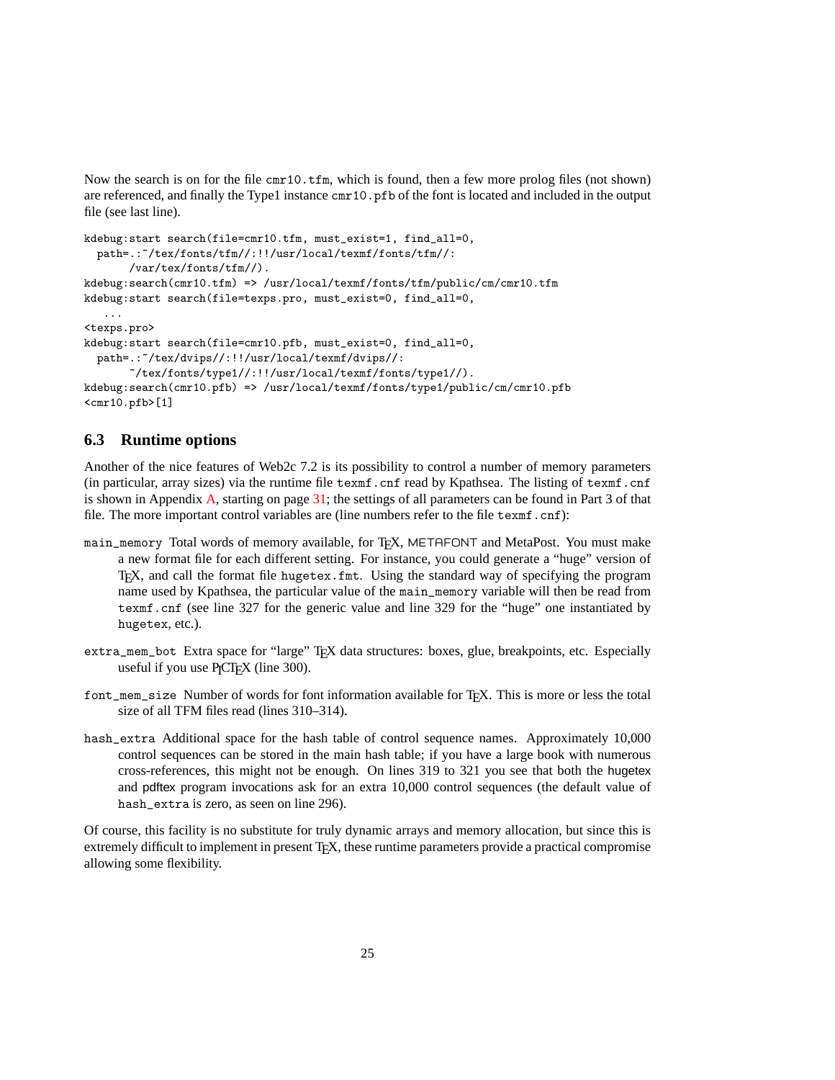<span id="page-24-0"></span>Now the search is on for the file cmr10.tfm, which is found, then a few more prolog files (not shown) are referenced, and finally the Type1 instance cmr10.pfb of the font is located and included in the output file (see last line).

```
kdebug:start search(file=cmr10.tfm, must_exist=1, find_all=0,
 path=.:~/tex/fonts/tfm//:!!/usr/local/texmf/fonts/tfm//:
       /var/tex/fonts/tfm//).
kdebug:search(cmr10.tfm) => /usr/local/texmf/fonts/tfm/public/cm/cmr10.tfm
kdebug:start search(file=texps.pro, must_exist=0, find_all=0,
   ...
<texps.pro>
kdebug:start search(file=cmr10.pfb, must_exist=0, find_all=0,
 path=.:~/tex/dvips//:!!/usr/local/texmf/dvips//:
       ~/tex/fonts/type1//:!!/usr/local/texmf/fonts/type1//).
kdebug:search(cmr10.pfb) => /usr/local/texmf/fonts/type1/public/cm/cmr10.pfb
<cmr10.pfb>[1]
```
### **6.3 Runtime options**

Another of the nice features of Web2c 7.2 is its possibility to control a number of memory parameters (in particular, array sizes) via the runtime file texmf.cnf read by Kpathsea. The listing of texmf.cnf is shown in Appendix [A](#page-30-0), starting on page [31](#page-30-0); the settings of all parameters can be found in Part 3 of that file. The more important control variables are (line numbers refer to the file texmf.cnf):

- main\_memory Total words of memory available, for TEX, METAFONT and MetaPost. You must make a new format file for each different setting. For instance, you could generate a "huge" version of TEX, and call the format file hugetex.fmt. Using the standard way of specifying the program name used by Kpathsea, the particular value of the main\_memory variable will then be read from texmf.cnf (see line 327 for the generic value and line 329 for the "huge" one instantiated by hugetex, etc.).
- extra\_mem\_bot Extra space for "large" TEX data structures: boxes, glue, breakpoints, etc. Especially useful if you use P<sub>I</sub>CT<sub>E</sub>X (line 300).
- font\_mem\_size Number of words for font information available for TEX. This is more or less the total size of all TFM files read (lines 310–314).
- hash\_extra Additional space for the hash table of control sequence names. Approximately 10,000 control sequences can be stored in the main hash table; if you have a large book with numerous cross-references, this might not be enough. On lines 319 to 321 you see that both the hugetex and pdftex program invocations ask for an extra 10,000 control sequences (the default value of hash\_extra is zero, as seen on line 296).

Of course, this facility is no substitute for truly dynamic arrays and memory allocation, but since this is extremely difficult to implement in present T<sub>E</sub>X, these runtime parameters provide a practical compromise allowing some flexibility.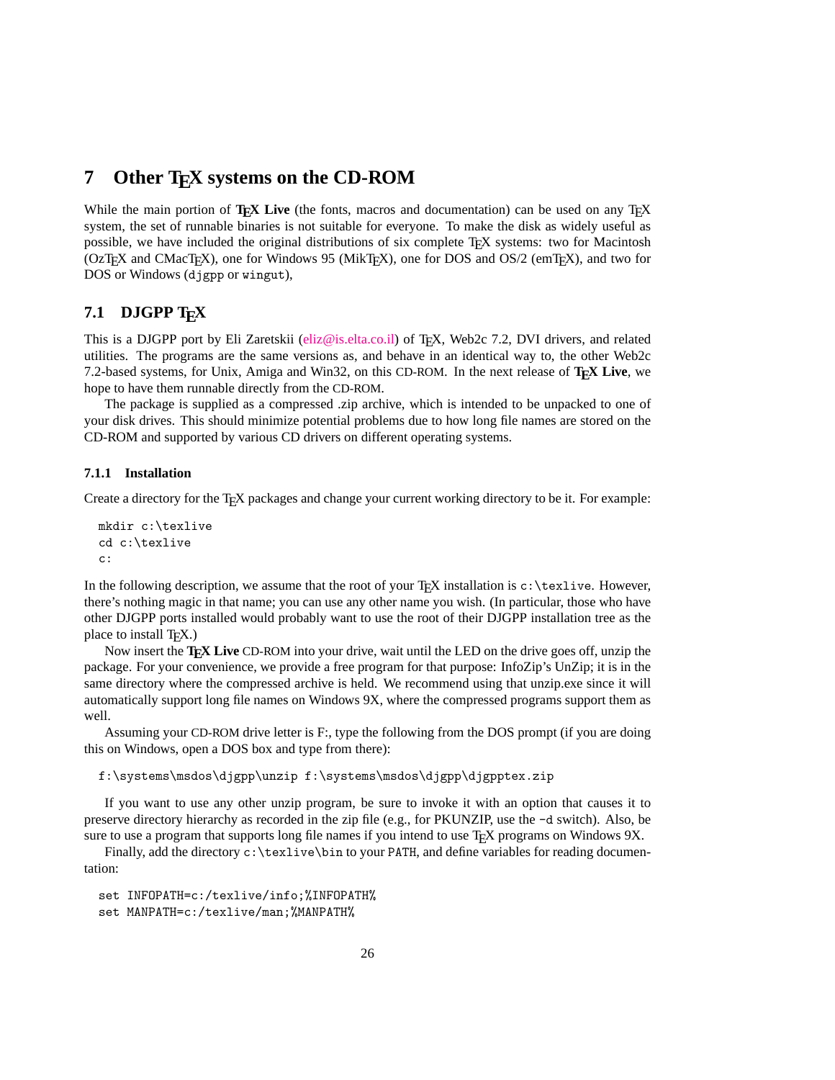## <span id="page-25-0"></span>**7** Other T<sub>F</sub>X systems on the CD-ROM

While the main portion of **TEX Live** (the fonts, macros and documentation) can be used on any TEX system, the set of runnable binaries is not suitable for everyone. To make the disk as widely useful as possible, we have included the original distributions of six complete TEX systems: two for Macintosh ( $OzT$ <sub>EX</sub> and CMacT<sub>EX</sub>), one for Windows 95 (MikT<sub>EX</sub>), one for DOS and  $OS/2$  (emT<sub>EX</sub>), and two for DOS or Windows (djgpp or wingut),

## **7.1 DJGPP TEX**

This is a DJGPP port by Eli Zaretskii [\(eliz@is.elta.co.il](mailto:eliz@is.elta.co.il)) of TEX, Web2c 7.2, DVI drivers, and related utilities. The programs are the same versions as, and behave in an identical way to, the other Web2c 7.2-based systems, for Unix, Amiga and Win32, on this CD-ROM. In the next release of T<sub>E</sub>X Live, we hope to have them runnable directly from the CD-ROM.

The package is supplied as a compressed .zip archive, which is intended to be unpacked to one of your disk drives. This should minimize potential problems due to how long file names are stored on the CD-ROM and supported by various CD drivers on different operating systems.

#### **7.1.1 Installation**

Create a directory for the T<sub>EX</sub> packages and change your current working directory to be it. For example:

```
mkdir c:\texlive
cd c:\texlive
c:
```
In the following description, we assume that the root of your T<sub>EX</sub> installation is  $c:\text{textive. However,}$ there's nothing magic in that name; you can use any other name you wish. (In particular, those who have other DJGPP ports installed would probably want to use the root of their DJGPP installation tree as the place to install T<sub>F</sub>X.)

Now insert the **TEX Live** CD-ROM into your drive, wait until the LED on the drive goes off, unzip the package. For your convenience, we provide a free program for that purpose: InfoZip's UnZip; it is in the same directory where the compressed archive is held. We recommend using that unzip.exe since it will automatically support long file names on Windows 9X, where the compressed programs support them as well.

Assuming your CD-ROM drive letter is F:, type the following from the DOS prompt (if you are doing this on Windows, open a DOS box and type from there):

f:\systems\msdos\djgpp\unzip f:\systems\msdos\djgpp\djgpptex.zip

If you want to use any other unzip program, be sure to invoke it with an option that causes it to preserve directory hierarchy as recorded in the zip file (e.g., for PKUNZIP, use the -d switch). Also, be sure to use a program that supports long file names if you intend to use T<sub>EX</sub> programs on Windows 9X.

Finally, add the directory c:\texlive\bin to your PATH, and define variables for reading documentation:

set INFOPATH=c:/texlive/info;%INFOPATH% set MANPATH=c:/texlive/man;%MANPATH%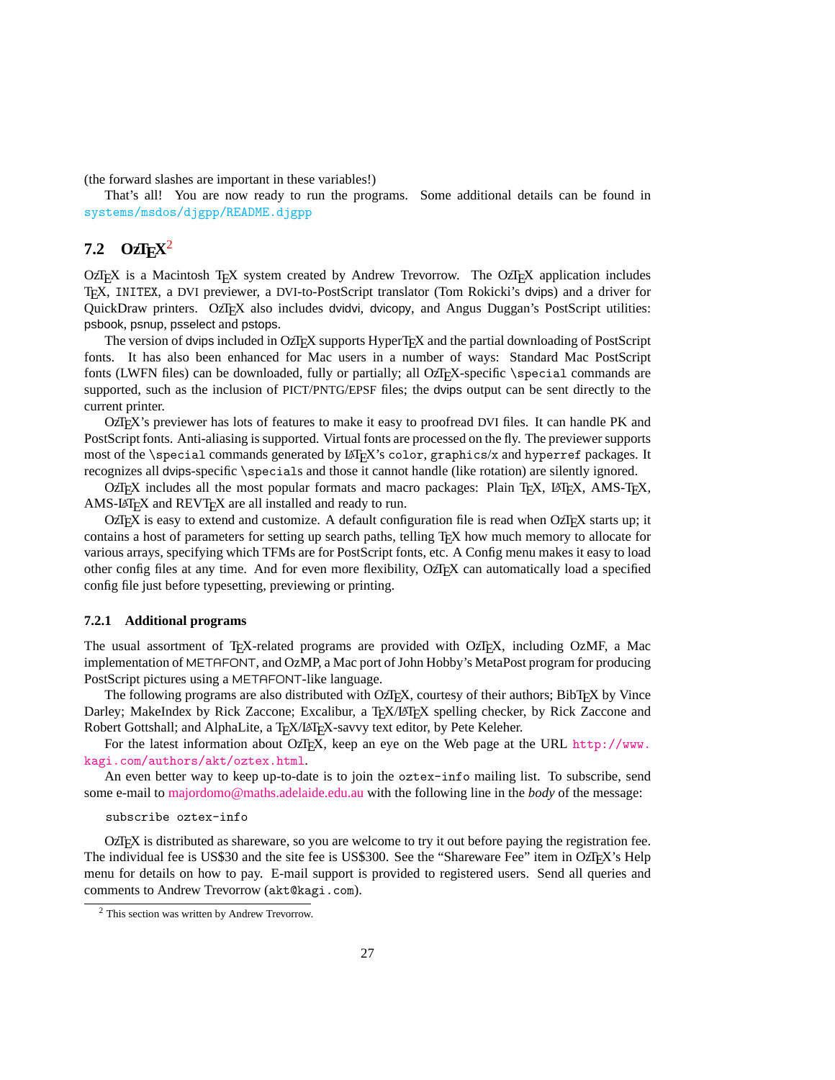<span id="page-26-0"></span>(the forward slashes are important in these variables!)

That's all! You are now ready to run the programs. Some additional details can be found in systems/msdos/djgpp/README.djgpp

## **7.2 OzTEX** 2

OzTEX is a Macintosh TEX system created by Andrew Trevorrow. The OzTEX application includes TEX, INITEX, a DVI previewer, a DVI-to-PostScript translator (Tom Rokicki's dvips) and a driver for QuickDraw printers. OzTEX also includes dvidvi, dvicopy, and Angus Duggan's PostScript utilities: psbook, psnup, psselect and pstops.

The version of dvips included in OzTEX supports HyperTEX and the partial downloading of PostScript fonts. It has also been enhanced for Mac users in a number of ways: Standard Mac PostScript fonts (LWFN files) can be downloaded, fully or partially; all OzTEX-specific \special commands are supported, such as the inclusion of PICT/PNTG/EPSF files; the dvips output can be sent directly to the current printer.

OzTEX's previewer has lots of features to make it easy to proofread DVI files. It can handle PK and PostScript fonts. Anti-aliasing is supported. Virtual fonts are processed on the fly. The previewer supports most of the \special commands generated by LATEX's color, graphics/x and hyperref packages. It recognizes all dvips-specific \specials and those it cannot handle (like rotation) are silently ignored.

OzTEX includes all the most popular formats and macro packages: Plain TEX, LATEX, AMS-TEX, AMS-LATEX and REVTEX are all installed and ready to run.

OzTEX is easy to extend and customize. A default configuration file is read when OzTEX starts up; it contains a host of parameters for setting up search paths, telling TEX how much memory to allocate for various arrays, specifying which TFMs are for PostScript fonts, etc. A Config menu makes it easy to load other config files at any time. And for even more flexibility, OzTEX can automatically load a specified config file just before typesetting, previewing or printing.

#### **7.2.1 Additional programs**

The usual assortment of TEX-related programs are provided with OzTEX, including OzMF, a Mac implementation of METAFONT, and OzMP, a Mac port of John Hobby's MetaPost program for producing PostScript pictures using a METAFONT-like language.

The following programs are also distributed with OzTEX, courtesy of their authors; BibTEX by Vince Darley; MakeIndex by Rick Zaccone; Excalibur, a TEX/LATEX spelling checker, by Rick Zaccone and Robert Gottshall; and AlphaLite, a TEX/LATEX-savvy text editor, by Pete Keleher.

For the latest information about OzT<sub>EX</sub>, keep an eye on the Web page at the URL [http://www.](http://www.kagi.com/authors/akt/oztex.html) [kagi.com/authors/akt/oztex.html](http://www.kagi.com/authors/akt/oztex.html).

An even better way to keep up-to-date is to join the oztex-info mailing list. To subscribe, send some e-mail to [majordomo@maths.adelaide.edu.au](mailto:majordomo@maths.adelaide.edu.au) with the following line in the *body* of the message:

#### subscribe oztex-info

OzTEX is distributed as shareware, so you are welcome to try it out before paying the registration fee. The individual fee is US\$30 and the site fee is US\$300. See the "Shareware Fee" item in OzTEX's Help menu for details on how to pay. E-mail support is provided to registered users. Send all queries and comments to Andrew Trevorrow (akt@kagi.com).

<sup>2</sup> This section was written by Andrew Trevorrow.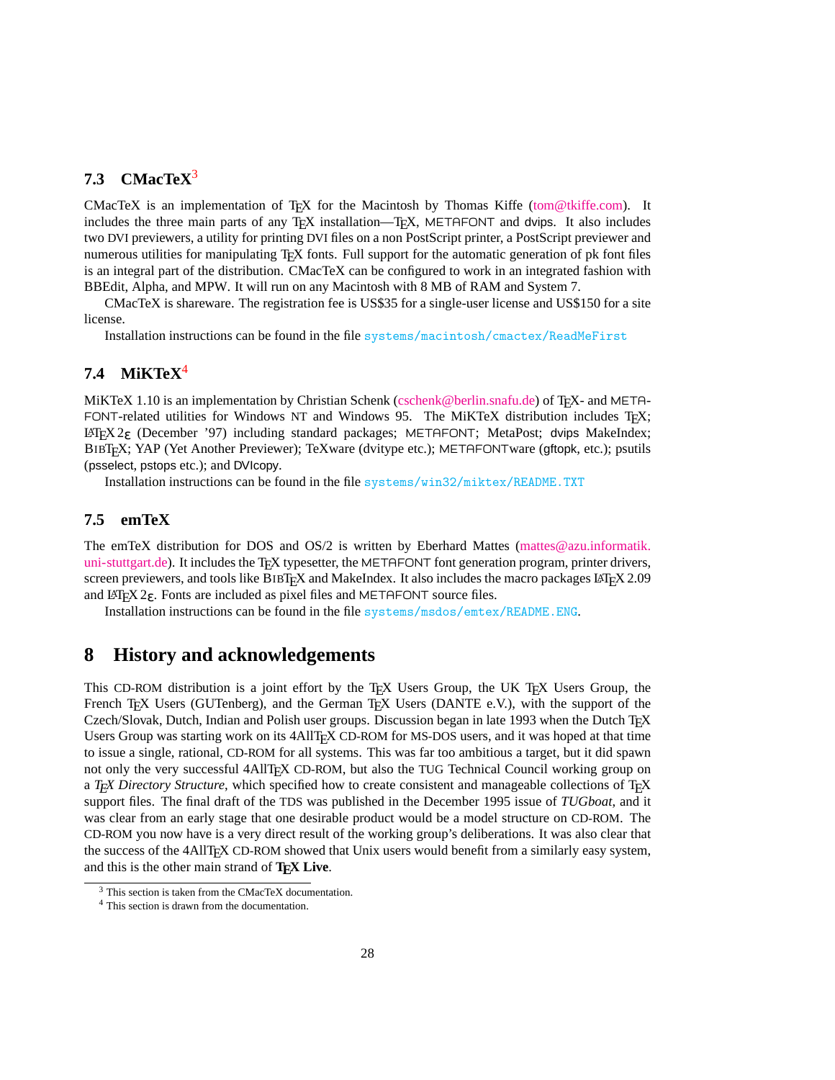## <span id="page-27-0"></span>**7.3 CMacTeX**<sup>3</sup>

CMacTeX is an implementation of TEX for the Macintosh by Thomas Kiffe [\(tom@tkiffe.com\)](mailto:tom@tkiffe.com). It includes the three main parts of any T<sub>EX</sub> installation—T<sub>EX</sub>, METAFONT and dvips. It also includes two DVI previewers, a utility for printing DVI files on a non PostScript printer, a PostScript previewer and numerous utilities for manipulating T<sub>EX</sub> fonts. Full support for the automatic generation of pk font files is an integral part of the distribution. CMacTeX can be configured to work in an integrated fashion with BBEdit, Alpha, and MPW. It will run on any Macintosh with 8 MB of RAM and System 7.

CMacTeX is shareware. The registration fee is US\$35 for a single-user license and US\$150 for a site license.

Installation instructions can be found in the file systems/macintosh/cmactex/ReadMeFirst

## **7.4 MiKTeX**<sup>4</sup>

MiKTeX 1.10 is an implementation by Christian Schenk ([cschenk@berlin.snafu.de](mailto:cschenk@berlin.snafu.de)) of T<sub>E</sub>X- and META-FONT-related utilities for Windows NT and Windows 95. The MiKTeX distribution includes TEX; <sup>L</sup>ATEX 2<sup>ε</sup> (December '97) including standard packages; METAFONT; MetaPost; dvips MakeIndex; <sup>B</sup>IBTEX; YAP (Yet Another Previewer); TeXware (dvitype etc.); METAFONTware (gftopk, etc.); psutils (psselect, pstops etc.); and DVIcopy.

Installation instructions can be found in the file systems/win32/miktex/README.TXT

### **7.5 emTeX**

The emTeX distribution for DOS and  $OS/2$  is written by Eberhard Mattes [\(mattes@azu.informatik.](mailto:mattes@azu.informatik.uni-stuttgart.de) [uni-stuttgart.de\)](mailto:mattes@azu.informatik.uni-stuttgart.de). It includes the TEX typesetter, the METAFONT font generation program, printer drivers, screen previewers, and tools like BIBT<sub>EX</sub> and MakeIndex. It also includes the macro packages LAT<sub>EX</sub> 2.09 and LAT<sub>E</sub>X 2<sub>ε</sub>. Fonts are included as pixel files and METAFONT source files.

Installation instructions can be found in the file systems/msdos/emtex/README.ENG.

## **8 History and acknowledgements**

This CD-ROM distribution is a joint effort by the T<sub>EX</sub> Users Group, the UK T<sub>EX</sub> Users Group, the French T<sub>E</sub>X Users (GUTenberg), and the German T<sub>E</sub>X Users (DANTE e.V.), with the support of the Czech/Slovak, Dutch, Indian and Polish user groups. Discussion began in late 1993 when the Dutch TEX Users Group was starting work on its 4AllTEX CD-ROM for MS-DOS users, and it was hoped at that time to issue a single, rational, CD-ROM for all systems. This was far too ambitious a target, but it did spawn not only the very successful 4AllTEX CD-ROM, but also the TUG Technical Council working group on a *T<sub>E</sub>X Directory Structure*, which specified how to create consistent and manageable collections of T<sub>E</sub>X support files. The final draft of the TDS was published in the December 1995 issue of *TUGboat*, and it was clear from an early stage that one desirable product would be a model structure on CD-ROM. The CD-ROM you now have is a very direct result of the working group's deliberations. It was also clear that the success of the 4AllTEX CD-ROM showed that Unix users would benefit from a similarly easy system, and this is the other main strand of TFX Live.

<sup>3</sup> This section is taken from the CMacTeX documentation.

<sup>4</sup> This section is drawn from the documentation.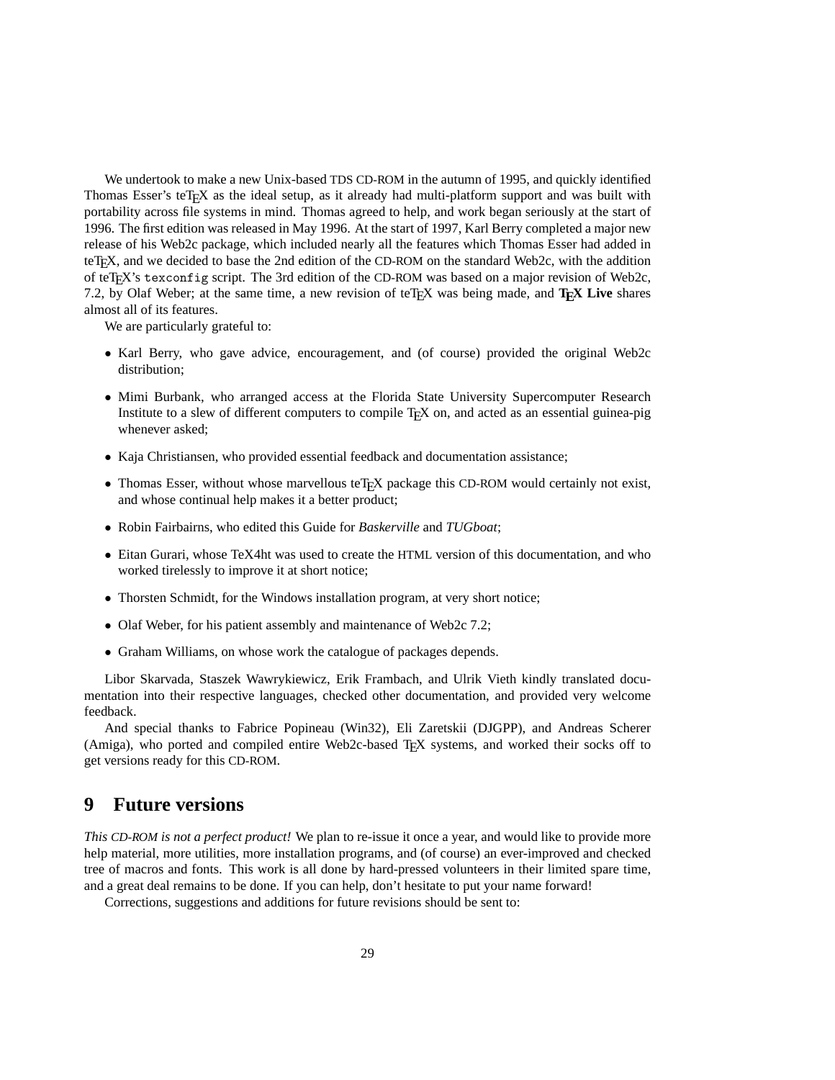<span id="page-28-0"></span>We undertook to make a new Unix-based TDS CD-ROM in the autumn of 1995, and quickly identified Thomas Esser's teTpX as the ideal setup, as it already had multi-platform support and was built with portability across file systems in mind. Thomas agreed to help, and work began seriously at the start of 1996. The first edition was released in May 1996. At the start of 1997, Karl Berry completed a major new release of his Web2c package, which included nearly all the features which Thomas Esser had added in teTEX, and we decided to base the 2nd edition of the CD-ROM on the standard Web2c, with the addition of teTEX's texconfig script. The 3rd edition of the CD-ROM was based on a major revision of Web2c, 7.2, by Olaf Weber; at the same time, a new revision of teT<sub>EX</sub> was being made, and T<sub>EX</sub> Live shares almost all of its features.

We are particularly grateful to:

- Karl Berry, who gave advice, encouragement, and (of course) provided the original Web2c distribution;
- Mimi Burbank, who arranged access at the Florida State University Supercomputer Research Institute to a slew of different computers to compile T<sub>EX</sub> on, and acted as an essential guinea-pig whenever asked;
- Kaja Christiansen, who provided essential feedback and documentation assistance;
- Thomas Esser, without whose marvellous teTpX package this CD-ROM would certainly not exist, and whose continual help makes it a better product;
- Robin Fairbairns, who edited this Guide for *Baskerville* and *TUGboat*;
- Eitan Gurari, whose TeX4ht was used to create the HTML version of this documentation, and who worked tirelessly to improve it at short notice;
- Thorsten Schmidt, for the Windows installation program, at very short notice;
- Olaf Weber, for his patient assembly and maintenance of Web2c 7.2;
- Graham Williams, on whose work the catalogue of packages depends.

Libor Skarvada, Staszek Wawrykiewicz, Erik Frambach, and Ulrik Vieth kindly translated documentation into their respective languages, checked other documentation, and provided very welcome feedback.

And special thanks to Fabrice Popineau (Win32), Eli Zaretskii (DJGPP), and Andreas Scherer (Amiga), who ported and compiled entire Web2c-based TEX systems, and worked their socks off to get versions ready for this CD-ROM.

## **9 Future versions**

*This CD-ROM is not a perfect product!* We plan to re-issue it once a year, and would like to provide more help material, more utilities, more installation programs, and (of course) an ever-improved and checked tree of macros and fonts. This work is all done by hard-pressed volunteers in their limited spare time, and a great deal remains to be done. If you can help, don't hesitate to put your name forward!

Corrections, suggestions and additions for future revisions should be sent to: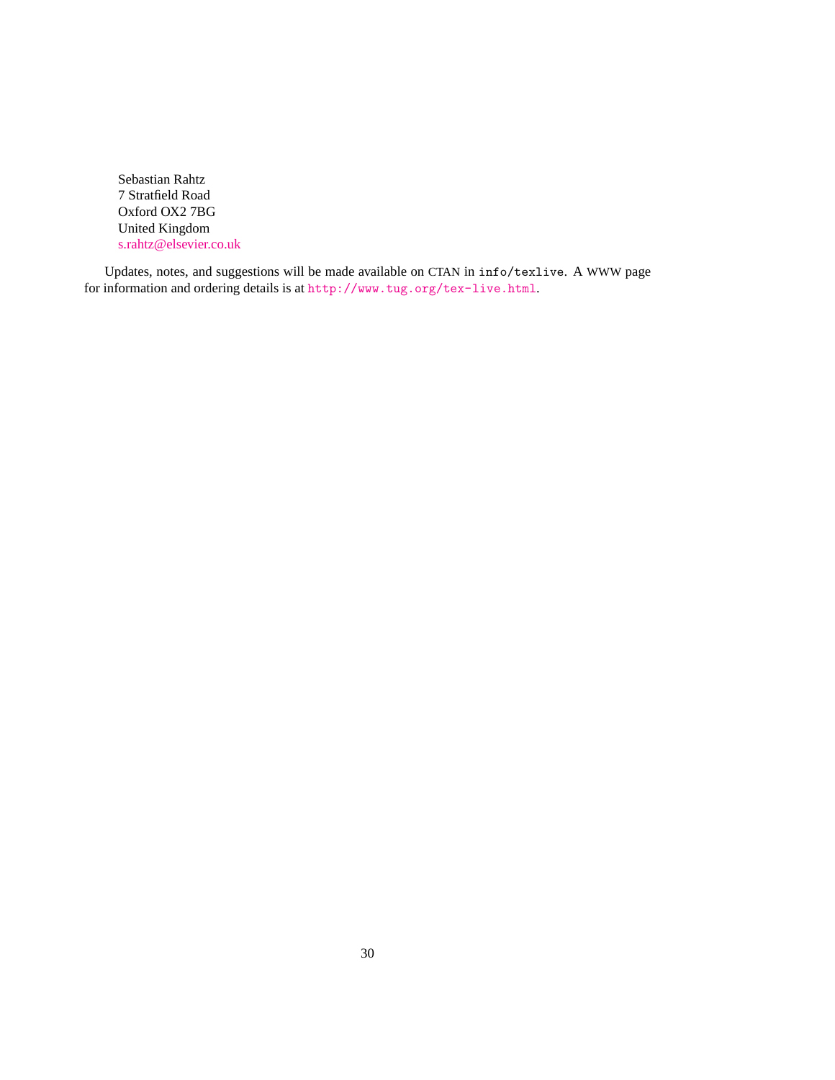Sebastian Rahtz 7 Stratfield Road Oxford OX2 7BG United Kingdom [s.rahtz@elsevier.co.uk](mailto:s.rahtz@elsevier.co.uk)

Updates, notes, and suggestions will be made available on CTAN in info/texlive. A WWW page for information and ordering details is at <http://www.tug.org/tex-live.html>.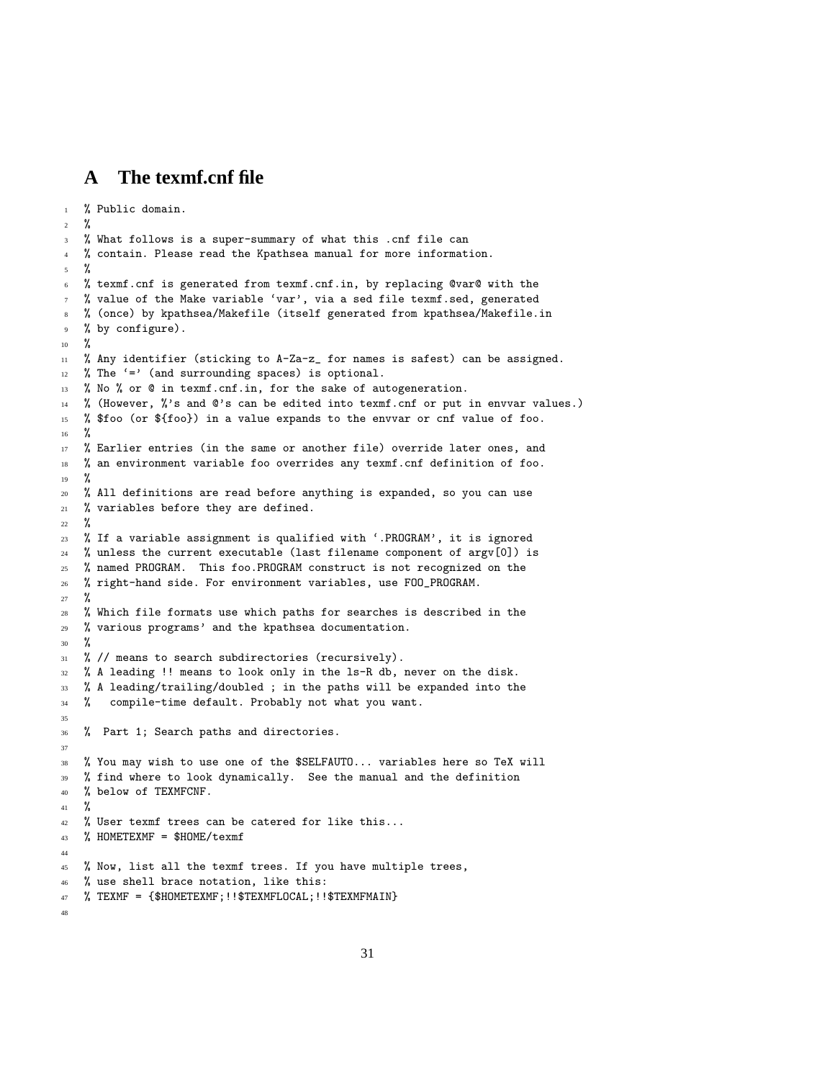## <span id="page-30-0"></span>**A The texmf.cnf file**

```
1 % Public domain.
2 %
3 % What follows is a super-summary of what this .cnf file can
4 % contain. Please read the Kpathsea manual for more information.
   \gamma6 % texmf.cnf is generated from texmf.cnf.in, by replacing @var@ with the
   % value of the Make variable 'var', via a sed file texmf.sed, generated
   8 % (once) by kpathsea/Makefile (itself generated from kpathsea/Makefile.in
   % by configure).
10 %
11 % Any identifier (sticking to A-Za-z_ for names is safest) can be assigned.
12 % The '=' (and surrounding spaces) is optional.
13 % No % or @ in texmf.cnf.in, for the sake of autogeneration.
14 % (However, %'s and @'s can be edited into texmf.cnf or put in envvar values.)
15 % $foo (or ${foo}) in a value expands to the envvar or cnf value of foo.
16 %
17 % Earlier entries (in the same or another file) override later ones, and
18 % an environment variable foo overrides any texmf.cnf definition of foo.
19 %
20 % All definitions are read before anything is expanded, so you can use
21 % variables before they are defined.
22 - y23 % If a variable assignment is qualified with '.PROGRAM', it is ignored
24 % unless the current executable (last filename component of argv[0]) is
25 % named PROGRAM. This foo.PROGRAM construct is not recognized on the
26 % right-hand side. For environment variables, use FOO_PROGRAM.
27 - 228 % Which file formats use which paths for searches is described in the
29 % various programs' and the kpathsea documentation.
30 %
31 % // means to search subdirectories (recursively).
32 % A leading !! means to look only in the ls-R db, never on the disk.
33 % A leading/trailing/doubled ; in the paths will be expanded into the
34 % compile-time default. Probably not what you want.
35
36 % Part 1; Search paths and directories.
37
38 % You may wish to use one of the $SELFAUTO... variables here so TeX will
39 % find where to look dynamically. See the manual and the definition
40 % below of TEXMFCNF.
41 %
42 % User texmf trees can be catered for like this...
43 % HOMETEXMF = $HOME/texmf
44
45 % Now, list all the texmf trees. If you have multiple trees,
46 % use shell brace notation, like this:
47 % TEXMF = {$HOMETEXMF; !! $TEXMFLOCAL; !! $TEXMFMAIN}
48
```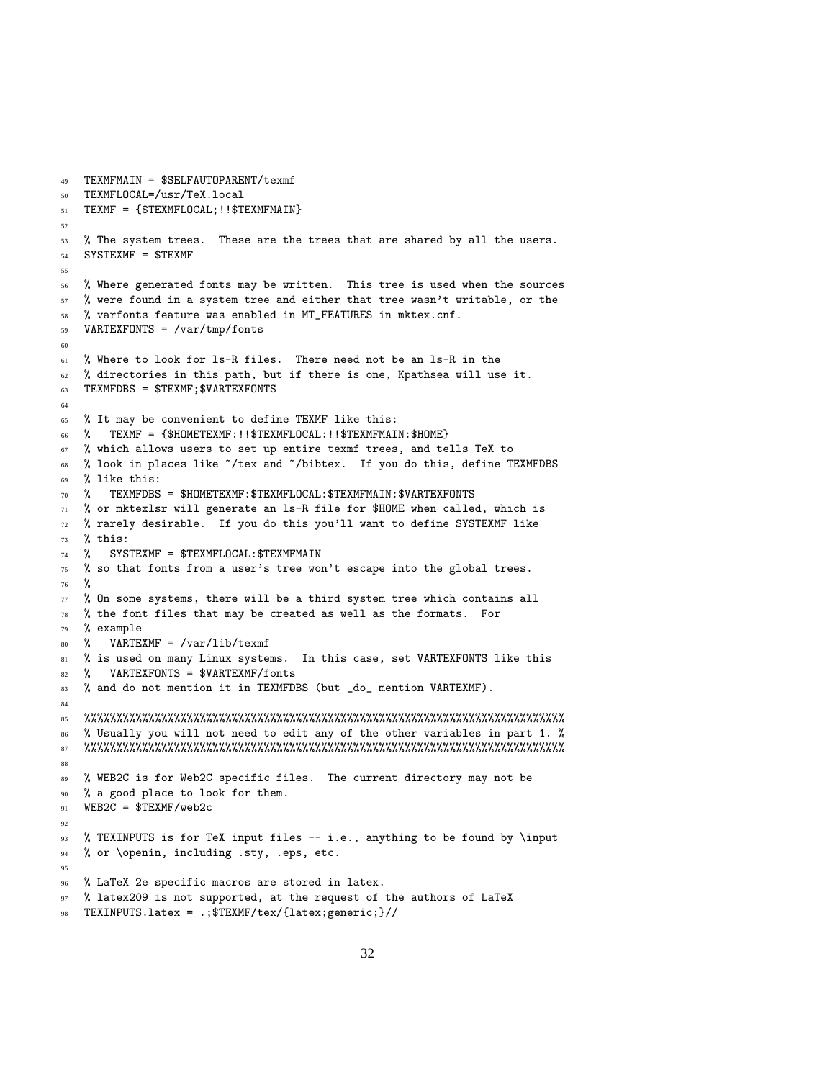```
50 TEXMFLOCAL=/usr/TeX.local
51 TEXMF = {$TEXMFLOCAL; !! $TEXMFMAIN}
52
53 % The system trees. These are the trees that are shared by all the users.
54 SYSTEXMF = $TEXMF
55
56 % Where generated fonts may be written. This tree is used when the sources
57 % were found in a system tree and either that tree wasn't writable, or the
58 % varfonts feature was enabled in MT_FEATURES in mktex.cnf.
59 VARTEXFONTS = /var/tmp/fonts
60
61 % Where to look for ls-R files. There need not be an ls-R in the
62 % directories in this path, but if there is one, Kpathsea will use it.
63 TEXMFDBS = $TEXMF;$VARTEXFONTS
64
65 % It may be convenient to define TEXMF like this:
66 % TEXMF = {$HOMETEXMF:!!$TEXMFLOCAL:!!$TEXMFMAIN:$HOME}
67 % which allows users to set up entire texmf trees, and tells TeX to
68 % look in places like ~/tex and ~/bibtex. If you do this, define TEXMFDBS
69 % like this:
70 % TEXMFDBS = $HOMETEXMF:$TEXMFLOCAL:$TEXMFMAIN:$VARTEXFONTS
71 % or mktexlsr will generate an ls-R file for $HOME when called, which is
72 % rarely desirable. If you do this you'll want to define SYSTEXMF like
73 % this:
74 % SYSTEXMF = $TEXMFLOCAL: $TEXMFMAIN
\frac{9}{75} % so that fonts from a user's tree won't escape into the global trees.
76 %
77 % On some systems, there will be a third system tree which contains all
78 % the font files that may be created as well as the formats. For
79 % example
80 % VARTEXMF = /var/lib/texmf
81 % is used on many Linux systems. In this case, set VARTEXFONTS like this
82 % VARTEXFONTS = $VARTEXMF/fonts
83 % and do not mention it in TEXMFDBS (but _do_ mention VARTEXMF).
84
85 %%%%%%%%%%%%%%%%%%%%%%%%%%%%%%%%%%%%%%%%%%%%%%%%%%%%%%%%%%%%%%%%%%%%%%%%%%%
86 % Usually you will not need to edit any of the other variables in part 1. %
87 %%%%%%%%%%%%%%%%%%%%%%%%%%%%%%%%%%%%%%%%%%%%%%%%%%%%%%%%%%%%%%%%%%%%%%%%%%%
88
89 % WEB2C is for Web2C specific files. The current directory may not be
90 % a good place to look for them.
91 WEB2C = $TEXMF/web2c
9293 % TEXINPUTS is for TeX input files -- i.e., anything to be found by \input
% or \openin, including .sty, .eps, etc.
95
96 % LaTeX 2e specific macros are stored in latex.
97 % latex209 is not supported, at the request of the authors of LaTeX
98 TEXINPUTS.latex = .;$TEXMF/tex/{latex;generic;}//
```
TEXMFMAIN = \$SELFAUTOPARENT/texmf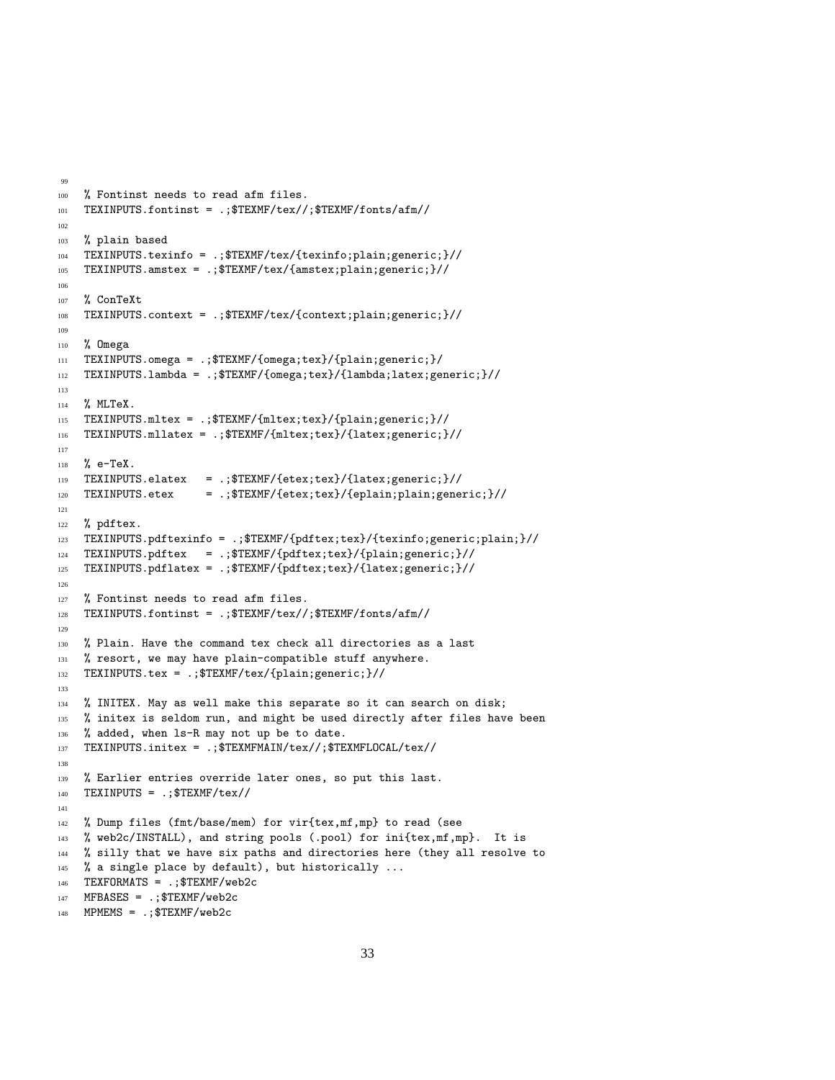```
100 % Fontinst needs to read afm files.
101 TEXINPUTS.fontinst = .;$TEXMF/tex//;$TEXMF/fonts/afm//
102
103 % plain based
104 TEXINPUTS.texinfo = .;$TEXMF/tex/{texinfo;plain;generic;}//
105 TEXINPUTS.amstex = .;$TEXMF/tex/{amstex;plain;generic;}//
106
107 % ConTeXt
108 TEXINPUTS.context = .;$TEXMF/tex/{context;plain;generic;}//
109
110 % Omega
111 TEXINPUTS.omega = .;$TEXMF/{omega;tex}/{plain;generic;}/
112 TEXINPUTS.lambda = .;$TEXMF/{omega;tex}/{lambda;latex;generic;}//
113
114 % MLTeX.
115 TEXINPUTS.mltex = .;$TEXMF/{mltex;tex}/{plain;generic;}//
116 TEXINPUTS.mllatex = .;$TEXMF/{mltex;tex}/{latex;generic;}//
117
118 % e-TeX.
119 TEXINPUTS.elatex = .;$TEXMF/{etex;tex}/{latex;generic;}//
120 TEXINPUTS.etex = .;$TEXMF/{etex;tex}/{eplain;plain;generic;}//
121
122 % pdftex.
123 TEXINPUTS.pdftexinfo = .;$TEXMF/{pdftex;tex}/{texinfo;generic;plain;}//
124 TEXINPUTS.pdftex = .;$TEXMF/{pdftex;tex}/{plain;generic;}//
125 TEXINPUTS.pdflatex = .;$TEXMF/{pdftex;tex}/{latex;generic;}//
126
127 % Fontinst needs to read afm files.
128 TEXINPUTS.fontinst = .;$TEXMF/tex//;$TEXMF/fonts/afm//
129
130 % Plain. Have the command tex check all directories as a last
131 % resort, we may have plain-compatible stuff anywhere.
132 TEXINPUTS.tex = .;$TEXMF/tex/{plain;generic;}//
133
134 % INITEX. May as well make this separate so it can search on disk;
135 % initex is seldom run, and might be used directly after files have been
136 % added, when 1s-R may not up be to date.
137 TEXINPUTS.initex = .;$TEXMFMAIN/tex//;$TEXMFLOCAL/tex//
138
139 % Earlier entries override later ones, so put this last.
140 TEXINPUTS = .; $TEXMF/tex//
141
142 % Dump files (fmt/base/mem) for vir{tex, mf, mp} to read (see
143 % web2c/INSTALL), and string pools (.pool) for ini{tex,mf,mp}. It is
144 % silly that we have six paths and directories here (they all resolve to
145 % a single place by default), but historically ...
146 TEXFORMATS = .;$TEXMF/web2c
147 MFBASES = .;$TEXMF/web2c
148 MPMEMS = .; $TEXMF/web2c
```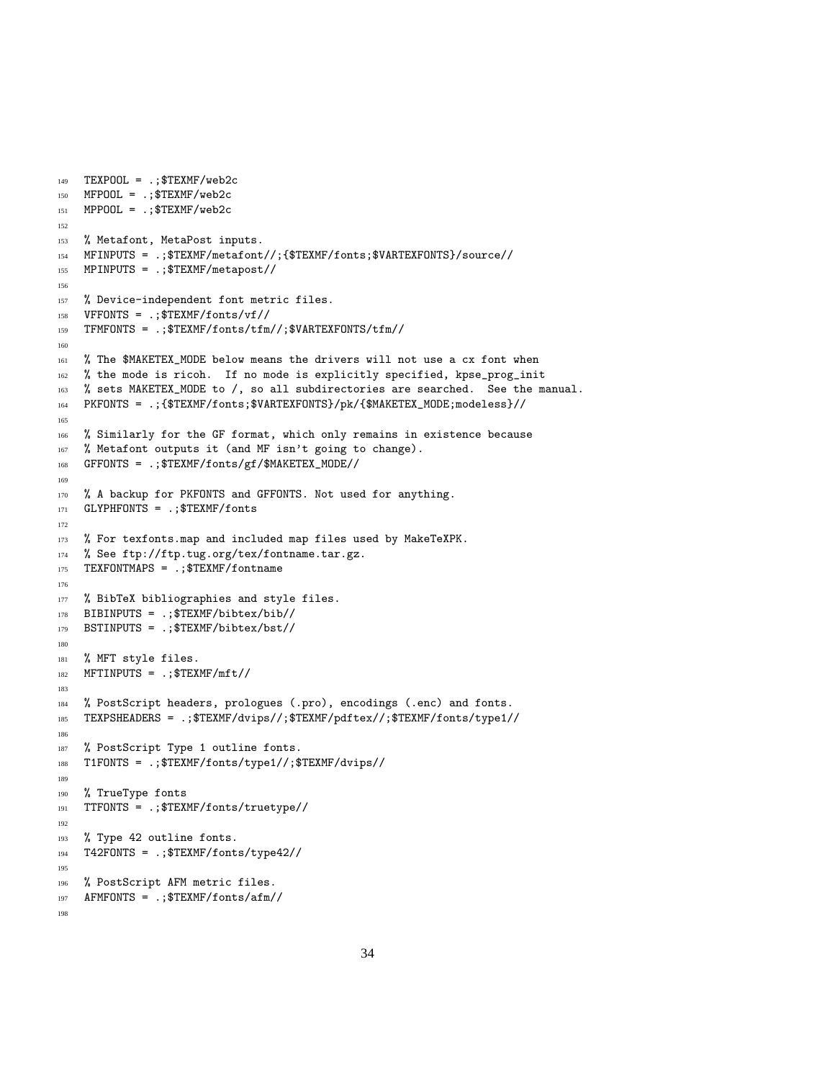```
149 TEXPOOL = .; $TEXMF/web2c
150 MFPOOL = .; TEXMF/web2c151 MPPOOL = .; TEXMF/web2c152
153 % Metafont, MetaPost inputs.
154 MFINPUTS = .;$TEXMF/metafont//;{$TEXMF/fonts;$VARTEXFONTS}/source//
155 MPINPUTS = .;$TEXMF/metapost//
156
157 % Device-independent font metric files.
158 VFFONTS = .;$TEXMF/fonts/vf//
159 TFMFONTS = .;$TEXMF/fonts/tfm//;$VARTEXFONTS/tfm//
160
161 % The $MAKETEX_MODE below means the drivers will not use a cx font when
162 % the mode is ricoh. If no mode is explicitly specified, kpse_prog_init
163 % sets MAKETEX_MODE to /, so all subdirectories are searched. See the manual.
164 PKFONTS = .;{$TEXMF/fonts;$VARTEXFONTS}/pk/{$MAKETEX_MODE;modeless}//
165
166 % Similarly for the GF format, which only remains in existence because
167 % Metafont outputs it (and MF isn't going to change).
168 GFFONTS = .;$TEXMF/fonts/gf/$MAKETEX_MODE//
169
170 % A backup for PKFONTS and GFFONTS. Not used for anything.
171 GLYPHFONTS = .; $TEXMF/fonts
172
173 % For texfonts.map and included map files used by MakeTeXPK.
174 % See ftp://ftp.tug.org/tex/fontname.tar.gz.
175 TEXFONTMAPS = .; $TEXMF/fontname
176
177 % BibTeX bibliographies and style files.
178 BIBINPUTS = .;$TEXMF/bibtex/bib//
179 BSTINPUTS = .;$TEXMF/bibtex/bst//
180
181 % MFT style files.
182 MFTINPUTS = .; $TEXMF/mft//
183
184 % PostScript headers, prologues (.pro), encodings (.enc) and fonts.
185 TEXPSHEADERS = .;$TEXMF/dvips//;$TEXMF/pdftex//;$TEXMF/fonts/type1//
186
187 % PostScript Type 1 outline fonts.
188 T1FONTS = .;$TEXMF/fonts/type1//;$TEXMF/dvips//
189
190 % TrueType fonts
191 TTFONTS = .;$TEXMF/fonts/truetype//
192
193 % Type 42 outline fonts.
194 T42FONTS = .;$TEXMF/fonts/type42//
195
196 % PostScript AFM metric files.
197 AFMFONTS = .;$TEXMF/fonts/afm//
198
```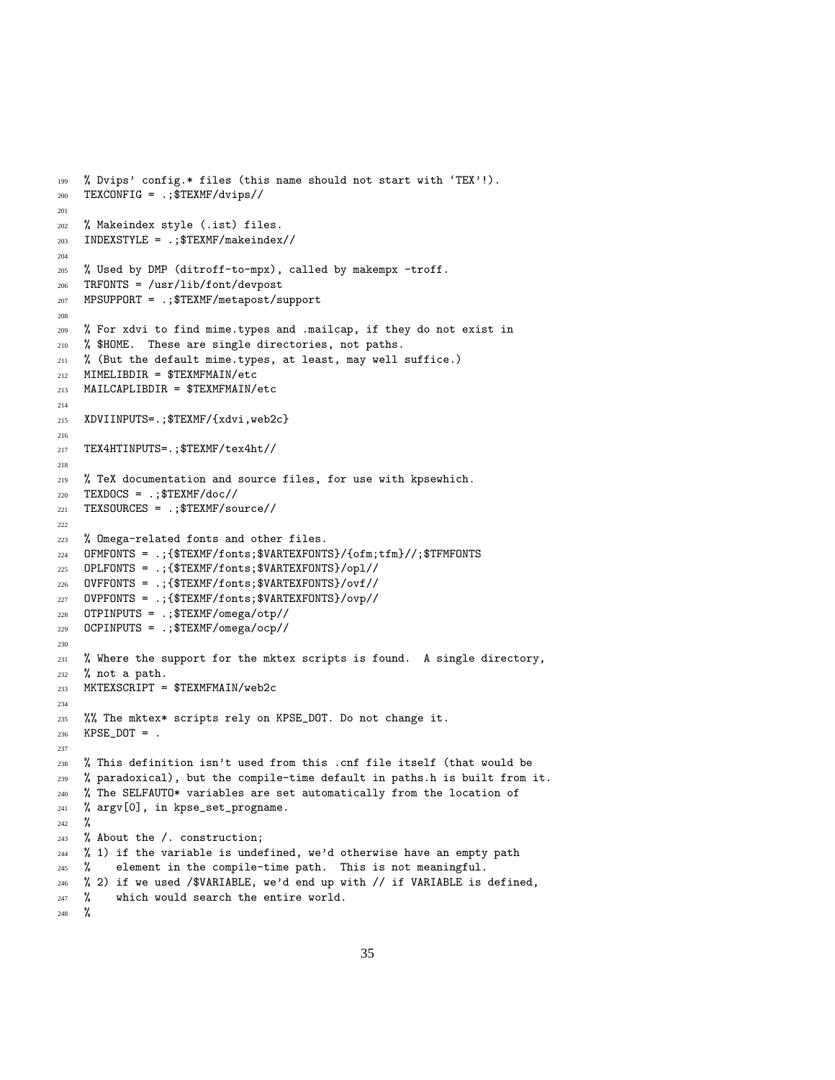```
199 % Dvips' config.* files (this name should not start with 'TEX'!).
200 TEXCONFIG = .;$TEXMF/dvips//
201
202 % Makeindex style (.ist) files.
203 INDEXSTYLE = .;$TEXMF/makeindex//
204
205 % Used by DMP (ditroff-to-mpx), called by makempx -troff.
206 TRFONTS = \sqrt{usr/lib/font/devpost}207 MPSUPPORT = .;$TEXMF/metapost/support
208
209 % For xdvi to find mime.types and .mailcap, if they do not exist in
210 % $HOME. These are single directories, not paths.
211 % (But the default mime.types, at least, may well suffice.)
212 MIMELIBDIR = $TEXMFMAIN/etc
213 MAILCAPLIBDIR = $TEXMFMAIN/etc
214215 XDVIINPUTS=.; $TEXMF/{xdvi, web2c}
216
217 TEX4HTINPUTS=.;$TEXMF/tex4ht//
218
219 % TeX documentation and source files, for use with kpsewhich.
220 TEXDOCS = .; TEXMF/doc221 TEXSOURCES = .;$TEXMF/source//
222
223 % Omega-related fonts and other files.
224 OFMFONTS = .;{$TEXMF/fonts;$VARTEXFONTS}/{ofm;tfm}//;$TFMFONTS
225 OPLFONTS = .;{$TEXMF/fonts;$VARTEXFONTS}/opl//
226 OVFFONTS = .;{$TEXMF/fonts;$VARTEXFONTS}/ovf//
227 OVPFONTS = .;{$TEXMF/fonts;$VARTEXFONTS}/ovp//
228 OTPINPUTS = .;$TEXMF/omega/otp//
229 OCPINPUTS = .;$TEXMF/omega/ocp//
230
231 % Where the support for the mktex scripts is found. A single directory,
232 % not a path.
233 MKTEXSCRIPT = $TEXMFMAIN/web2c
234235 %% The mktex* scripts rely on KPSE_DOT. Do not change it.
236 KPSE_DOT = .
237
238 % This definition isn't used from this .cnf file itself (that would be
239 % paradoxical), but the compile-time default in paths.h is built from it.
240 % The SELFAUTO* variables are set automatically from the location of
241 % argv[0], in kpse_set_progname.
242 - 2243 % About the /. construction;
244 % 1) if the variable is undefined, we'd otherwise have an empty path
245 % element in the compile-time path. This is not meaningful.
\frac{246}{2} % 2) if we used /$VARIABLE, we'd end up with // if VARIABLE is defined,
247 % which would search the entire world.
248 %
```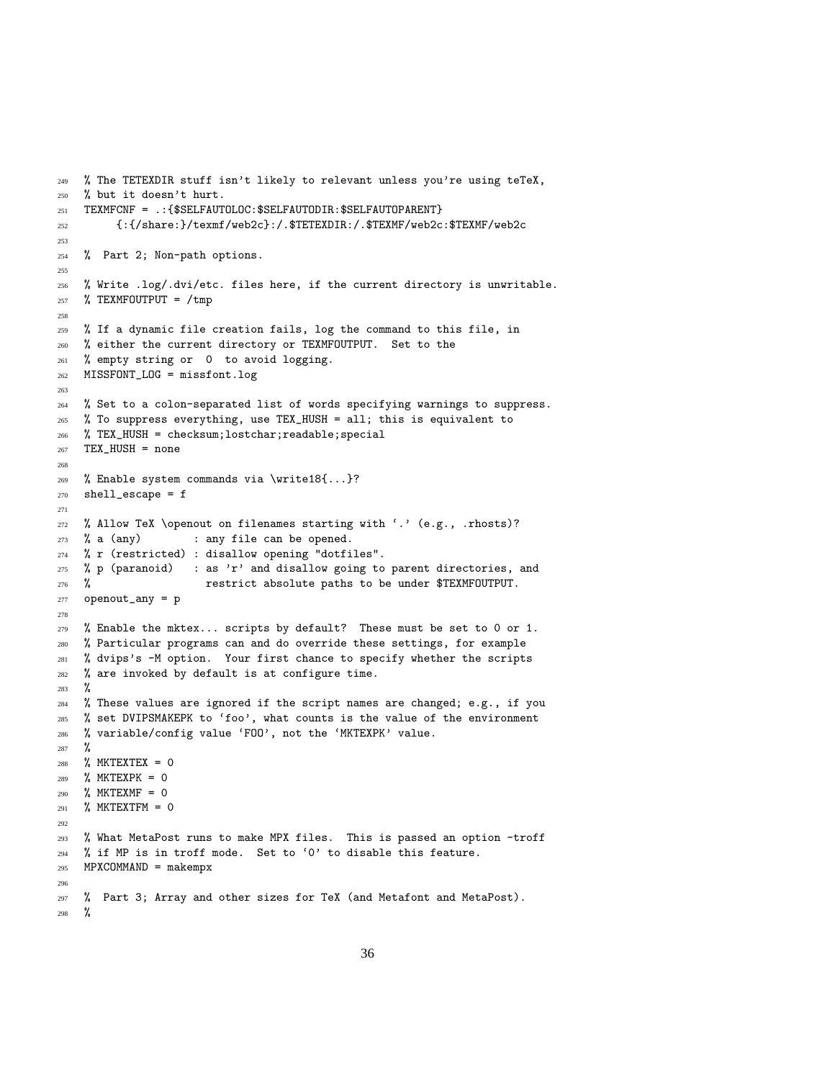```
249 % The TETEXDIR stuff isn't likely to relevant unless you're using teTeX,
250 % but it doesn't hurt.
251 TEXMFCNF = .: {$SELFAUTOLOC: $SELFAUTODIR: $SELFAUTOPARENT}
252 {:{/share:}/texmf/web2c}:/.$TETEXDIR:/.$TEXMF/web2c:$TEXMF/web2c
253
254 % Part 2; Non-path options.
255
256 % Write .log/.dvi/etc. files here, if the current directory is unwritable.
257 % TEXMFOUTPUT = /tmp
258
259 % If a dynamic file creation fails, log the command to this file, in
260 % either the current directory or TEXMFOUTPUT. Set to the
261 % empty string or 0 to avoid logging.
262 MISSFONT_LOG = missfont.log
263
264 % Set to a colon-separated list of words specifying warnings to suppress.
265 % To suppress everything, use TEX_HUSH = all; this is equivalent to
266 % TEX_HUSH = checksum;lostchar;readable;special
267 TEX_HUSH = none
268
269 % Enable system commands via \write18{...}?
270 shell_escape = f
271
272 % Allow TeX \openout on filenames starting with '.' (e.g., .rhosts)?
273 % a (any) : any file can be opened.
274 % r (restricted) : disallow opening "dotfiles".
275 % p (paranoid) : as 'r' and disallow going to parent directories, and
276 % restrict absolute paths to be under $TEXMFOUTPUT.
277 openout_any = p
278279 % Enable the mktex... scripts by default? These must be set to 0 or 1.
280 % Particular programs can and do override these settings, for example
281 % dvips's -M option. Your first chance to specify whether the scripts
282 % are invoked by default is at configure time.
283 %
284 % These values are ignored if the script names are changed; e.g., if you
285 % set DVIPSMAKEPK to 'foo', what counts is the value of the environment
286 % variable/config value 'FOO', not the 'MKTEXPK' value.
287 %
288 % MKTEXTEX = 0
289 % MKTEXPK = 0
290 % MKTEXMF = 0
291 % MKTEXTFM = 0
292293 % What MetaPost runs to make MPX files. This is passed an option -troff
294 % if MP is in troff mode. Set to '0' to disable this feature.
295 MPXCOMMAND = makempx
296
297 % Part 3; Array and other sizes for TeX (and Metafont and MetaPost).
298 %
```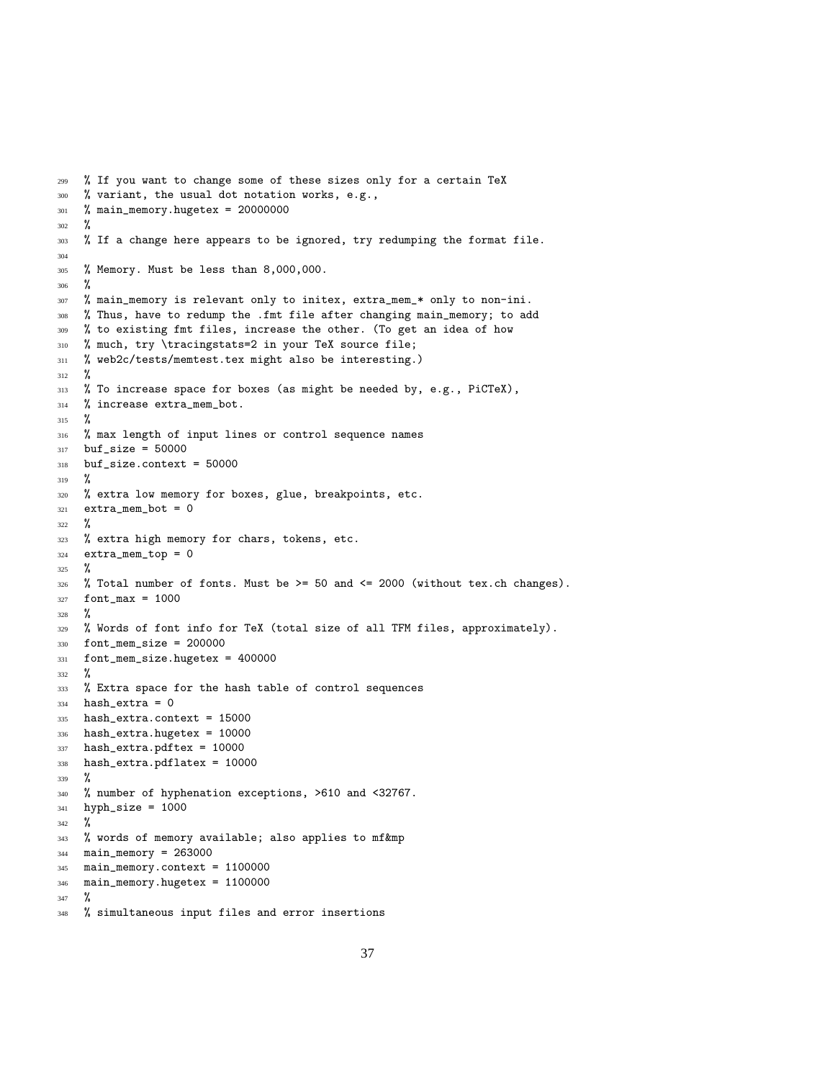```
299 % If you want to change some of these sizes only for a certain TeX
300 % variant, the usual dot notation works, e.g.,
301 % main_memory.hugetex = 20000000
302 \frac{\%}{\%}303 % If a change here appears to be ignored, try redumping the format file.
304
305 % Memory. Must be less than 8,000,000.
306 %
307 % main_memory is relevant only to initex, extra_mem_* only to non-ini.
308 % Thus, have to redump the .fmt file after changing main_memory; to add
309 % to existing fmt files, increase the other. (To get an idea of how
310 % much, try \tracingstats=2 in your TeX source file;
311 % web2c/tests/memtest.tex might also be interesting.)
312 %
313 % To increase space for boxes (as might be needed by, e.g., PiCTeX),
314 % increase extra_mem_bot.
315 %
316 % max length of input lines or control sequence names
317 buf_size = 50000
318 buf_size.context = 50000
319 %
320 % extra low memory for boxes, glue, breakpoints, etc.
321 extra_mem_bot = 0
322 %
323 % extra high memory for chars, tokens, etc.
324 extra_mem_top = 0
325 %
326 % Total number of fonts. Must be >= 50 and <= 2000 (without tex.ch changes).
327 font_max = 1000
328 %
329 % Words of font info for TeX (total size of all TFM files, approximately).
330 font_mem_size = 200000
331 font_mem_size.hugetex = 400000
332 %
333 % Extra space for the hash table of control sequences
334 hash_extra = 0
335 hash_extra.context = 15000
336 hash_extra.hugetex = 10000
337 hash_extra.pdftex = 10000
338 hash_extra.pdflatex = 10000
339 %
340 % number of hyphenation exceptions, >610 and <32767.
341 hyph_size = 1000
342 %
343 % words of memory available; also applies to mf&mp
344 main_memory = 263000
345 main_memory.context = 1100000
346 main_memory.hugetex = 1100000
347 %
348 % simultaneous input files and error insertions
```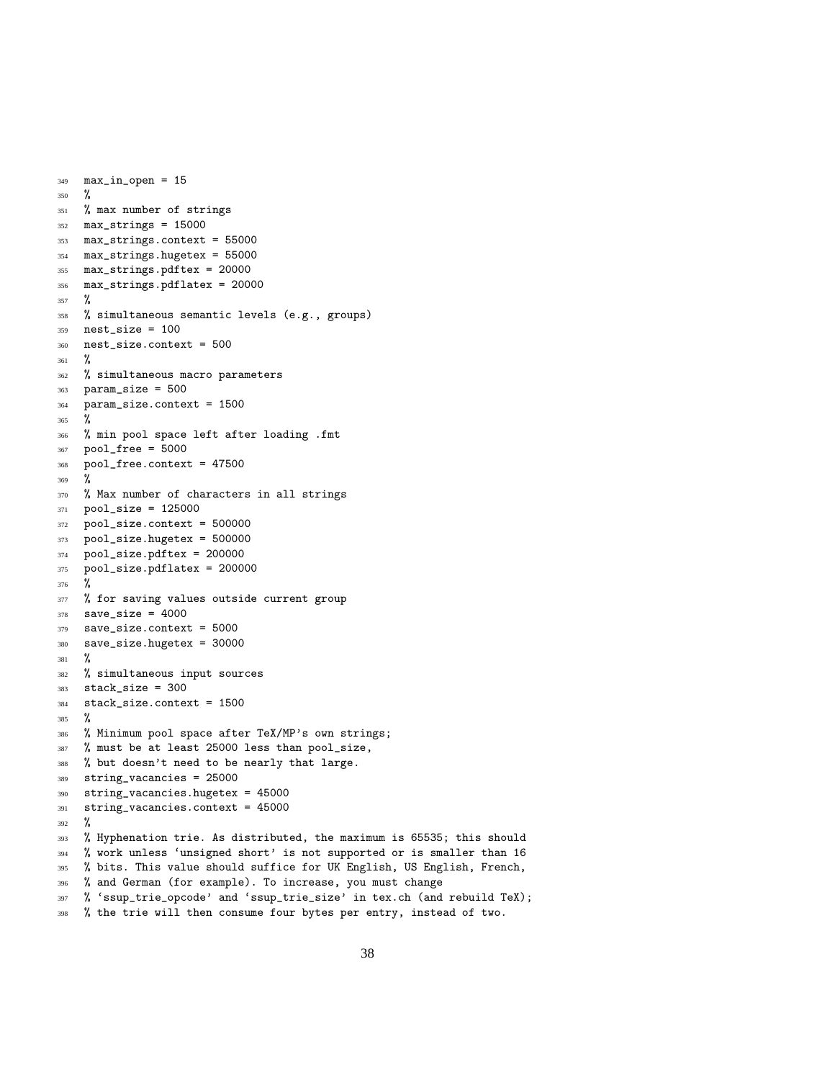```
350 %
351 % max number of strings
352 max_strings = 15000
353 max_strings.context = 55000
354 max_strings.hugetex = 55000
355 max_strings.pdftex = 20000
356 max_strings.pdflatex = 20000
357 %
358 % simultaneous semantic levels (e.g., groups)
359 nest_size = 100
360 nest_size.context = 500
361 %
362 % simultaneous macro parameters
363 param_size = 500364 param_size.context = 1500
365 %
366 % min pool space left after loading .fmt
367 pool_free = 5000
368 pool_free.context = 47500
369 %
370 % Max number of characters in all strings
371 pool_size = 125000
372 pool_size.context = 500000
373 pool_size.hugetex = 500000
374 pool_size.pdftex = 200000
375 pool_size.pdflatex = 200000
376 %
377 % for saving values outside current group
378 save_size = 4000
379 save_size.context = 5000
380 save_size.hugetex = 30000
381 %
382 % simultaneous input sources
383 stack_size = 300
384 stack_size.context = 1500
385 %
386 % Minimum pool space after TeX/MP's own strings;
387 % must be at least 25000 less than pool_size,
388 % but doesn't need to be nearly that large.
389 string_vacancies = 25000
390 string_vacancies.hugetex = 45000
391 string_vacancies.context = 45000
392 %
393 % Hyphenation trie. As distributed, the maximum is 65535; this should
394 % work unless 'unsigned short' is not supported or is smaller than 16
395 % bits. This value should suffice for UK English, US English, French,
396 % and German (for example). To increase, you must change
397 % 'ssup_trie_opcode' and 'ssup_trie_size' in tex.ch (and rebuild TeX);
398 % the trie will then consume four bytes per entry, instead of two.
```
max\_in\_open = 15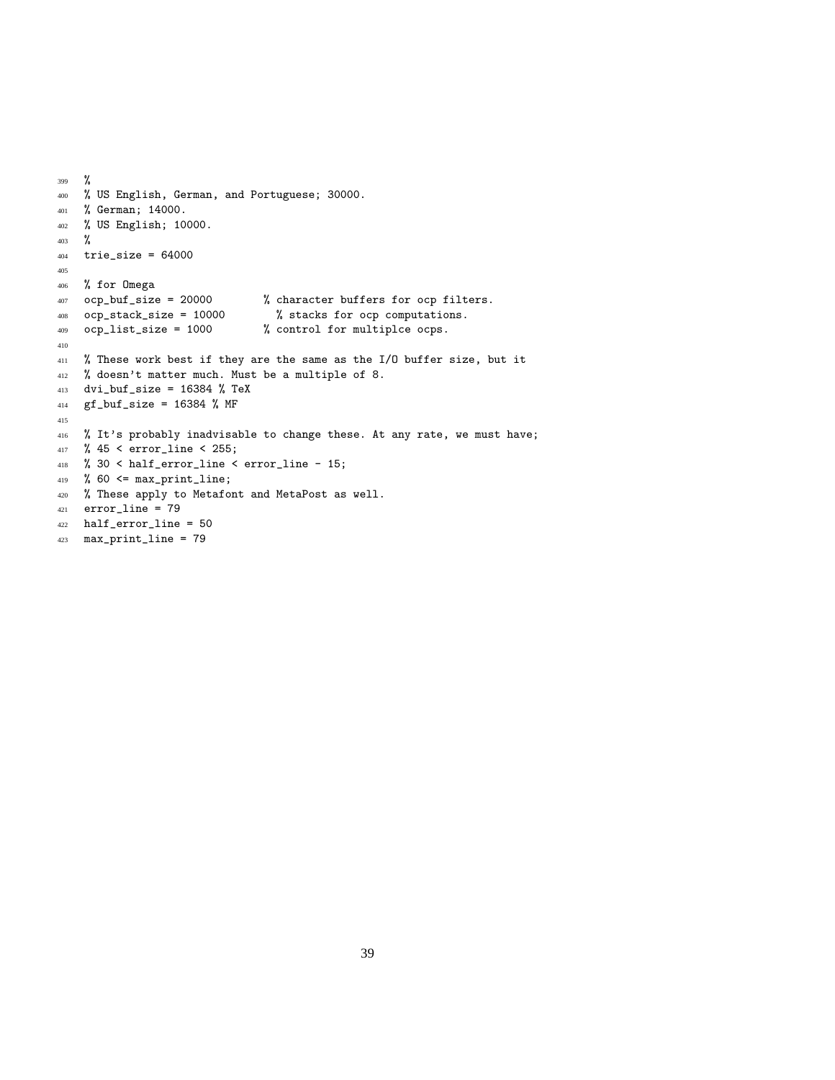```
399 %
400 % US English, German, and Portuguese; 30000.
401 % German; 14000.
402 % US English; 10000.
403 %
404 trie_size = 64000
405
406 % for Omega
407 ocp_buf_size = 20000 % character buffers for ocp filters.
408 ocp_stack_size = 10000 % stacks for ocp computations.
409 ocp_list_size = 1000 % control for multiplce ocps.
410
411 % These work best if they are the same as the I/O buffer size, but it
412 % doesn't matter much. Must be a multiple of 8.
413 dvi_buf_size = 16384 % TeX
414 gf_buf_size = 16384 % MF
415
416 % It's probably inadvisable to change these. At any rate, we must have;
417 % 45 < error_line < 255;
418 % 30 < half_error_line < error_line - 15;
419 % 60 <= max\_print\_line;420 % These apply to Metafont and MetaPost as well.
421 error_line = 79
422 half_error_line = 50
423 max_print_line = 79
```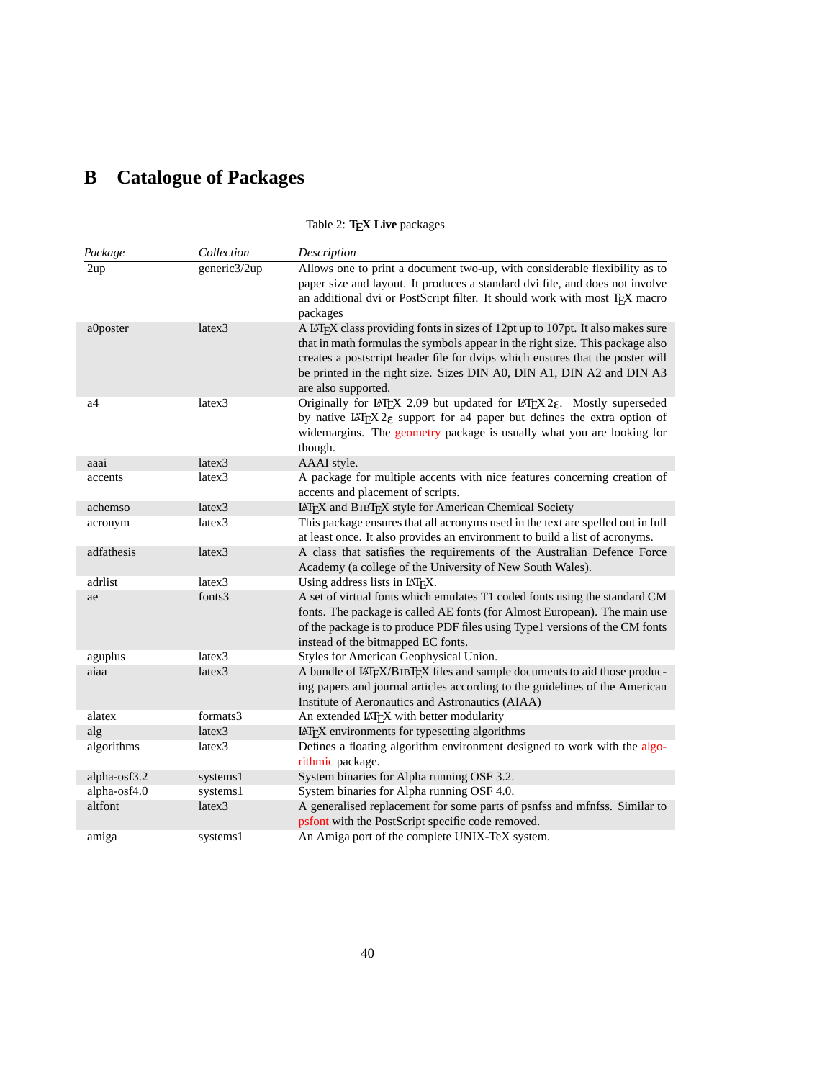## <span id="page-39-0"></span>**B Catalogue of Packages**

| Package      | Collection         | Description                                                                                                                                                                                                                                                                                                                                                   |
|--------------|--------------------|---------------------------------------------------------------------------------------------------------------------------------------------------------------------------------------------------------------------------------------------------------------------------------------------------------------------------------------------------------------|
| 2up          | generic3/2up       | Allows one to print a document two-up, with considerable flexibility as to<br>paper size and layout. It produces a standard dvi file, and does not involve<br>an additional dvi or PostScript filter. It should work with most TFX macro<br>packages                                                                                                          |
| a0poster     | latex3             | A LAT <sub>E</sub> X class providing fonts in sizes of 12pt up to 107pt. It also makes sure<br>that in math formulas the symbols appear in the right size. This package also<br>creates a postscript header file for dvips which ensures that the poster will<br>be printed in the right size. Sizes DIN A0, DIN A1, DIN A2 and DIN A3<br>are also supported. |
| a4           | latex3             | Originally for LAT <sub>F</sub> X 2.09 but updated for LAT <sub>F</sub> X 2 $\varepsilon$ . Mostly superseded<br>by native $LATEX2_{\epsilon}$ support for a4 paper but defines the extra option of<br>widemargins. The geometry package is usually what you are looking for<br>though.                                                                       |
| aaai         | latex3             | AAAI style.                                                                                                                                                                                                                                                                                                                                                   |
| accents      | latex3             | A package for multiple accents with nice features concerning creation of<br>accents and placement of scripts.                                                                                                                                                                                                                                                 |
| achemso      | latex3             | LAT <sub>E</sub> X and BIBT <sub>E</sub> X style for American Chemical Society                                                                                                                                                                                                                                                                                |
| acronym      | latex3             | This package ensures that all acronyms used in the text are spelled out in full<br>at least once. It also provides an environment to build a list of acronyms.                                                                                                                                                                                                |
| adfathesis   | latex <sub>3</sub> | A class that satisfies the requirements of the Australian Defence Force<br>Academy (a college of the University of New South Wales).                                                                                                                                                                                                                          |
| adrlist      | latex3             | Using address lists in LAT <sub>E</sub> X.                                                                                                                                                                                                                                                                                                                    |
| ae           | fonts3             | A set of virtual fonts which emulates T1 coded fonts using the standard CM<br>fonts. The package is called AE fonts (for Almost European). The main use<br>of the package is to produce PDF files using Type1 versions of the CM fonts<br>instead of the bitmapped EC fonts.                                                                                  |
| aguplus      | latex <sub>3</sub> | Styles for American Geophysical Union.                                                                                                                                                                                                                                                                                                                        |
| aiaa         | latex3             | A bundle of LATEX/BIBTEX files and sample documents to aid those produc-<br>ing papers and journal articles according to the guidelines of the American<br>Institute of Aeronautics and Astronautics (AIAA)                                                                                                                                                   |
| alatex       | formats3           | An extended IAT <sub>F</sub> X with better modularity                                                                                                                                                                                                                                                                                                         |
| alg          | latex <sub>3</sub> | LAT <sub>E</sub> X environments for typesetting algorithms                                                                                                                                                                                                                                                                                                    |
| algorithms   | latex3             | Defines a floating algorithm environment designed to work with the algo-<br>rithmic package.                                                                                                                                                                                                                                                                  |
| alpha-osf3.2 | systems1           | System binaries for Alpha running OSF 3.2.                                                                                                                                                                                                                                                                                                                    |
| alpha-osf4.0 | systems1           | System binaries for Alpha running OSF 4.0.                                                                                                                                                                                                                                                                                                                    |
| altfont      | latex3             | A generalised replacement for some parts of psnfss and mfnfss. Similar to<br>psfont with the PostScript specific code removed.                                                                                                                                                                                                                                |
| amiga        | systems1           | An Amiga port of the complete UNIX-TeX system.                                                                                                                                                                                                                                                                                                                |

Table 2: **TEX Live** packages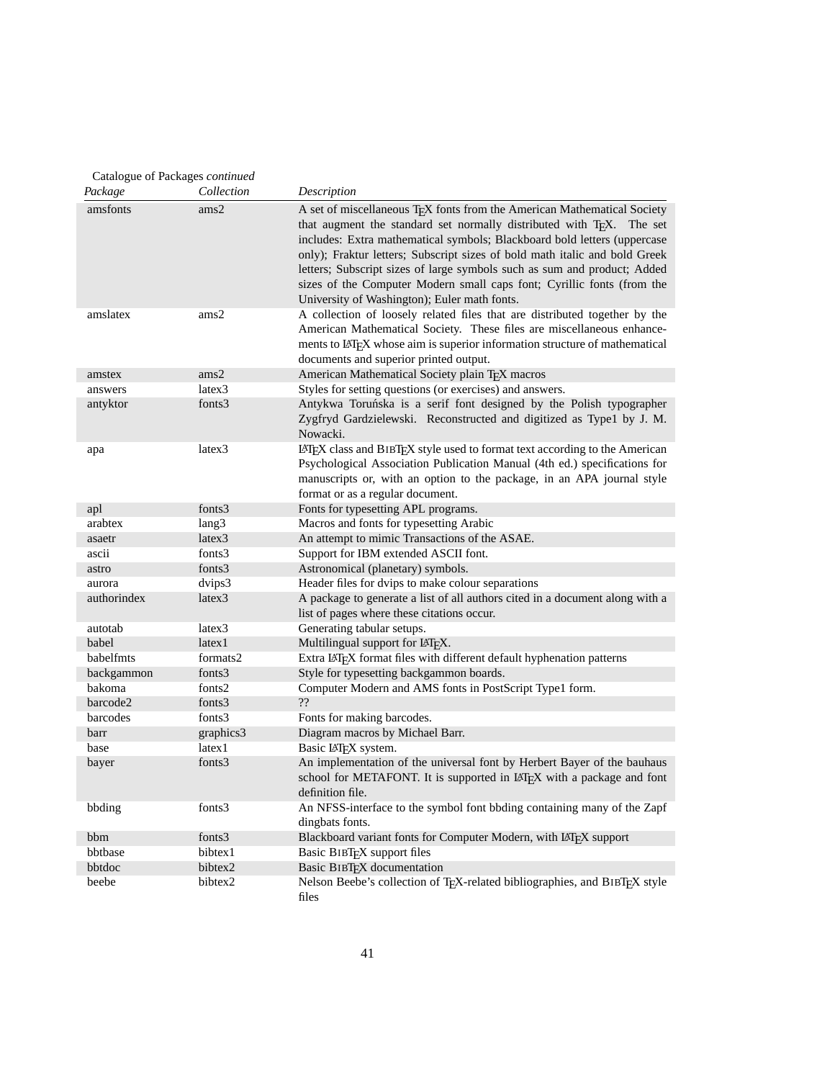| Catalogue of Packages continued |                    |                                                                                                                                                                                                                                                                                                                                                                                                                                                                                                                 |
|---------------------------------|--------------------|-----------------------------------------------------------------------------------------------------------------------------------------------------------------------------------------------------------------------------------------------------------------------------------------------------------------------------------------------------------------------------------------------------------------------------------------------------------------------------------------------------------------|
| Package                         | Collection         | Description                                                                                                                                                                                                                                                                                                                                                                                                                                                                                                     |
| amsfonts                        | ams2               | A set of miscellaneous TEX fonts from the American Mathematical Society<br>that augment the standard set normally distributed with TFX. The set<br>includes: Extra mathematical symbols; Blackboard bold letters (uppercase<br>only); Fraktur letters; Subscript sizes of bold math italic and bold Greek<br>letters; Subscript sizes of large symbols such as sum and product; Added<br>sizes of the Computer Modern small caps font; Cyrillic fonts (from the<br>University of Washington); Euler math fonts. |
| amslatex                        | ams2               | A collection of loosely related files that are distributed together by the<br>American Mathematical Society. These files are miscellaneous enhance-<br>ments to LATEX whose aim is superior information structure of mathematical<br>documents and superior printed output.                                                                                                                                                                                                                                     |
| amstex                          | ams2               | American Mathematical Society plain TFX macros                                                                                                                                                                                                                                                                                                                                                                                                                                                                  |
| answers                         | latex3             | Styles for setting questions (or exercises) and answers.                                                                                                                                                                                                                                                                                                                                                                                                                                                        |
| antyktor                        | fonts3             | Antykwa Toruńska is a serif font designed by the Polish typographer<br>Zygfryd Gardzielewski. Reconstructed and digitized as Type1 by J. M.<br>Nowacki.                                                                                                                                                                                                                                                                                                                                                         |
| apa                             | latex3             | LATEX class and BIBTEX style used to format text according to the American<br>Psychological Association Publication Manual (4th ed.) specifications for<br>manuscripts or, with an option to the package, in an APA journal style<br>format or as a regular document.                                                                                                                                                                                                                                           |
| apl                             | fonts3             | Fonts for typesetting APL programs.                                                                                                                                                                                                                                                                                                                                                                                                                                                                             |
| arabtex                         | lang3              | Macros and fonts for typesetting Arabic                                                                                                                                                                                                                                                                                                                                                                                                                                                                         |
| asaetr                          | latex <sub>3</sub> | An attempt to mimic Transactions of the ASAE.                                                                                                                                                                                                                                                                                                                                                                                                                                                                   |
| ascii                           | fonts3             | Support for IBM extended ASCII font.                                                                                                                                                                                                                                                                                                                                                                                                                                                                            |
| astro                           | fonts3             | Astronomical (planetary) symbols.                                                                                                                                                                                                                                                                                                                                                                                                                                                                               |
| aurora                          | dvips3             | Header files for dvips to make colour separations                                                                                                                                                                                                                                                                                                                                                                                                                                                               |
| authorindex                     | latex3             | A package to generate a list of all authors cited in a document along with a<br>list of pages where these citations occur.                                                                                                                                                                                                                                                                                                                                                                                      |
| autotab                         | latex3             | Generating tabular setups.                                                                                                                                                                                                                                                                                                                                                                                                                                                                                      |
| babel                           | latex1             | Multilingual support for LATFX.                                                                                                                                                                                                                                                                                                                                                                                                                                                                                 |
| babelfmts                       | formats2           | Extra IATEX format files with different default hyphenation patterns                                                                                                                                                                                                                                                                                                                                                                                                                                            |
| backgammon                      | fonts3             | Style for typesetting backgammon boards.                                                                                                                                                                                                                                                                                                                                                                                                                                                                        |
| bakoma                          | fonts2             | Computer Modern and AMS fonts in PostScript Type1 form.                                                                                                                                                                                                                                                                                                                                                                                                                                                         |
| barcode2                        | fonts3             | ??                                                                                                                                                                                                                                                                                                                                                                                                                                                                                                              |
| barcodes                        | fonts3             | Fonts for making barcodes.                                                                                                                                                                                                                                                                                                                                                                                                                                                                                      |
| barr                            | graphics3          | Diagram macros by Michael Barr.                                                                                                                                                                                                                                                                                                                                                                                                                                                                                 |
| base                            | latex1             | Basic IAT <sub>F</sub> X system.                                                                                                                                                                                                                                                                                                                                                                                                                                                                                |
| bayer                           | fonts3             | An implementation of the universal font by Herbert Bayer of the bauhaus<br>school for METAFONT. It is supported in LATEX with a package and font<br>definition file.                                                                                                                                                                                                                                                                                                                                            |
| bbding                          | fonts3             | An NFSS-interface to the symbol font bbding containing many of the Zapf<br>dingbats fonts.                                                                                                                                                                                                                                                                                                                                                                                                                      |
| bbm                             | fonts3             | Blackboard variant fonts for Computer Modern, with LATEX support                                                                                                                                                                                                                                                                                                                                                                                                                                                |
| bbtbase                         | bibtex1            | Basic BIBTFX support files                                                                                                                                                                                                                                                                                                                                                                                                                                                                                      |
| bbtdoc                          | bibtex2            | Basic BIBTEX documentation                                                                                                                                                                                                                                                                                                                                                                                                                                                                                      |
| beebe                           | bibtex2            | Nelson Beebe's collection of TEX-related bibliographies, and BIBTEX style<br>files                                                                                                                                                                                                                                                                                                                                                                                                                              |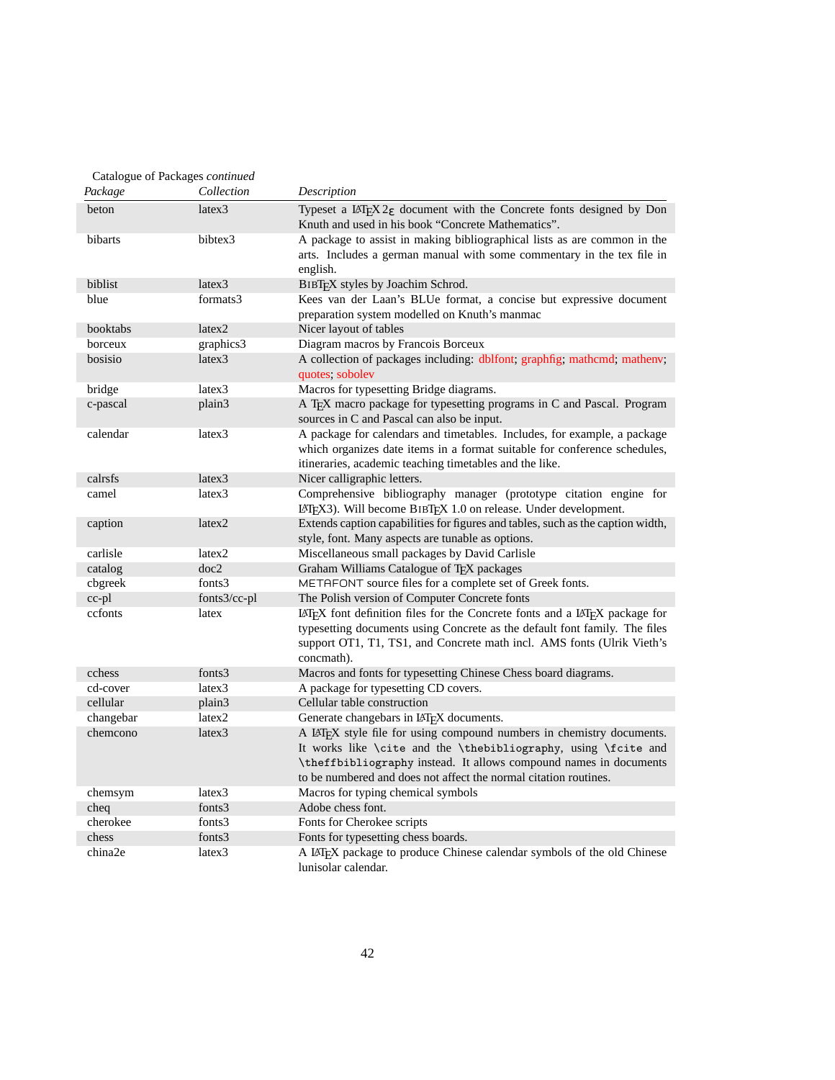<span id="page-41-0"></span>

| Catalogue of Packages continued |                    |                                                                                                                                                                                                                                                                                  |  |
|---------------------------------|--------------------|----------------------------------------------------------------------------------------------------------------------------------------------------------------------------------------------------------------------------------------------------------------------------------|--|
| Package                         | Collection         | Description                                                                                                                                                                                                                                                                      |  |
| beton                           | latex3             | Typeset a $LATEX2$ <sub><math>\varepsilon</math></sub> document with the Concrete fonts designed by Don<br>Knuth and used in his book "Concrete Mathematics".                                                                                                                    |  |
| bibarts                         | bibtex3            | A package to assist in making bibliographical lists as are common in the<br>arts. Includes a german manual with some commentary in the tex file in<br>english.                                                                                                                   |  |
| biblist                         | latex3             | BIBT <sub>E</sub> X styles by Joachim Schrod.                                                                                                                                                                                                                                    |  |
| blue                            | formats3           | Kees van der Laan's BLUe format, a concise but expressive document<br>preparation system modelled on Knuth's manmac                                                                                                                                                              |  |
| booktabs                        | latex2             | Nicer layout of tables                                                                                                                                                                                                                                                           |  |
| borceux                         | graphics3          | Diagram macros by Francois Borceux                                                                                                                                                                                                                                               |  |
| bosisio                         | latex3             | A collection of packages including: dblfont; graphfig; mathcmd; mathenv;<br>quotes; sobolev                                                                                                                                                                                      |  |
| bridge                          | latex <sub>3</sub> | Macros for typesetting Bridge diagrams.                                                                                                                                                                                                                                          |  |
| c-pascal                        | plain3             | A TEX macro package for typesetting programs in C and Pascal. Program<br>sources in C and Pascal can also be input.                                                                                                                                                              |  |
| calendar                        | latex3             | A package for calendars and timetables. Includes, for example, a package<br>which organizes date items in a format suitable for conference schedules,<br>itineraries, academic teaching timetables and the like.                                                                 |  |
| calrsfs                         | latex3             | Nicer calligraphic letters.                                                                                                                                                                                                                                                      |  |
| camel                           | latex3             | Comprehensive bibliography manager (prototype citation engine for<br>IATEX3). Will become BIBTEX 1.0 on release. Under development.                                                                                                                                              |  |
| caption                         | latex2             | Extends caption capabilities for figures and tables, such as the caption width,<br>style, font. Many aspects are tunable as options.                                                                                                                                             |  |
| carlisle                        | latex2             | Miscellaneous small packages by David Carlisle                                                                                                                                                                                                                                   |  |
| catalog                         | doc2               | Graham Williams Catalogue of TFX packages                                                                                                                                                                                                                                        |  |
| cbgreek                         | fonts3             | METAFONT source files for a complete set of Greek fonts.                                                                                                                                                                                                                         |  |
| cc-pl                           | fonts3/cc-pl       | The Polish version of Computer Concrete fonts                                                                                                                                                                                                                                    |  |
| ccfonts                         | latex              | LATEX font definition files for the Concrete fonts and a LATEX package for<br>typesetting documents using Concrete as the default font family. The files<br>support OT1, T1, TS1, and Concrete math incl. AMS fonts (Ulrik Vieth's<br>concmath).                                 |  |
| cchess                          | fonts3             | Macros and fonts for typesetting Chinese Chess board diagrams.                                                                                                                                                                                                                   |  |
| cd-cover                        | latex3             | A package for typesetting CD covers.                                                                                                                                                                                                                                             |  |
| cellular                        | plain3             | Cellular table construction                                                                                                                                                                                                                                                      |  |
| changebar                       | latex2             | Generate changebars in IAT <sub>F</sub> X documents.                                                                                                                                                                                                                             |  |
| chemcono                        | latex3             | A LATEX style file for using compound numbers in chemistry documents.<br>It works like \cite and the \thebibliography, using \fcite and<br>\theffbibliography instead. It allows compound names in documents<br>to be numbered and does not affect the normal citation routines. |  |
| chemsym                         | latex3             | Macros for typing chemical symbols                                                                                                                                                                                                                                               |  |
| cheq                            | fonts3             | Adobe chess font.                                                                                                                                                                                                                                                                |  |
| cherokee                        | fonts3             | Fonts for Cherokee scripts                                                                                                                                                                                                                                                       |  |
| chess                           | fonts3             | Fonts for typesetting chess boards.                                                                                                                                                                                                                                              |  |
| china2e                         | latex3             | A LATEX package to produce Chinese calendar symbols of the old Chinese<br>lunisolar calendar.                                                                                                                                                                                    |  |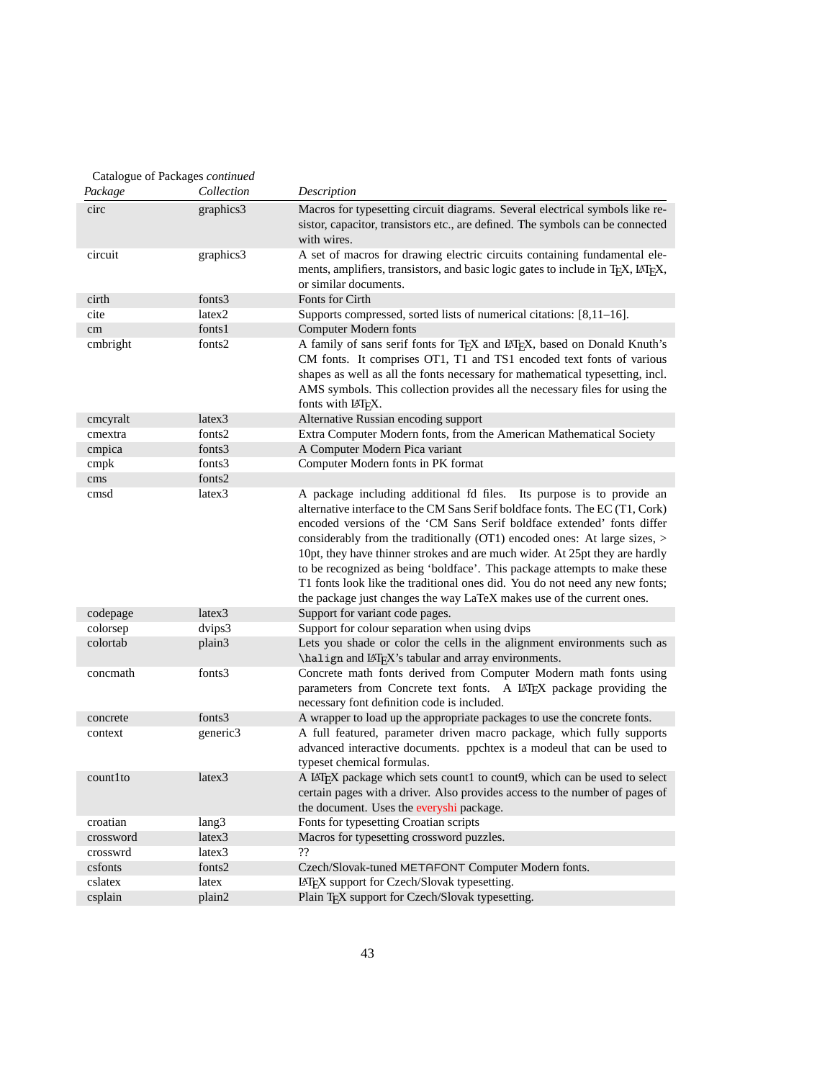| Package   | Collection | Description                                                                                                                                                                                                                                                                                                                                                                                                                                                                                                                                                                                                                      |
|-----------|------------|----------------------------------------------------------------------------------------------------------------------------------------------------------------------------------------------------------------------------------------------------------------------------------------------------------------------------------------------------------------------------------------------------------------------------------------------------------------------------------------------------------------------------------------------------------------------------------------------------------------------------------|
| circ      | graphics3  | Macros for typesetting circuit diagrams. Several electrical symbols like re-<br>sistor, capacitor, transistors etc., are defined. The symbols can be connected<br>with wires.                                                                                                                                                                                                                                                                                                                                                                                                                                                    |
| circuit   | graphics3  | A set of macros for drawing electric circuits containing fundamental ele-<br>ments, amplifiers, transistors, and basic logic gates to include in TFX, LATFX,<br>or similar documents.                                                                                                                                                                                                                                                                                                                                                                                                                                            |
| cirth     | fonts3     | Fonts for Cirth                                                                                                                                                                                                                                                                                                                                                                                                                                                                                                                                                                                                                  |
| cite      | latex2     | Supports compressed, sorted lists of numerical citations: [8,11-16].                                                                                                                                                                                                                                                                                                                                                                                                                                                                                                                                                             |
| cm        | fonts1     | <b>Computer Modern fonts</b>                                                                                                                                                                                                                                                                                                                                                                                                                                                                                                                                                                                                     |
| cmbright  | fonts2     | A family of sans serif fonts for TEX and IATEX, based on Donald Knuth's<br>CM fonts. It comprises OT1, T1 and TS1 encoded text fonts of various<br>shapes as well as all the fonts necessary for mathematical typesetting, incl.<br>AMS symbols. This collection provides all the necessary files for using the<br>fonts with LAT <sub>F</sub> X.                                                                                                                                                                                                                                                                                |
| cmcyralt  | latex3     | Alternative Russian encoding support                                                                                                                                                                                                                                                                                                                                                                                                                                                                                                                                                                                             |
| cmextra   | fonts2     | Extra Computer Modern fonts, from the American Mathematical Society                                                                                                                                                                                                                                                                                                                                                                                                                                                                                                                                                              |
| cmpica    | fonts3     | A Computer Modern Pica variant                                                                                                                                                                                                                                                                                                                                                                                                                                                                                                                                                                                                   |
| cmpk      | fonts3     | Computer Modern fonts in PK format                                                                                                                                                                                                                                                                                                                                                                                                                                                                                                                                                                                               |
| cms       | fonts2     |                                                                                                                                                                                                                                                                                                                                                                                                                                                                                                                                                                                                                                  |
| cmsd      | latex3     | A package including additional fd files. Its purpose is to provide an<br>alternative interface to the CM Sans Serif boldface fonts. The EC (T1, Cork)<br>encoded versions of the 'CM Sans Serif boldface extended' fonts differ<br>considerably from the traditionally (OT1) encoded ones: At large sizes, ><br>10pt, they have thinner strokes and are much wider. At 25pt they are hardly<br>to be recognized as being 'boldface'. This package attempts to make these<br>T1 fonts look like the traditional ones did. You do not need any new fonts;<br>the package just changes the way LaTeX makes use of the current ones. |
| codepage  | latex3     | Support for variant code pages.                                                                                                                                                                                                                                                                                                                                                                                                                                                                                                                                                                                                  |
| colorsep  | dvips3     | Support for colour separation when using dvips                                                                                                                                                                                                                                                                                                                                                                                                                                                                                                                                                                                   |
| colortab  | plain3     | Lets you shade or color the cells in the alignment environments such as<br>\halign and LATEX's tabular and array environments.                                                                                                                                                                                                                                                                                                                                                                                                                                                                                                   |
| concmath  | fonts3     | Concrete math fonts derived from Computer Modern math fonts using<br>parameters from Concrete text fonts. A LAT <sub>E</sub> X package providing the<br>necessary font definition code is included.                                                                                                                                                                                                                                                                                                                                                                                                                              |
| concrete  | fonts3     | A wrapper to load up the appropriate packages to use the concrete fonts.                                                                                                                                                                                                                                                                                                                                                                                                                                                                                                                                                         |
| context   | generic3   | A full featured, parameter driven macro package, which fully supports<br>advanced interactive documents. ppchtex is a modeul that can be used to<br>typeset chemical formulas.                                                                                                                                                                                                                                                                                                                                                                                                                                                   |
| count1to  | latex3     | A LAT <sub>F</sub> X package which sets count1 to count9, which can be used to select<br>certain pages with a driver. Also provides access to the number of pages of<br>the document. Uses the everyshi package.                                                                                                                                                                                                                                                                                                                                                                                                                 |
| croatian  | lang3      | Fonts for typesetting Croatian scripts                                                                                                                                                                                                                                                                                                                                                                                                                                                                                                                                                                                           |
| crossword | latex3     | Macros for typesetting crossword puzzles.                                                                                                                                                                                                                                                                                                                                                                                                                                                                                                                                                                                        |
| crosswrd  | latex3     | 22                                                                                                                                                                                                                                                                                                                                                                                                                                                                                                                                                                                                                               |
| csfonts   | fonts2     | Czech/Slovak-tuned METAFONT Computer Modern fonts.                                                                                                                                                                                                                                                                                                                                                                                                                                                                                                                                                                               |
| cslatex   | latex      | LAT <sub>E</sub> X support for Czech/Slovak typesetting.                                                                                                                                                                                                                                                                                                                                                                                                                                                                                                                                                                         |
|           |            |                                                                                                                                                                                                                                                                                                                                                                                                                                                                                                                                                                                                                                  |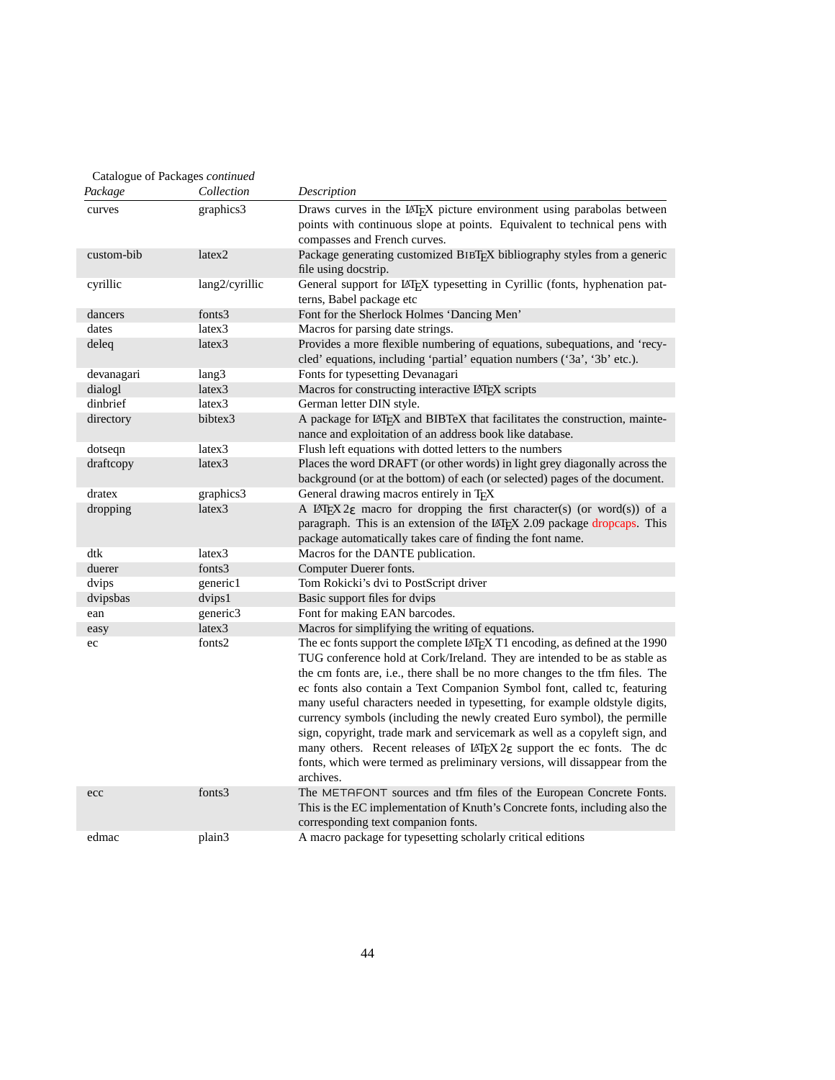| Package    | Collection     | Description                                                                                                                                                                                                                                                                                                                                                                                                                                                                                                                                                                                                                                                                                                                                  |
|------------|----------------|----------------------------------------------------------------------------------------------------------------------------------------------------------------------------------------------------------------------------------------------------------------------------------------------------------------------------------------------------------------------------------------------------------------------------------------------------------------------------------------------------------------------------------------------------------------------------------------------------------------------------------------------------------------------------------------------------------------------------------------------|
| curves     | graphics3      | Draws curves in the LATEX picture environment using parabolas between<br>points with continuous slope at points. Equivalent to technical pens with                                                                                                                                                                                                                                                                                                                                                                                                                                                                                                                                                                                           |
|            |                | compasses and French curves.                                                                                                                                                                                                                                                                                                                                                                                                                                                                                                                                                                                                                                                                                                                 |
| custom-bib | latex2         | Package generating customized BIBTEX bibliography styles from a generic<br>file using docstrip.                                                                                                                                                                                                                                                                                                                                                                                                                                                                                                                                                                                                                                              |
| cyrillic   | lang2/cyrillic | General support for LATEX typesetting in Cyrillic (fonts, hyphenation pat-<br>terns, Babel package etc                                                                                                                                                                                                                                                                                                                                                                                                                                                                                                                                                                                                                                       |
| dancers    | fonts3         | Font for the Sherlock Holmes 'Dancing Men'                                                                                                                                                                                                                                                                                                                                                                                                                                                                                                                                                                                                                                                                                                   |
| dates      | latex3         | Macros for parsing date strings.                                                                                                                                                                                                                                                                                                                                                                                                                                                                                                                                                                                                                                                                                                             |
| deleq      | latex3         | Provides a more flexible numbering of equations, subequations, and 'recy-<br>cled' equations, including 'partial' equation numbers ('3a', '3b' etc.).                                                                                                                                                                                                                                                                                                                                                                                                                                                                                                                                                                                        |
| devanagari | lang3          | Fonts for typesetting Devanagari                                                                                                                                                                                                                                                                                                                                                                                                                                                                                                                                                                                                                                                                                                             |
| dialogl    | latex3         | Macros for constructing interactive LATEX scripts                                                                                                                                                                                                                                                                                                                                                                                                                                                                                                                                                                                                                                                                                            |
| dinbrief   | latex3         | German letter DIN style.                                                                                                                                                                                                                                                                                                                                                                                                                                                                                                                                                                                                                                                                                                                     |
| directory  | bibtex3        | A package for LATEX and BIBTeX that facilitates the construction, mainte-<br>nance and exploitation of an address book like database.                                                                                                                                                                                                                                                                                                                                                                                                                                                                                                                                                                                                        |
| dotseqn    | latex3         | Flush left equations with dotted letters to the numbers                                                                                                                                                                                                                                                                                                                                                                                                                                                                                                                                                                                                                                                                                      |
| draftcopy  | latex3         | Places the word DRAFT (or other words) in light grey diagonally across the<br>background (or at the bottom) of each (or selected) pages of the document.                                                                                                                                                                                                                                                                                                                                                                                                                                                                                                                                                                                     |
| dratex     | graphics3      | General drawing macros entirely in TFX                                                                                                                                                                                                                                                                                                                                                                                                                                                                                                                                                                                                                                                                                                       |
| dropping   | latex3         | A LAT <sub>E</sub> X 2 <sub>ε</sub> macro for dropping the first character(s) (or word(s)) of a<br>paragraph. This is an extension of the IATEX 2.09 package dropcaps. This<br>package automatically takes care of finding the font name.                                                                                                                                                                                                                                                                                                                                                                                                                                                                                                    |
| dtk        | latex3         | Macros for the DANTE publication.                                                                                                                                                                                                                                                                                                                                                                                                                                                                                                                                                                                                                                                                                                            |
| duerer     | fonts3         | Computer Duerer fonts.                                                                                                                                                                                                                                                                                                                                                                                                                                                                                                                                                                                                                                                                                                                       |
| dvips      | generic1       | Tom Rokicki's dvi to PostScript driver                                                                                                                                                                                                                                                                                                                                                                                                                                                                                                                                                                                                                                                                                                       |
| dvipsbas   | dvips1         | Basic support files for dvips                                                                                                                                                                                                                                                                                                                                                                                                                                                                                                                                                                                                                                                                                                                |
| ean        | generic3       | Font for making EAN barcodes.                                                                                                                                                                                                                                                                                                                                                                                                                                                                                                                                                                                                                                                                                                                |
| easy       | latex3         | Macros for simplifying the writing of equations.                                                                                                                                                                                                                                                                                                                                                                                                                                                                                                                                                                                                                                                                                             |
| ec         | fonts2         | The ec fonts support the complete IATEX T1 encoding, as defined at the 1990<br>TUG conference hold at Cork/Ireland. They are intended to be as stable as<br>the cm fonts are, i.e., there shall be no more changes to the tfm files. The<br>ec fonts also contain a Text Companion Symbol font, called tc, featuring<br>many useful characters needed in typesetting, for example oldstyle digits,<br>currency symbols (including the newly created Euro symbol), the permille<br>sign, copyright, trade mark and servicemark as well as a copyleft sign, and<br>many others. Recent releases of $LATEX2_{\epsilon}$ support the ec fonts. The dc<br>fonts, which were termed as preliminary versions, will dissappear from the<br>archives. |
| ecc        | fonts3         | The METAFONT sources and tfm files of the European Concrete Fonts.<br>This is the EC implementation of Knuth's Concrete fonts, including also the<br>corresponding text companion fonts.                                                                                                                                                                                                                                                                                                                                                                                                                                                                                                                                                     |
| edmac      | plain3         | A macro package for typesetting scholarly critical editions                                                                                                                                                                                                                                                                                                                                                                                                                                                                                                                                                                                                                                                                                  |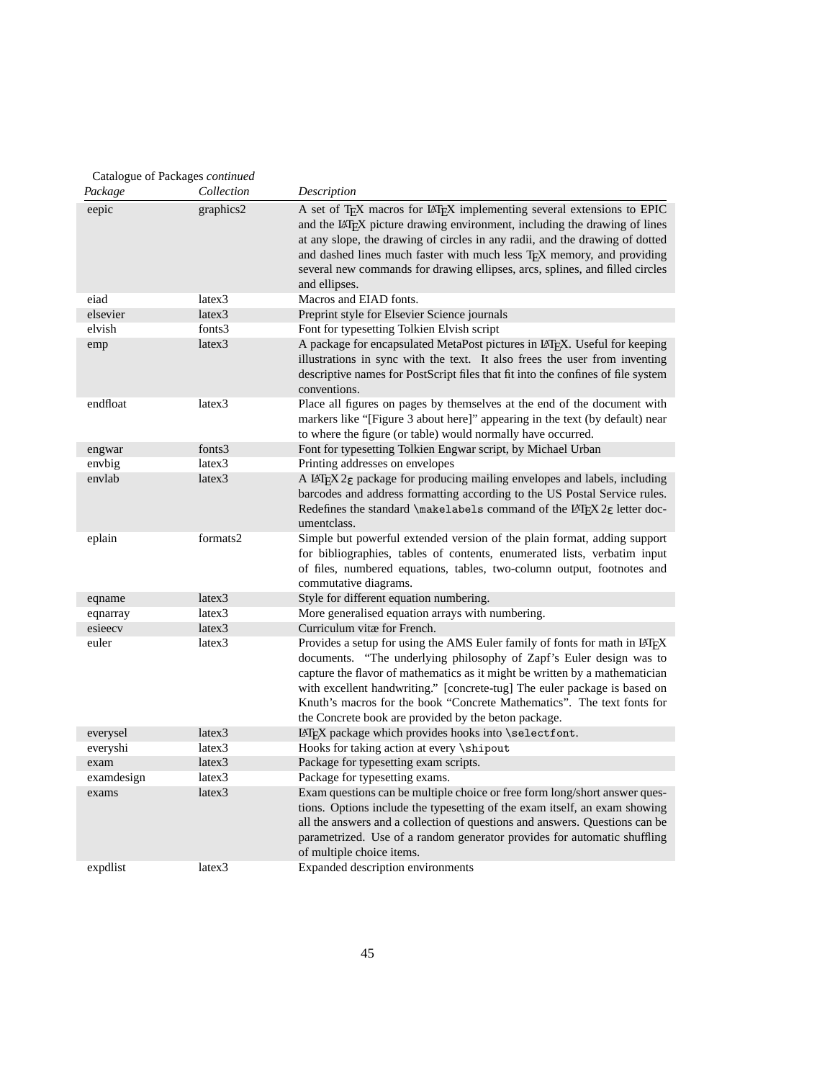<span id="page-44-0"></span>

| Package    | Collection | Description                                                                                                                                                                                                                                                                                                                                                                                                                                     |
|------------|------------|-------------------------------------------------------------------------------------------------------------------------------------------------------------------------------------------------------------------------------------------------------------------------------------------------------------------------------------------------------------------------------------------------------------------------------------------------|
| eepic      | graphics2  | A set of TEX macros for LATEX implementing several extensions to EPIC<br>and the IAT <sub>F</sub> X picture drawing environment, including the drawing of lines<br>at any slope, the drawing of circles in any radii, and the drawing of dotted<br>and dashed lines much faster with much less TEX memory, and providing<br>several new commands for drawing ellipses, arcs, splines, and filled circles<br>and ellipses.                       |
| eiad       | latex3     | Macros and EIAD fonts.                                                                                                                                                                                                                                                                                                                                                                                                                          |
| elsevier   | latex3     | Preprint style for Elsevier Science journals                                                                                                                                                                                                                                                                                                                                                                                                    |
| elvish     | fonts3     | Font for typesetting Tolkien Elvish script                                                                                                                                                                                                                                                                                                                                                                                                      |
| emp        | latex3     | A package for encapsulated MetaPost pictures in LATEX. Useful for keeping<br>illustrations in sync with the text. It also frees the user from inventing<br>descriptive names for PostScript files that fit into the confines of file system<br>conventions.                                                                                                                                                                                     |
| endfloat   | latex3     | Place all figures on pages by themselves at the end of the document with<br>markers like "[Figure 3 about here]" appearing in the text (by default) near<br>to where the figure (or table) would normally have occurred.                                                                                                                                                                                                                        |
| engwar     | fonts3     | Font for typesetting Tolkien Engwar script, by Michael Urban                                                                                                                                                                                                                                                                                                                                                                                    |
| envbig     | latex3     | Printing addresses on envelopes                                                                                                                                                                                                                                                                                                                                                                                                                 |
| envlab     | latex3     | A LAT <sub>F</sub> X $2\varepsilon$ package for producing mailing envelopes and labels, including<br>barcodes and address formatting according to the US Postal Service rules.<br>Redefines the standard $\mathcal$ akelabels command of the LATEX $2\varepsilon$ letter doc-<br>umentclass.                                                                                                                                                    |
| eplain     | formats2   | Simple but powerful extended version of the plain format, adding support<br>for bibliographies, tables of contents, enumerated lists, verbatim input<br>of files, numbered equations, tables, two-column output, footnotes and<br>commutative diagrams.                                                                                                                                                                                         |
| eqname     | latex3     | Style for different equation numbering.                                                                                                                                                                                                                                                                                                                                                                                                         |
| eqnarray   | latex3     | More generalised equation arrays with numbering.                                                                                                                                                                                                                                                                                                                                                                                                |
| esieecv    | latex3     | Curriculum vitæ for French.                                                                                                                                                                                                                                                                                                                                                                                                                     |
| euler      | latex3     | Provides a setup for using the AMS Euler family of fonts for math in LATEX<br>documents. "The underlying philosophy of Zapf's Euler design was to<br>capture the flavor of mathematics as it might be written by a mathematician<br>with excellent handwriting." [concrete-tug] The euler package is based on<br>Knuth's macros for the book "Concrete Mathematics". The text fonts for<br>the Concrete book are provided by the beton package. |
| everysel   | latex3     | LATEX package which provides hooks into \selectfont.                                                                                                                                                                                                                                                                                                                                                                                            |
| everyshi   | latex3     | Hooks for taking action at every \shipout                                                                                                                                                                                                                                                                                                                                                                                                       |
| exam       | latex3     | Package for typesetting exam scripts.                                                                                                                                                                                                                                                                                                                                                                                                           |
| examdesign | latex3     | Package for typesetting exams.                                                                                                                                                                                                                                                                                                                                                                                                                  |
| exams      | latex3     | Exam questions can be multiple choice or free form long/short answer ques-<br>tions. Options include the typesetting of the exam itself, an exam showing<br>all the answers and a collection of questions and answers. Questions can be<br>parametrized. Use of a random generator provides for automatic shuffling<br>of multiple choice items.                                                                                                |
| expdlist   | latex3     | Expanded description environments                                                                                                                                                                                                                                                                                                                                                                                                               |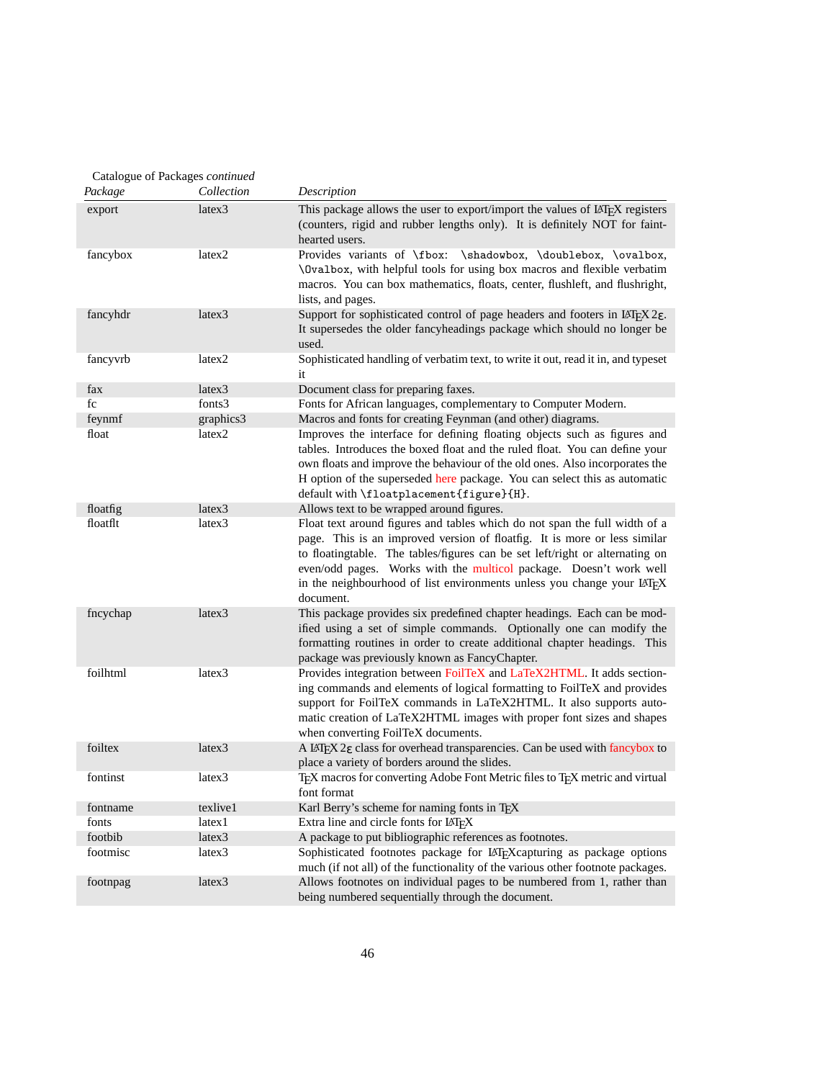| Package  | Collection         | Description                                                                                                                                                                                                                                                                                                                                                                                          |
|----------|--------------------|------------------------------------------------------------------------------------------------------------------------------------------------------------------------------------------------------------------------------------------------------------------------------------------------------------------------------------------------------------------------------------------------------|
| export   | latex <sub>3</sub> | This package allows the user to export/import the values of LATEX registers<br>(counters, rigid and rubber lengths only). It is definitely NOT for faint-<br>hearted users.                                                                                                                                                                                                                          |
| fancybox | latex2             | Provides variants of \fbox:<br>\shadowbox, \doublebox, \ovalbox,<br>\0valbox, with helpful tools for using box macros and flexible verbatim<br>macros. You can box mathematics, floats, center, flushleft, and flushright,<br>lists, and pages.                                                                                                                                                      |
| fancyhdr | latex3             | Support for sophisticated control of page headers and footers in LAT <sub>E</sub> X $2\varepsilon$ .<br>It supersedes the older fancyheadings package which should no longer be<br>used.                                                                                                                                                                                                             |
| fancyvrb | latex2             | Sophisticated handling of verbatim text, to write it out, read it in, and typeset<br>it                                                                                                                                                                                                                                                                                                              |
| fax      | latex3             | Document class for preparing faxes.                                                                                                                                                                                                                                                                                                                                                                  |
| fc       | fonts3             | Fonts for African languages, complementary to Computer Modern.                                                                                                                                                                                                                                                                                                                                       |
| feynmf   | graphics3          | Macros and fonts for creating Feynman (and other) diagrams.                                                                                                                                                                                                                                                                                                                                          |
| float    | latex2             | Improves the interface for defining floating objects such as figures and<br>tables. Introduces the boxed float and the ruled float. You can define your<br>own floats and improve the behaviour of the old ones. Also incorporates the<br>H option of the superseded here package. You can select this as automatic<br>default with \floatplacement{figure}{H}.                                      |
| floatfig | latex3             | Allows text to be wrapped around figures.                                                                                                                                                                                                                                                                                                                                                            |
| floatflt | latex3             | Float text around figures and tables which do not span the full width of a<br>page. This is an improved version of floatfig. It is more or less similar<br>to floatingtable. The tables/figures can be set left/right or alternating on<br>even/odd pages. Works with the multicol package. Doesn't work well<br>in the neighbourhood of list environments unless you change your LATFX<br>document. |
| fncychap | latex3             | This package provides six predefined chapter headings. Each can be mod-<br>ified using a set of simple commands. Optionally one can modify the<br>formatting routines in order to create additional chapter headings. This<br>package was previously known as FancyChapter.                                                                                                                          |
| foilhtml | latex3             | Provides integration between FoilTeX and LaTeX2HTML. It adds section-<br>ing commands and elements of logical formatting to FoilTeX and provides<br>support for FoilTeX commands in LaTeX2HTML. It also supports auto-<br>matic creation of LaTeX2HTML images with proper font sizes and shapes<br>when converting FoilTeX documents.                                                                |
| foiltex  | latex <sub>3</sub> | A LAT <sub>E</sub> X $2\varepsilon$ class for overhead transparencies. Can be used with fancybox to<br>place a variety of borders around the slides.                                                                                                                                                                                                                                                 |
| fontinst | latex3             | TFX macros for converting Adobe Font Metric files to TFX metric and virtual<br>font format                                                                                                                                                                                                                                                                                                           |
| fontname | texlive1           | Karl Berry's scheme for naming fonts in TFX                                                                                                                                                                                                                                                                                                                                                          |
| fonts    | latex1             | Extra line and circle fonts for LATEX                                                                                                                                                                                                                                                                                                                                                                |
| footbib  | latex3             | A package to put bibliographic references as footnotes.                                                                                                                                                                                                                                                                                                                                              |
| footmisc | latex3             | Sophisticated footnotes package for LATEX capturing as package options<br>much (if not all) of the functionality of the various other footnote packages.                                                                                                                                                                                                                                             |
| footnpag | latex3             | Allows footnotes on individual pages to be numbered from 1, rather than<br>being numbered sequentially through the document.                                                                                                                                                                                                                                                                         |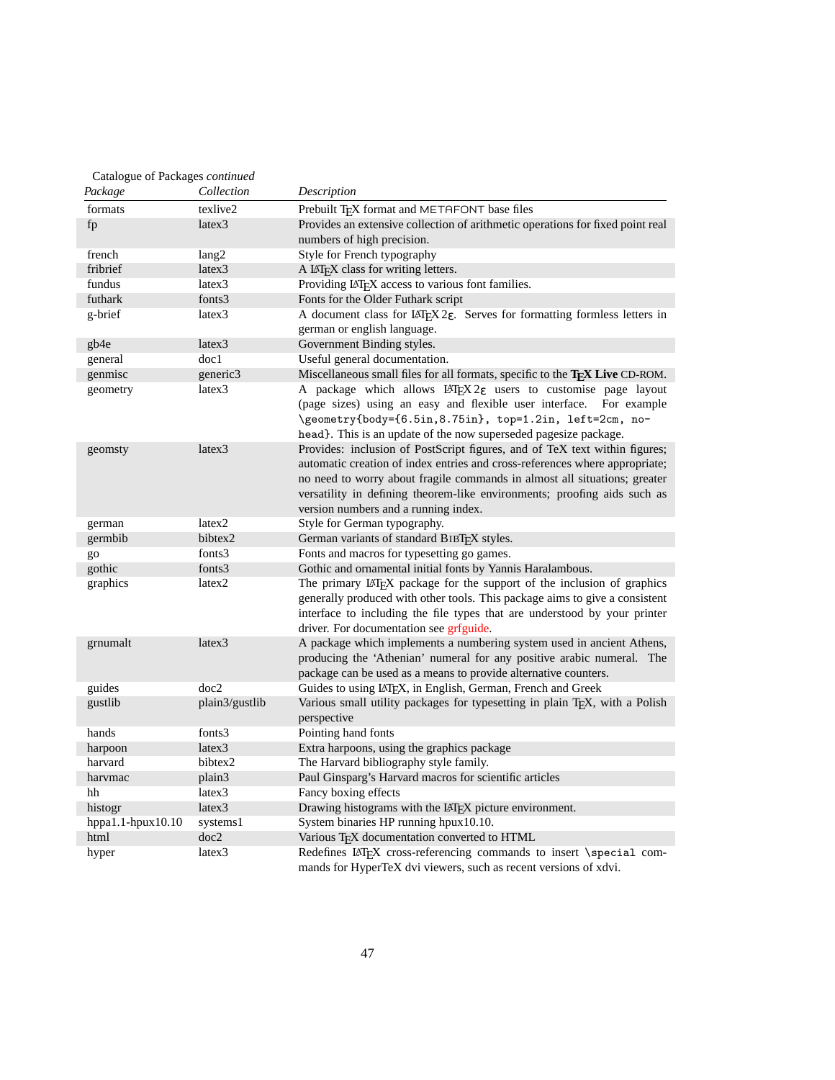<span id="page-46-0"></span>

| Package           | Collection     | Description                                                                                                                                                                                                                                                                                                                                                |
|-------------------|----------------|------------------------------------------------------------------------------------------------------------------------------------------------------------------------------------------------------------------------------------------------------------------------------------------------------------------------------------------------------------|
| formats           | texlive2       | Prebuilt TEX format and METAFONT base files                                                                                                                                                                                                                                                                                                                |
| fp                | latex3         | Provides an extensive collection of arithmetic operations for fixed point real                                                                                                                                                                                                                                                                             |
|                   |                | numbers of high precision.                                                                                                                                                                                                                                                                                                                                 |
| french            | lang2          | Style for French typography                                                                                                                                                                                                                                                                                                                                |
| fribrief          | latex3         | A IATEX class for writing letters.                                                                                                                                                                                                                                                                                                                         |
| fundus            | latex3         | Providing IAT <sub>F</sub> X access to various font families.                                                                                                                                                                                                                                                                                              |
| futhark           | fonts3         | Fonts for the Older Futhark script                                                                                                                                                                                                                                                                                                                         |
| g-brief           | latex3         | A document class for LATEX $2\varepsilon$ . Serves for formatting formless letters in<br>german or english language.                                                                                                                                                                                                                                       |
| gb4e              | latex3         | Government Binding styles.                                                                                                                                                                                                                                                                                                                                 |
| general           | doc1           | Useful general documentation.                                                                                                                                                                                                                                                                                                                              |
| genmisc           | generic3       | Miscellaneous small files for all formats, specific to the TEX Live CD-ROM.                                                                                                                                                                                                                                                                                |
| geometry          | latex3         | A package which allows $LATEX2\epsilon$ users to customise page layout<br>(page sizes) using an easy and flexible user interface.<br>For example<br>\geometry{body={6.5in,8.75in}, top=1.2in, left=2cm, no-<br>head}. This is an update of the now superseded pagesize package.                                                                            |
| geomsty           | latex3         | Provides: inclusion of PostScript figures, and of TeX text within figures;<br>automatic creation of index entries and cross-references where appropriate;<br>no need to worry about fragile commands in almost all situations; greater<br>versatility in defining theorem-like environments; proofing aids such as<br>version numbers and a running index. |
| german            | latex2         | Style for German typography.                                                                                                                                                                                                                                                                                                                               |
| germbib           | bibtex2        | German variants of standard BIBTEX styles.                                                                                                                                                                                                                                                                                                                 |
| go                | fonts3         | Fonts and macros for typesetting go games.                                                                                                                                                                                                                                                                                                                 |
| gothic            | fonts3         | Gothic and ornamental initial fonts by Yannis Haralambous.                                                                                                                                                                                                                                                                                                 |
| graphics          | latex2         | The primary LATEX package for the support of the inclusion of graphics<br>generally produced with other tools. This package aims to give a consistent<br>interface to including the file types that are understood by your printer<br>driver. For documentation see grfguide.                                                                              |
| grnumalt          | latex3         | A package which implements a numbering system used in ancient Athens,<br>producing the 'Athenian' numeral for any positive arabic numeral. The<br>package can be used as a means to provide alternative counters.                                                                                                                                          |
| guides            | doc2           | Guides to using IATEX, in English, German, French and Greek                                                                                                                                                                                                                                                                                                |
| gustlib           | plain3/gustlib | Various small utility packages for typesetting in plain TFX, with a Polish<br>perspective                                                                                                                                                                                                                                                                  |
| hands             | fonts3         | Pointing hand fonts                                                                                                                                                                                                                                                                                                                                        |
| harpoon           | latex3         | Extra harpoons, using the graphics package                                                                                                                                                                                                                                                                                                                 |
| harvard           | bibtex2        | The Harvard bibliography style family.                                                                                                                                                                                                                                                                                                                     |
| harvmac           | plain3         | Paul Ginsparg's Harvard macros for scientific articles                                                                                                                                                                                                                                                                                                     |
| hh                | latex3         | Fancy boxing effects                                                                                                                                                                                                                                                                                                                                       |
| histogr           | latex3         | Drawing histograms with the LAT <sub>F</sub> X picture environment.                                                                                                                                                                                                                                                                                        |
| hppa1.1-hpux10.10 | systems1       | System binaries HP running hpux10.10.                                                                                                                                                                                                                                                                                                                      |
| html              | doc2           | Various TFX documentation converted to HTML                                                                                                                                                                                                                                                                                                                |
| hyper             | latex3         | Redefines LAT <sub>F</sub> X cross-referencing commands to insert \special com-<br>mands for HyperTeX dvi viewers, such as recent versions of xdvi.                                                                                                                                                                                                        |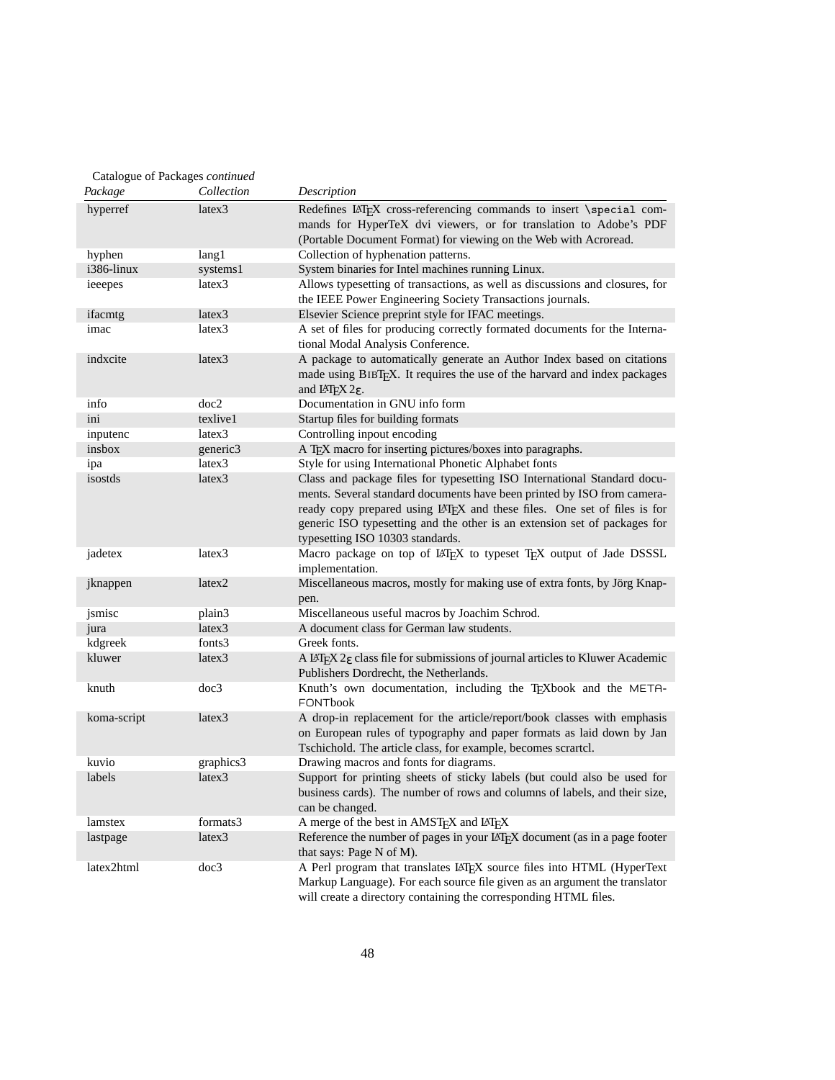<span id="page-47-0"></span>

| Package     | Collection | Description                                                                                                                                                                                                                                                                                                                                      |
|-------------|------------|--------------------------------------------------------------------------------------------------------------------------------------------------------------------------------------------------------------------------------------------------------------------------------------------------------------------------------------------------|
| hyperref    | latex3     | Redefines LATEX cross-referencing commands to insert \special com-<br>mands for HyperTeX dvi viewers, or for translation to Adobe's PDF<br>(Portable Document Format) for viewing on the Web with Acroread.                                                                                                                                      |
| hyphen      | lang1      | Collection of hyphenation patterns.                                                                                                                                                                                                                                                                                                              |
| i386-linux  | systems1   | System binaries for Intel machines running Linux.                                                                                                                                                                                                                                                                                                |
| ieeepes     | latex3     | Allows typesetting of transactions, as well as discussions and closures, for<br>the IEEE Power Engineering Society Transactions journals.                                                                                                                                                                                                        |
| ifacmtg     | latex3     | Elsevier Science preprint style for IFAC meetings.                                                                                                                                                                                                                                                                                               |
| imac        | latex3     | A set of files for producing correctly formated documents for the Interna-<br>tional Modal Analysis Conference.                                                                                                                                                                                                                                  |
| indxcite    | latex3     | A package to automatically generate an Author Index based on citations<br>made using BIBTFX. It requires the use of the harvard and index packages<br>and $\text{LATEX} 2_{\epsilon}$ .                                                                                                                                                          |
| info        | doc2       | Documentation in GNU info form                                                                                                                                                                                                                                                                                                                   |
| ini         | texlive1   | Startup files for building formats                                                                                                                                                                                                                                                                                                               |
| inputenc    | latex3     | Controlling inpout encoding                                                                                                                                                                                                                                                                                                                      |
| insbox      | generic3   | A TFX macro for inserting pictures/boxes into paragraphs.                                                                                                                                                                                                                                                                                        |
| ipa         | latex3     | Style for using International Phonetic Alphabet fonts                                                                                                                                                                                                                                                                                            |
| isostds     | latex3     | Class and package files for typesetting ISO International Standard docu-<br>ments. Several standard documents have been printed by ISO from camera-<br>ready copy prepared using LATEX and these files. One set of files is for<br>generic ISO typesetting and the other is an extension set of packages for<br>typesetting ISO 10303 standards. |
| jadetex     | latex3     | Macro package on top of LATEX to typeset TEX output of Jade DSSSL<br>implementation.                                                                                                                                                                                                                                                             |
| jknappen    | latex2     | Miscellaneous macros, mostly for making use of extra fonts, by Jörg Knap-<br>pen.                                                                                                                                                                                                                                                                |
| jsmisc      | plain3     | Miscellaneous useful macros by Joachim Schrod.                                                                                                                                                                                                                                                                                                   |
| jura        | latex3     | A document class for German law students.                                                                                                                                                                                                                                                                                                        |
| kdgreek     | fonts3     | Greek fonts.                                                                                                                                                                                                                                                                                                                                     |
| kluwer      | latex3     | A LATEX $2\varepsilon$ class file for submissions of journal articles to Kluwer Academic<br>Publishers Dordrecht, the Netherlands.                                                                                                                                                                                                               |
| knuth       | doc3       | Knuth's own documentation, including the TEXbook and the META-<br>FONTbook                                                                                                                                                                                                                                                                       |
| koma-script | latex3     | A drop-in replacement for the article/report/book classes with emphasis<br>on European rules of typography and paper formats as laid down by Jan<br>Tschichold. The article class, for example, becomes scrartcl.                                                                                                                                |
| kuvio       | graphics3  | Drawing macros and fonts for diagrams.                                                                                                                                                                                                                                                                                                           |
| labels      | latex3     | Support for printing sheets of sticky labels (but could also be used for<br>business cards). The number of rows and columns of labels, and their size,<br>can be changed.                                                                                                                                                                        |
| lamstex     | formats3   | A merge of the best in AMST <sub>F</sub> X and LAT <sub>F</sub> X                                                                                                                                                                                                                                                                                |
| lastpage    | latex3     | Reference the number of pages in your IATEX document (as in a page footer<br>that says: Page N of M).                                                                                                                                                                                                                                            |
| latex2html  | doc3       | A Perl program that translates IATEX source files into HTML (HyperText<br>Markup Language). For each source file given as an argument the translator<br>will create a directory containing the corresponding HTML files.                                                                                                                         |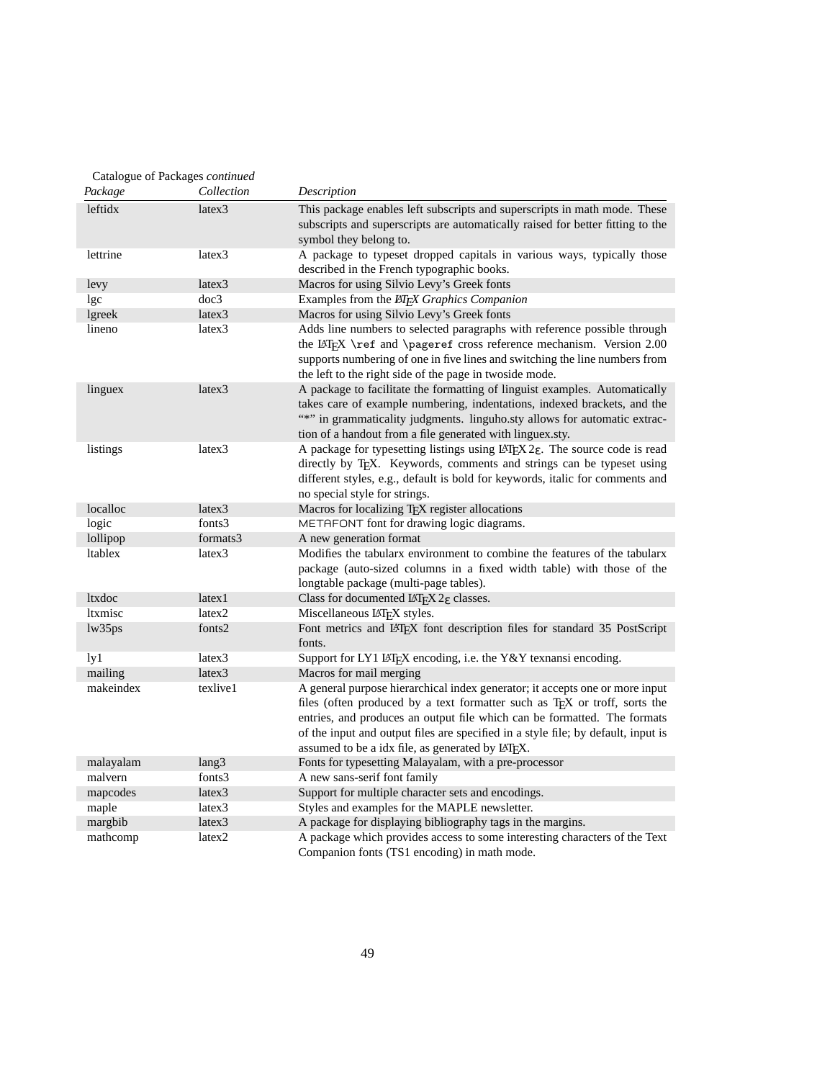| Package       | Catalogue of Packages continued<br>Collection | Description                                                                                                                                                                                                                                                                                                                                                                    |
|---------------|-----------------------------------------------|--------------------------------------------------------------------------------------------------------------------------------------------------------------------------------------------------------------------------------------------------------------------------------------------------------------------------------------------------------------------------------|
| leftidx       | latex <sub>3</sub>                            | This package enables left subscripts and superscripts in math mode. These<br>subscripts and superscripts are automatically raised for better fitting to the<br>symbol they belong to.                                                                                                                                                                                          |
| lettrine      | latex3                                        | A package to typeset dropped capitals in various ways, typically those<br>described in the French typographic books.                                                                                                                                                                                                                                                           |
| levy          | latex3                                        | Macros for using Silvio Levy's Greek fonts                                                                                                                                                                                                                                                                                                                                     |
| lgc           | doc3                                          | Examples from the <i>ETEX Graphics Companion</i>                                                                                                                                                                                                                                                                                                                               |
| lgreek        | latex <sub>3</sub>                            | Macros for using Silvio Levy's Greek fonts                                                                                                                                                                                                                                                                                                                                     |
| lineno        | latex3                                        | Adds line numbers to selected paragraphs with reference possible through<br>the LATEX \ref and \pageref cross reference mechanism. Version 2.00<br>supports numbering of one in five lines and switching the line numbers from<br>the left to the right side of the page in twoside mode.                                                                                      |
| linguex       | latex3                                        | A package to facilitate the formatting of linguist examples. Automatically<br>takes care of example numbering, indentations, indexed brackets, and the<br>"*" in grammaticality judgments. linguho.sty allows for automatic extrac-<br>tion of a handout from a file generated with linguex.sty.                                                                               |
| listings      | latex3                                        | A package for typesetting listings using $LATEX 2\varepsilon$ . The source code is read<br>directly by TEX. Keywords, comments and strings can be typeset using<br>different styles, e.g., default is bold for keywords, italic for comments and<br>no special style for strings.                                                                                              |
| localloc      | latex3                                        | Macros for localizing TEX register allocations                                                                                                                                                                                                                                                                                                                                 |
| logic         | fonts3                                        | METAFONT font for drawing logic diagrams.                                                                                                                                                                                                                                                                                                                                      |
| lollipop      | formats3                                      | A new generation format                                                                                                                                                                                                                                                                                                                                                        |
| ltablex       | latex3                                        | Modifies the tabularx environment to combine the features of the tabulary<br>package (auto-sized columns in a fixed width table) with those of the<br>longtable package (multi-page tables).                                                                                                                                                                                   |
| <b>ltxdoc</b> | latex1                                        | Class for documented $LATEX 2E$ classes.                                                                                                                                                                                                                                                                                                                                       |
| ltxmisc       | latex2                                        | Miscellaneous IATEX styles.                                                                                                                                                                                                                                                                                                                                                    |
| lw35ps        | fonts2                                        | Font metrics and LATEX font description files for standard 35 PostScript<br>fonts.                                                                                                                                                                                                                                                                                             |
| ly1           | latex3                                        | Support for LY1 LATEX encoding, i.e. the Y&Y texnansi encoding.                                                                                                                                                                                                                                                                                                                |
| mailing       | latex3                                        | Macros for mail merging                                                                                                                                                                                                                                                                                                                                                        |
| makeindex     | texlive1                                      | A general purpose hierarchical index generator; it accepts one or more input<br>files (often produced by a text formatter such as TFX or troff, sorts the<br>entries, and produces an output file which can be formatted. The formats<br>of the input and output files are specified in a style file; by default, input is<br>assumed to be a idx file, as generated by IATEX. |
| malayalam     | lang3                                         | Fonts for typesetting Malayalam, with a pre-processor                                                                                                                                                                                                                                                                                                                          |
| malvern       | fonts3                                        | A new sans-serif font family                                                                                                                                                                                                                                                                                                                                                   |
| mapcodes      | latex3                                        | Support for multiple character sets and encodings.                                                                                                                                                                                                                                                                                                                             |
| maple         | latex3                                        | Styles and examples for the MAPLE newsletter.                                                                                                                                                                                                                                                                                                                                  |
| margbib       | latex3                                        | A package for displaying bibliography tags in the margins.                                                                                                                                                                                                                                                                                                                     |
| mathcomp      | latex2                                        | A package which provides access to some interesting characters of the Text<br>Companion fonts (TS1 encoding) in math mode.                                                                                                                                                                                                                                                     |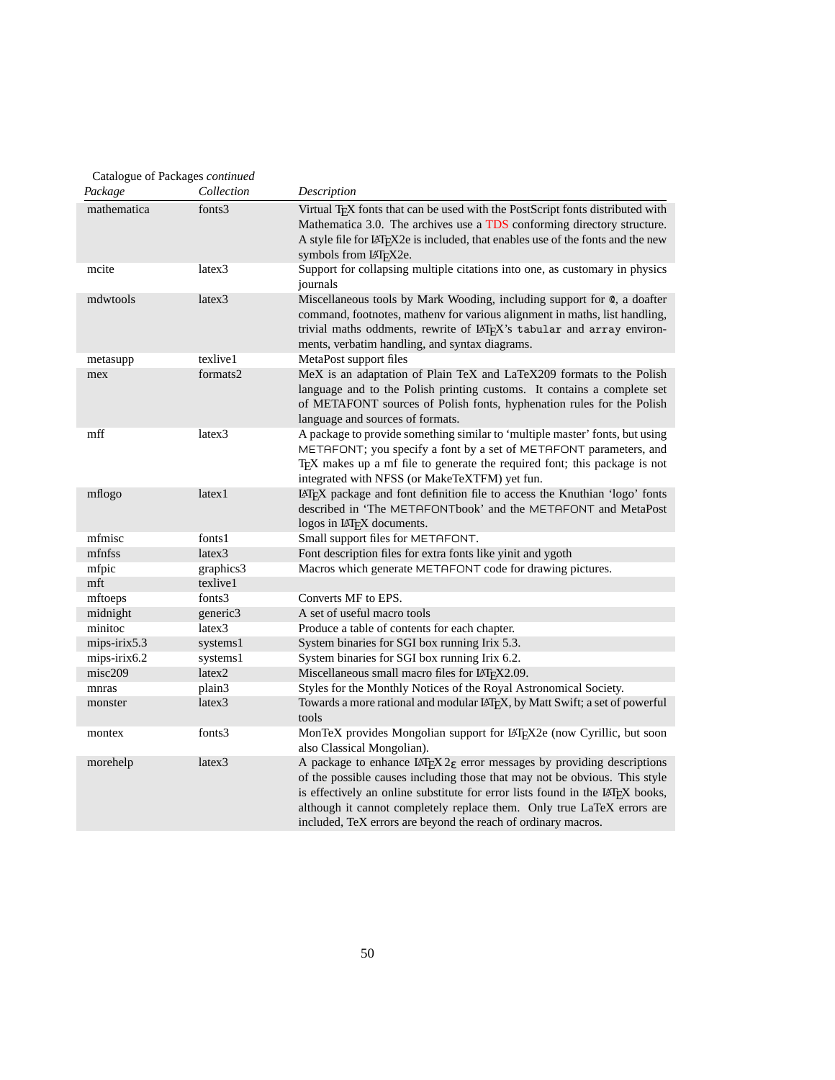| Package      | Collection | Description                                                                                                                                                                                                                                                                                                                                                                                                                       |
|--------------|------------|-----------------------------------------------------------------------------------------------------------------------------------------------------------------------------------------------------------------------------------------------------------------------------------------------------------------------------------------------------------------------------------------------------------------------------------|
| mathematica  | fonts3     | Virtual TEX fonts that can be used with the PostScript fonts distributed with<br>Mathematica 3.0. The archives use a TDS conforming directory structure.<br>A style file for LATEX2e is included, that enables use of the fonts and the new<br>symbols from LAT <sub>F</sub> X2e.                                                                                                                                                 |
| mcite        | latex3     | Support for collapsing multiple citations into one, as customary in physics<br>journals                                                                                                                                                                                                                                                                                                                                           |
| mdwtools     | latex3     | Miscellaneous tools by Mark Wooding, including support for 0, a doafter<br>command, footnotes, matheny for various alignment in maths, list handling,<br>trivial maths oddments, rewrite of LATEX's tabular and array environ-<br>ments, verbatim handling, and syntax diagrams.                                                                                                                                                  |
| metasupp     | texlive1   | MetaPost support files                                                                                                                                                                                                                                                                                                                                                                                                            |
| mex          | formats2   | MeX is an adaptation of Plain TeX and LaTeX209 formats to the Polish<br>language and to the Polish printing customs. It contains a complete set<br>of METAFONT sources of Polish fonts, hyphenation rules for the Polish<br>language and sources of formats.                                                                                                                                                                      |
| mff          | latex3     | A package to provide something similar to 'multiple master' fonts, but using<br>METAFONT; you specify a font by a set of METAFONT parameters, and<br>TFX makes up a mf file to generate the required font; this package is not<br>integrated with NFSS (or MakeTeXTFM) yet fun.                                                                                                                                                   |
| mflogo       | latex1     | LATEX package and font definition file to access the Knuthian 'logo' fonts<br>described in 'The METAFONTbook' and the METAFONT and MetaPost<br>logos in IAT <sub>F</sub> X documents.                                                                                                                                                                                                                                             |
| mfmisc       | fonts1     | Small support files for METAFONT.                                                                                                                                                                                                                                                                                                                                                                                                 |
| mfnfss       | latex3     | Font description files for extra fonts like yinit and ygoth                                                                                                                                                                                                                                                                                                                                                                       |
| mfpic        | graphics3  | Macros which generate METAFONT code for drawing pictures.                                                                                                                                                                                                                                                                                                                                                                         |
| mft          | texlive1   |                                                                                                                                                                                                                                                                                                                                                                                                                                   |
| mftoeps      | fonts3     | Converts MF to EPS.                                                                                                                                                                                                                                                                                                                                                                                                               |
| midnight     | generic3   | A set of useful macro tools                                                                                                                                                                                                                                                                                                                                                                                                       |
| minitoc      | latex3     | Produce a table of contents for each chapter.                                                                                                                                                                                                                                                                                                                                                                                     |
| mips-irix5.3 | systems1   | System binaries for SGI box running Irix 5.3.                                                                                                                                                                                                                                                                                                                                                                                     |
| mips-irix6.2 | systems1   | System binaries for SGI box running Irix 6.2.                                                                                                                                                                                                                                                                                                                                                                                     |
| misc209      | latex2     | Miscellaneous small macro files for LATEX2.09.                                                                                                                                                                                                                                                                                                                                                                                    |
| mnras        | plain3     | Styles for the Monthly Notices of the Royal Astronomical Society.                                                                                                                                                                                                                                                                                                                                                                 |
| monster      | latex3     | Towards a more rational and modular IATFX, by Matt Swift; a set of powerful<br>tools                                                                                                                                                                                                                                                                                                                                              |
| montex       | fonts3     | MonTeX provides Mongolian support for LATEX2e (now Cyrillic, but soon<br>also Classical Mongolian).                                                                                                                                                                                                                                                                                                                               |
| morehelp     | latex3     | A package to enhance $LAT$ <sub>E</sub> X2 <sub><math>\varepsilon</math></sub> error messages by providing descriptions<br>of the possible causes including those that may not be obvious. This style<br>is effectively an online substitute for error lists found in the LATEX books,<br>although it cannot completely replace them. Only true LaTeX errors are<br>included, TeX errors are beyond the reach of ordinary macros. |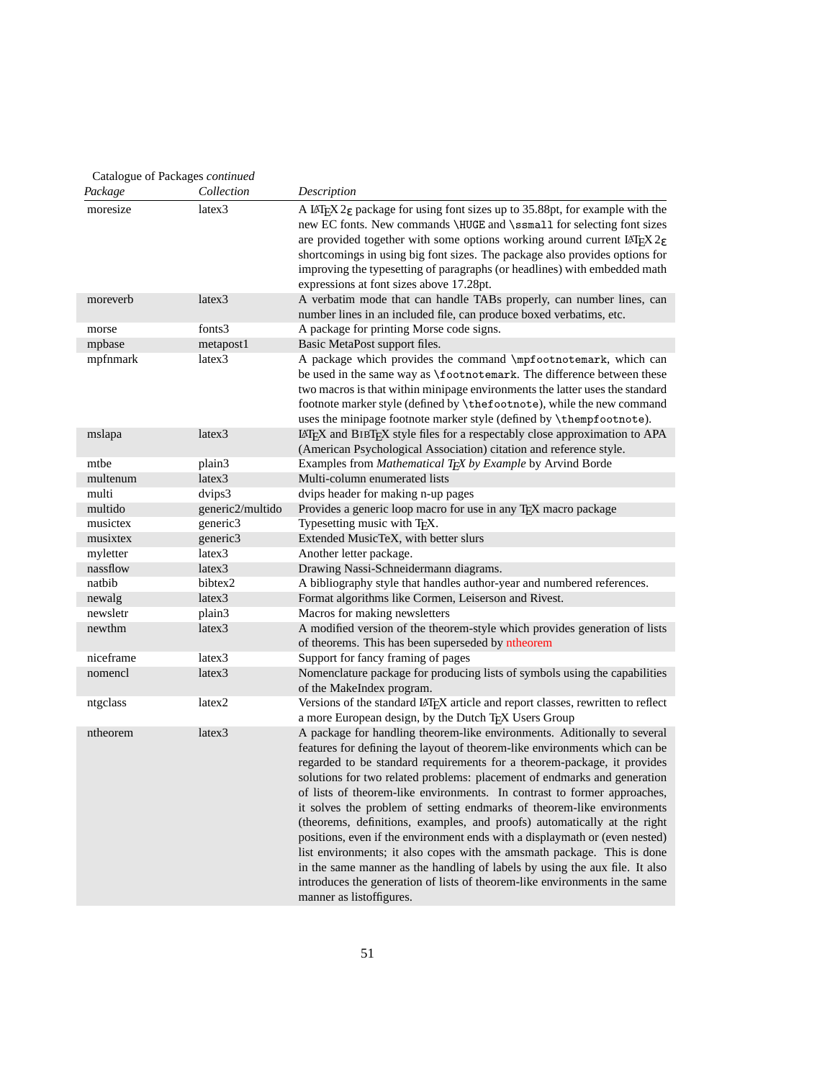| Package   | Collection         | Description                                                                                                                                                                                                                                                                                                                                                                                                                                                                                                                                                                                                                                                                                                                                                                                                                                                                                         |
|-----------|--------------------|-----------------------------------------------------------------------------------------------------------------------------------------------------------------------------------------------------------------------------------------------------------------------------------------------------------------------------------------------------------------------------------------------------------------------------------------------------------------------------------------------------------------------------------------------------------------------------------------------------------------------------------------------------------------------------------------------------------------------------------------------------------------------------------------------------------------------------------------------------------------------------------------------------|
| moresize  | latex3             | A LAT <sub>E</sub> X 2 <sub><math>\varepsilon</math></sub> package for using font sizes up to 35.88pt, for example with the<br>new EC fonts. New commands \HUGE and \ssmall for selecting font sizes<br>are provided together with some options working around current LATFX $2\varepsilon$<br>shortcomings in using big font sizes. The package also provides options for<br>improving the typesetting of paragraphs (or headlines) with embedded math<br>expressions at font sizes above 17.28pt.                                                                                                                                                                                                                                                                                                                                                                                                 |
| moreverb  | latex3             | A verbatim mode that can handle TABs properly, can number lines, can<br>number lines in an included file, can produce boxed verbatims, etc.                                                                                                                                                                                                                                                                                                                                                                                                                                                                                                                                                                                                                                                                                                                                                         |
| morse     | fonts3             | A package for printing Morse code signs.                                                                                                                                                                                                                                                                                                                                                                                                                                                                                                                                                                                                                                                                                                                                                                                                                                                            |
| mpbase    | metapost1          | Basic MetaPost support files.                                                                                                                                                                                                                                                                                                                                                                                                                                                                                                                                                                                                                                                                                                                                                                                                                                                                       |
| mpfnmark  | latex3             | A package which provides the command \mpfootnotemark, which can<br>be used in the same way as \footnotemark. The difference between these<br>two macros is that within minipage environments the latter uses the standard<br>footnote marker style (defined by \thefootnote), while the new command<br>uses the minipage footnote marker style (defined by \thempfootnote).                                                                                                                                                                                                                                                                                                                                                                                                                                                                                                                         |
| mslapa    | latex3             | LATEX and BIBTEX style files for a respectably close approximation to APA<br>(American Psychological Association) citation and reference style.                                                                                                                                                                                                                                                                                                                                                                                                                                                                                                                                                                                                                                                                                                                                                     |
| mtbe      | plain3             | Examples from Mathematical TFX by Example by Arvind Borde                                                                                                                                                                                                                                                                                                                                                                                                                                                                                                                                                                                                                                                                                                                                                                                                                                           |
| multenum  | latex3             | Multi-column enumerated lists                                                                                                                                                                                                                                                                                                                                                                                                                                                                                                                                                                                                                                                                                                                                                                                                                                                                       |
| multi     | dvips3             | dvips header for making n-up pages                                                                                                                                                                                                                                                                                                                                                                                                                                                                                                                                                                                                                                                                                                                                                                                                                                                                  |
| multido   | generic2/multido   | Provides a generic loop macro for use in any TFX macro package                                                                                                                                                                                                                                                                                                                                                                                                                                                                                                                                                                                                                                                                                                                                                                                                                                      |
| musictex  | generic3           | Typesetting music with TFX.                                                                                                                                                                                                                                                                                                                                                                                                                                                                                                                                                                                                                                                                                                                                                                                                                                                                         |
| musixtex  | generic3           | Extended MusicTeX, with better slurs                                                                                                                                                                                                                                                                                                                                                                                                                                                                                                                                                                                                                                                                                                                                                                                                                                                                |
| myletter  | latex3             | Another letter package.                                                                                                                                                                                                                                                                                                                                                                                                                                                                                                                                                                                                                                                                                                                                                                                                                                                                             |
| nassflow  | latex3             | Drawing Nassi-Schneidermann diagrams.                                                                                                                                                                                                                                                                                                                                                                                                                                                                                                                                                                                                                                                                                                                                                                                                                                                               |
| natbib    | bibtex2            | A bibliography style that handles author-year and numbered references.                                                                                                                                                                                                                                                                                                                                                                                                                                                                                                                                                                                                                                                                                                                                                                                                                              |
| newalg    | latex3             | Format algorithms like Cormen, Leiserson and Rivest.                                                                                                                                                                                                                                                                                                                                                                                                                                                                                                                                                                                                                                                                                                                                                                                                                                                |
| newsletr  | plain3             | Macros for making newsletters                                                                                                                                                                                                                                                                                                                                                                                                                                                                                                                                                                                                                                                                                                                                                                                                                                                                       |
| newthm    | latex3             | A modified version of the theorem-style which provides generation of lists<br>of theorems. This has been superseded by ntheorem                                                                                                                                                                                                                                                                                                                                                                                                                                                                                                                                                                                                                                                                                                                                                                     |
| niceframe | latex3             | Support for fancy framing of pages                                                                                                                                                                                                                                                                                                                                                                                                                                                                                                                                                                                                                                                                                                                                                                                                                                                                  |
| nomencl   | latex3             | Nomenclature package for producing lists of symbols using the capabilities<br>of the MakeIndex program.                                                                                                                                                                                                                                                                                                                                                                                                                                                                                                                                                                                                                                                                                                                                                                                             |
| ntgclass  | latex2             | Versions of the standard IATEX article and report classes, rewritten to reflect<br>a more European design, by the Dutch TFX Users Group                                                                                                                                                                                                                                                                                                                                                                                                                                                                                                                                                                                                                                                                                                                                                             |
| ntheorem  | latex <sub>3</sub> | A package for handling theorem-like environments. Aditionally to several<br>features for defining the layout of theorem-like environments which can be<br>regarded to be standard requirements for a theorem-package, it provides<br>solutions for two related problems: placement of endmarks and generation<br>of lists of theorem-like environments. In contrast to former approaches,<br>it solves the problem of setting endmarks of theorem-like environments<br>(theorems, definitions, examples, and proofs) automatically at the right<br>positions, even if the environment ends with a displaymath or (even nested)<br>list environments; it also copes with the amsmath package. This is done<br>in the same manner as the handling of labels by using the aux file. It also<br>introduces the generation of lists of theorem-like environments in the same<br>manner as listoffigures. |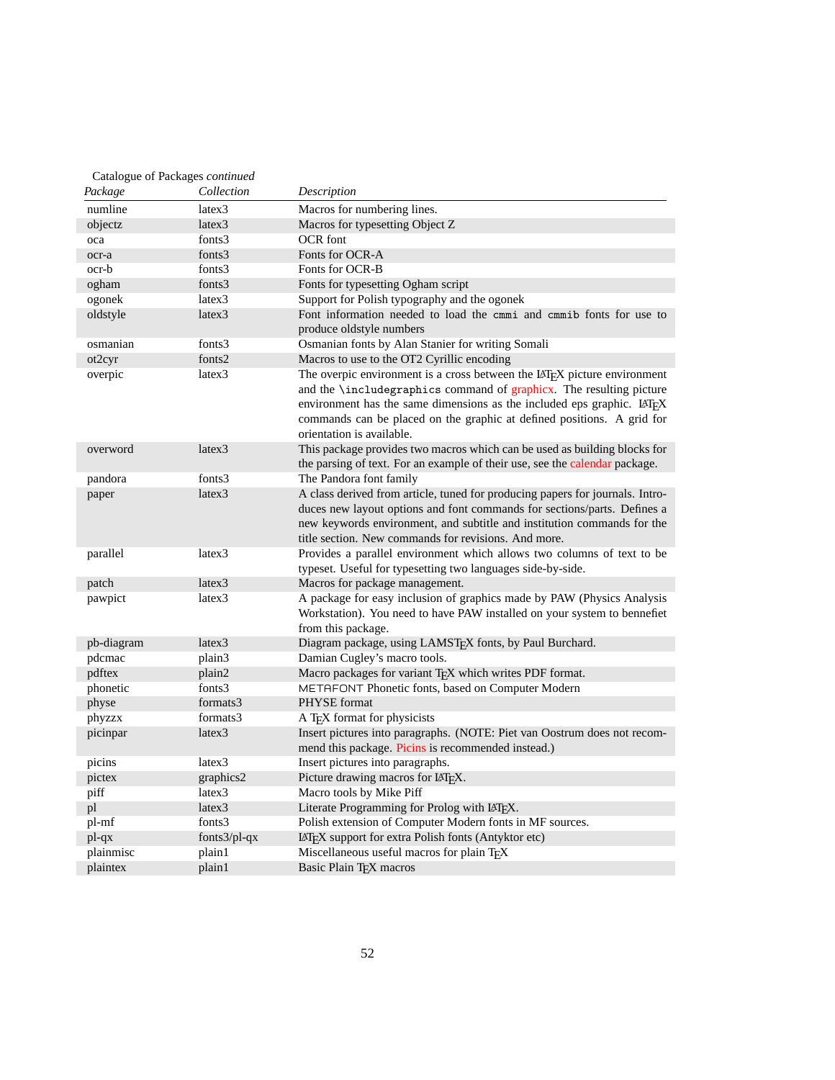| Package    | Collection         | Description                                                                                                                                                                                                                                                                                                                                   |
|------------|--------------------|-----------------------------------------------------------------------------------------------------------------------------------------------------------------------------------------------------------------------------------------------------------------------------------------------------------------------------------------------|
| numline    | latex3             | Macros for numbering lines.                                                                                                                                                                                                                                                                                                                   |
| objectz    | latex3             | Macros for typesetting Object Z                                                                                                                                                                                                                                                                                                               |
| oca        | fonts3             | <b>OCR</b> font                                                                                                                                                                                                                                                                                                                               |
| ocr-a      | fonts3             | Fonts for OCR-A                                                                                                                                                                                                                                                                                                                               |
| ocr-b      | fonts3             | Fonts for OCR-B                                                                                                                                                                                                                                                                                                                               |
| ogham      | fonts3             | Fonts for typesetting Ogham script                                                                                                                                                                                                                                                                                                            |
| ogonek     | latex <sub>3</sub> | Support for Polish typography and the ogonek                                                                                                                                                                                                                                                                                                  |
| oldstyle   | latex <sub>3</sub> | Font information needed to load the cmmi and cmmib fonts for use to<br>produce oldstyle numbers                                                                                                                                                                                                                                               |
| osmanian   | fonts3             | Osmanian fonts by Alan Stanier for writing Somali                                                                                                                                                                                                                                                                                             |
| ot2cyr     | fonts2             | Macros to use to the OT2 Cyrillic encoding                                                                                                                                                                                                                                                                                                    |
| overpic    | latex <sub>3</sub> | The overpic environment is a cross between the LAT <sub>F</sub> X picture environment<br>and the \includegraphics command of graphicx. The resulting picture<br>environment has the same dimensions as the included eps graphic. LATFX<br>commands can be placed on the graphic at defined positions. A grid for<br>orientation is available. |
| overword   | latex3             | This package provides two macros which can be used as building blocks for<br>the parsing of text. For an example of their use, see the calendar package.                                                                                                                                                                                      |
| pandora    | fonts3             | The Pandora font family                                                                                                                                                                                                                                                                                                                       |
| paper      | latex3             | A class derived from article, tuned for producing papers for journals. Intro-<br>duces new layout options and font commands for sections/parts. Defines a<br>new keywords environment, and subtitle and institution commands for the<br>title section. New commands for revisions. And more.                                                  |
| parallel   | latex3             | Provides a parallel environment which allows two columns of text to be<br>typeset. Useful for typesetting two languages side-by-side.                                                                                                                                                                                                         |
| patch      | latex3             | Macros for package management.                                                                                                                                                                                                                                                                                                                |
| pawpict    | latex3             | A package for easy inclusion of graphics made by PAW (Physics Analysis<br>Workstation). You need to have PAW installed on your system to bennefiet<br>from this package.                                                                                                                                                                      |
| pb-diagram | latex3             | Diagram package, using LAMSTEX fonts, by Paul Burchard.                                                                                                                                                                                                                                                                                       |
| pdcmac     | plain3             | Damian Cugley's macro tools.                                                                                                                                                                                                                                                                                                                  |
| pdftex     | plain2             | Macro packages for variant TFX which writes PDF format.                                                                                                                                                                                                                                                                                       |
| phonetic   | fonts3             | METAFONT Phonetic fonts, based on Computer Modern                                                                                                                                                                                                                                                                                             |
| physe      | formats3           | <b>PHYSE</b> format                                                                                                                                                                                                                                                                                                                           |
| phyzzx     | formats3           | A TEX format for physicists                                                                                                                                                                                                                                                                                                                   |
| picinpar   | latex3             | Insert pictures into paragraphs. (NOTE: Piet van Oostrum does not recom-<br>mend this package. Picins is recommended instead.)                                                                                                                                                                                                                |
| picins     | latex3             | Insert pictures into paragraphs.                                                                                                                                                                                                                                                                                                              |
| pictex     | graphics2          | Picture drawing macros for IATFX.                                                                                                                                                                                                                                                                                                             |
| piff       | latex3             | Macro tools by Mike Piff                                                                                                                                                                                                                                                                                                                      |
| pl         | latex3             | Literate Programming for Prolog with LATEX.                                                                                                                                                                                                                                                                                                   |
| pl-mf      | fonts3             | Polish extension of Computer Modern fonts in MF sources.                                                                                                                                                                                                                                                                                      |
| $pl-qx$    | fonts $3$ /pl-qx   | IATEX support for extra Polish fonts (Antyktor etc)                                                                                                                                                                                                                                                                                           |
| plainmisc  | plain1             | Miscellaneous useful macros for plain TFX                                                                                                                                                                                                                                                                                                     |
| plaintex   | plain1             | Basic Plain TEX macros                                                                                                                                                                                                                                                                                                                        |
|            |                    |                                                                                                                                                                                                                                                                                                                                               |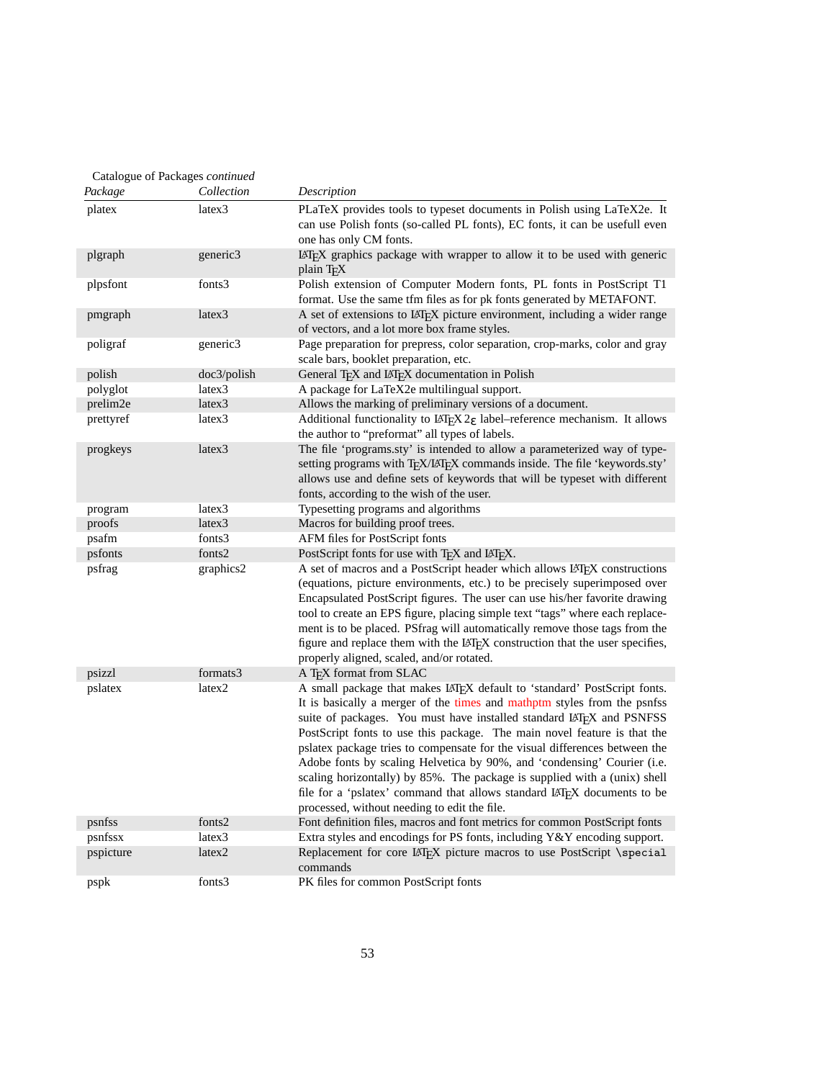<span id="page-52-0"></span>

| Package   | Catalogue of Packages continued<br>Collection | Description                                                                                                                                                                                                                                                                                                                                                                                                                                                                                                                                                                                                                                                               |
|-----------|-----------------------------------------------|---------------------------------------------------------------------------------------------------------------------------------------------------------------------------------------------------------------------------------------------------------------------------------------------------------------------------------------------------------------------------------------------------------------------------------------------------------------------------------------------------------------------------------------------------------------------------------------------------------------------------------------------------------------------------|
| platex    | latex3                                        | PLaTeX provides tools to typeset documents in Polish using LaTeX2e. It<br>can use Polish fonts (so-called PL fonts), EC fonts, it can be usefull even<br>one has only CM fonts.                                                                                                                                                                                                                                                                                                                                                                                                                                                                                           |
| plgraph   | generic3                                      | LATEX graphics package with wrapper to allow it to be used with generic<br>plain TEX                                                                                                                                                                                                                                                                                                                                                                                                                                                                                                                                                                                      |
| plpsfont  | fonts3                                        | Polish extension of Computer Modern fonts, PL fonts in PostScript T1<br>format. Use the same tfm files as for pk fonts generated by METAFONT.                                                                                                                                                                                                                                                                                                                                                                                                                                                                                                                             |
| pmgraph   | latex3                                        | A set of extensions to LATEX picture environment, including a wider range<br>of vectors, and a lot more box frame styles.                                                                                                                                                                                                                                                                                                                                                                                                                                                                                                                                                 |
| poligraf  | generic3                                      | Page preparation for prepress, color separation, crop-marks, color and gray<br>scale bars, booklet preparation, etc.                                                                                                                                                                                                                                                                                                                                                                                                                                                                                                                                                      |
| polish    | doc3/polish                                   | General TFX and LATFX documentation in Polish                                                                                                                                                                                                                                                                                                                                                                                                                                                                                                                                                                                                                             |
| polyglot  | latex3                                        | A package for LaTeX2e multilingual support.                                                                                                                                                                                                                                                                                                                                                                                                                                                                                                                                                                                                                               |
| prelim2e  | latex3                                        | Allows the marking of preliminary versions of a document.                                                                                                                                                                                                                                                                                                                                                                                                                                                                                                                                                                                                                 |
| prettyref | latex3                                        | Additional functionality to LAT <sub>E</sub> X 2 <sub>ε</sub> label–reference mechanism. It allows<br>the author to "preformat" all types of labels.                                                                                                                                                                                                                                                                                                                                                                                                                                                                                                                      |
| progkeys  | latex3                                        | The file 'programs.sty' is intended to allow a parameterized way of type-<br>setting programs with TEX/IATEX commands inside. The file 'keywords.sty'<br>allows use and define sets of keywords that will be typeset with different<br>fonts, according to the wish of the user.                                                                                                                                                                                                                                                                                                                                                                                          |
| program   | latex3                                        | Typesetting programs and algorithms                                                                                                                                                                                                                                                                                                                                                                                                                                                                                                                                                                                                                                       |
| proofs    | latex3                                        | Macros for building proof trees.                                                                                                                                                                                                                                                                                                                                                                                                                                                                                                                                                                                                                                          |
| psafm     | fonts3                                        | AFM files for PostScript fonts                                                                                                                                                                                                                                                                                                                                                                                                                                                                                                                                                                                                                                            |
| psfonts   | fonts2                                        | PostScript fonts for use with TFX and LATFX.                                                                                                                                                                                                                                                                                                                                                                                                                                                                                                                                                                                                                              |
| psfrag    | graphics2                                     | A set of macros and a PostScript header which allows LATEX constructions<br>(equations, picture environments, etc.) to be precisely superimposed over<br>Encapsulated PostScript figures. The user can use his/her favorite drawing<br>tool to create an EPS figure, placing simple text "tags" where each replace-<br>ment is to be placed. PSfrag will automatically remove those tags from the<br>figure and replace them with the LAT <sub>E</sub> X construction that the user specifies,<br>properly aligned, scaled, and/or rotated.                                                                                                                               |
| psizzl    | formats3                                      | A TEX format from SLAC                                                                                                                                                                                                                                                                                                                                                                                                                                                                                                                                                                                                                                                    |
| pslatex   | latex2                                        | A small package that makes LATEX default to 'standard' PostScript fonts.<br>It is basically a merger of the times and mathptm styles from the psnfss<br>suite of packages. You must have installed standard LATEX and PSNFSS<br>PostScript fonts to use this package. The main novel feature is that the<br>pslatex package tries to compensate for the visual differences between the<br>Adobe fonts by scaling Helvetica by 90%, and 'condensing' Courier (i.e.<br>scaling horizontally) by 85%. The package is supplied with a (unix) shell<br>file for a 'pslatex' command that allows standard IATEX documents to be<br>processed, without needing to edit the file. |
| psnfss    | fonts2                                        | Font definition files, macros and font metrics for common PostScript fonts                                                                                                                                                                                                                                                                                                                                                                                                                                                                                                                                                                                                |
| psnfssx   | latex3                                        | Extra styles and encodings for PS fonts, including Y&Y encoding support.                                                                                                                                                                                                                                                                                                                                                                                                                                                                                                                                                                                                  |
| pspicture | latex2                                        | Replacement for core LATEX picture macros to use PostScript \special<br>commands                                                                                                                                                                                                                                                                                                                                                                                                                                                                                                                                                                                          |
| pspk      | fonts3                                        | PK files for common PostScript fonts                                                                                                                                                                                                                                                                                                                                                                                                                                                                                                                                                                                                                                      |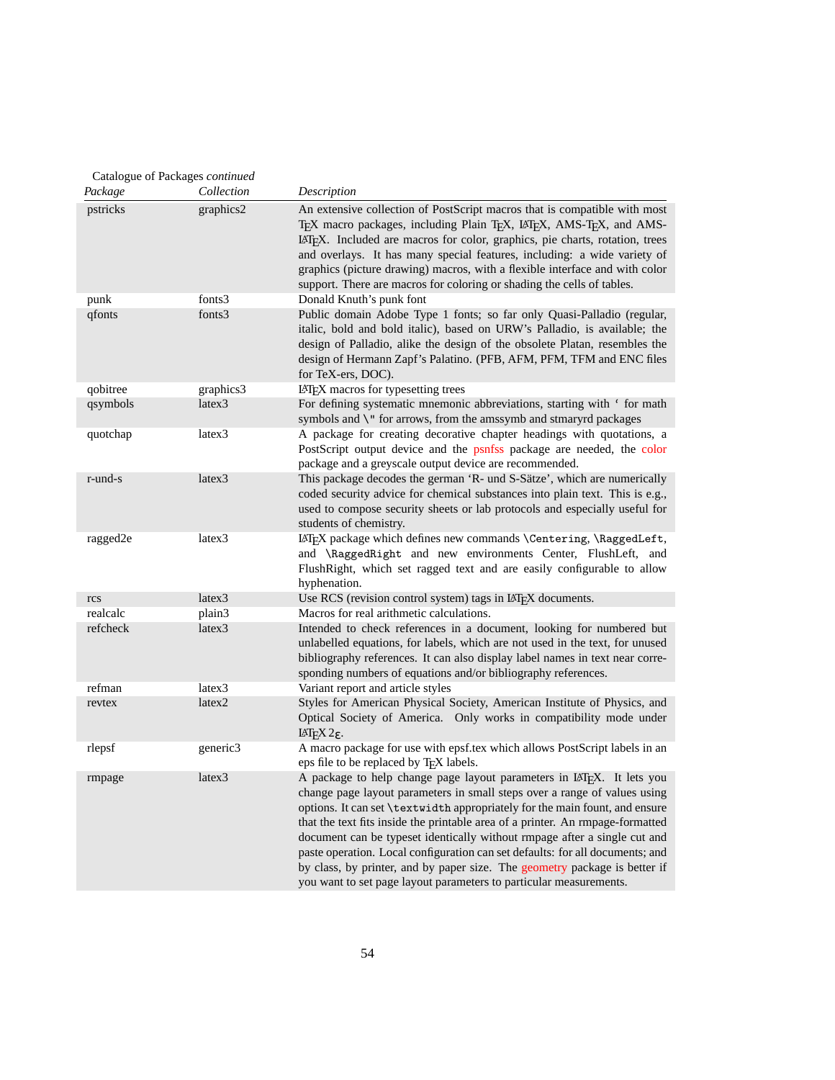| Package  | Catalogue of Packages continued<br>Collection | Description                                                                                                                                                                                                                                                                                                                                                                                                                                                                                                                                                                                                                           |
|----------|-----------------------------------------------|---------------------------------------------------------------------------------------------------------------------------------------------------------------------------------------------------------------------------------------------------------------------------------------------------------------------------------------------------------------------------------------------------------------------------------------------------------------------------------------------------------------------------------------------------------------------------------------------------------------------------------------|
| pstricks | graphics2                                     | An extensive collection of PostScript macros that is compatible with most<br>TEX macro packages, including Plain TEX, LATEX, AMS-TEX, and AMS-<br>LATEX. Included are macros for color, graphics, pie charts, rotation, trees<br>and overlays. It has many special features, including: a wide variety of<br>graphics (picture drawing) macros, with a flexible interface and with color<br>support. There are macros for coloring or shading the cells of tables.                                                                                                                                                                    |
| punk     | fonts3                                        | Donald Knuth's punk font                                                                                                                                                                                                                                                                                                                                                                                                                                                                                                                                                                                                              |
| qfonts   | fonts3                                        | Public domain Adobe Type 1 fonts; so far only Quasi-Palladio (regular,<br>italic, bold and bold italic), based on URW's Palladio, is available; the<br>design of Palladio, alike the design of the obsolete Platan, resembles the<br>design of Hermann Zapf's Palatino. (PFB, AFM, PFM, TFM and ENC files<br>for TeX-ers, DOC).                                                                                                                                                                                                                                                                                                       |
| qobitree | graphics3                                     | IATEX macros for typesetting trees                                                                                                                                                                                                                                                                                                                                                                                                                                                                                                                                                                                                    |
| qsymbols | latex3                                        | For defining systematic mnemonic abbreviations, starting with ' for math<br>symbols and \" for arrows, from the amssymb and stmaryrd packages                                                                                                                                                                                                                                                                                                                                                                                                                                                                                         |
| quotchap | latex3                                        | A package for creating decorative chapter headings with quotations, a<br>PostScript output device and the psnfss package are needed, the color<br>package and a greyscale output device are recommended.                                                                                                                                                                                                                                                                                                                                                                                                                              |
| r-und-s  | latex3                                        | This package decodes the german 'R- und S-Sätze', which are numerically<br>coded security advice for chemical substances into plain text. This is e.g.,<br>used to compose security sheets or lab protocols and especially useful for<br>students of chemistry.                                                                                                                                                                                                                                                                                                                                                                       |
| ragged2e | latex <sub>3</sub>                            | LATEX package which defines new commands \Centering, \RaggedLeft,<br>and \RaggedRight and new environments Center, FlushLeft, and<br>FlushRight, which set ragged text and are easily configurable to allow<br>hyphenation.                                                                                                                                                                                                                                                                                                                                                                                                           |
| rcs      | latex3                                        | Use RCS (revision control system) tags in LAT <sub>E</sub> X documents.                                                                                                                                                                                                                                                                                                                                                                                                                                                                                                                                                               |
| realcalc | plain3                                        | Macros for real arithmetic calculations.                                                                                                                                                                                                                                                                                                                                                                                                                                                                                                                                                                                              |
| refcheck | latex3                                        | Intended to check references in a document, looking for numbered but<br>unlabelled equations, for labels, which are not used in the text, for unused<br>bibliography references. It can also display label names in text near corre-<br>sponding numbers of equations and/or bibliography references.                                                                                                                                                                                                                                                                                                                                 |
| refman   | latex3                                        | Variant report and article styles                                                                                                                                                                                                                                                                                                                                                                                                                                                                                                                                                                                                     |
| revtex   | latex2                                        | Styles for American Physical Society, American Institute of Physics, and<br>Optical Society of America. Only works in compatibility mode under<br>$LAT$ <sub>E</sub> X $2\epsilon$ .                                                                                                                                                                                                                                                                                                                                                                                                                                                  |
| rlepsf   | generic3                                      | A macro package for use with epsf.tex which allows PostScript labels in an<br>eps file to be replaced by T <sub>F</sub> X labels.                                                                                                                                                                                                                                                                                                                                                                                                                                                                                                     |
| rmpage   | latex <sub>3</sub>                            | A package to help change page layout parameters in LATEX. It lets you<br>change page layout parameters in small steps over a range of values using<br>options. It can set \textwidth appropriately for the main fount, and ensure<br>that the text fits inside the printable area of a printer. An rmpage-formatted<br>document can be typeset identically without rmpage after a single cut and<br>paste operation. Local configuration can set defaults: for all documents; and<br>by class, by printer, and by paper size. The geometry package is better if<br>you want to set page layout parameters to particular measurements. |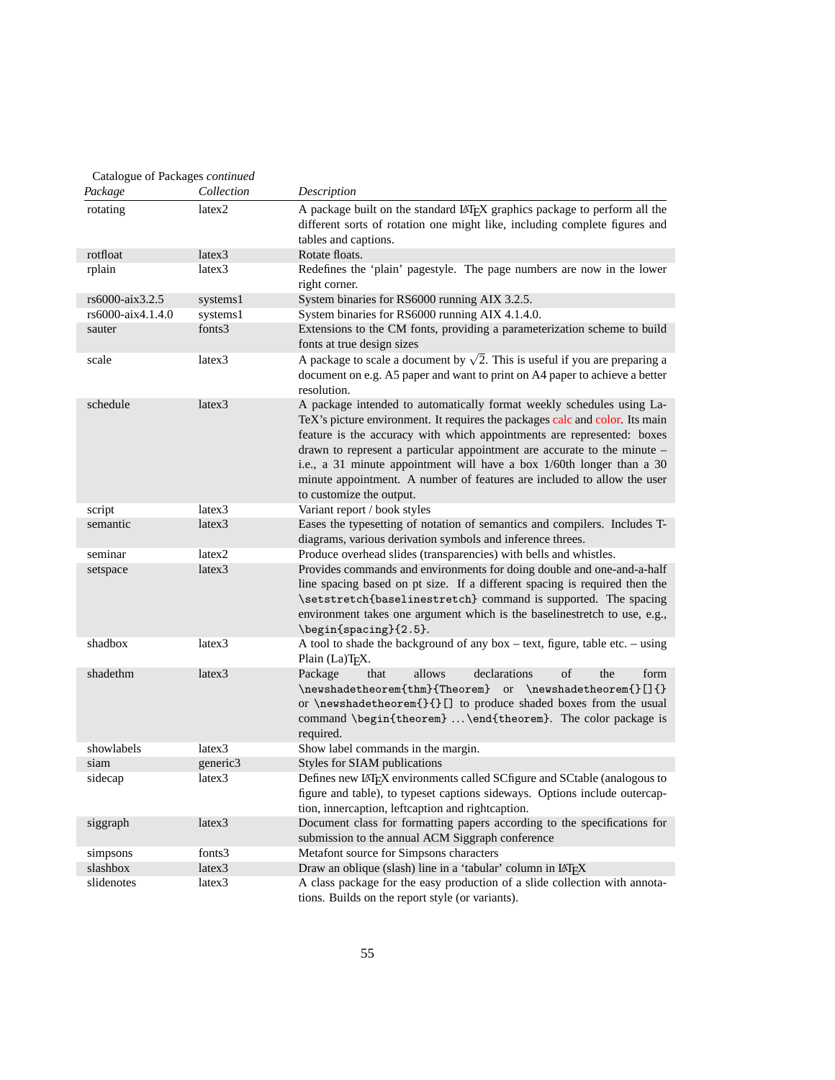| Package           | Collection | Description                                                                                                                                                                                                                                                                                                                                                                                                                                                                                 |
|-------------------|------------|---------------------------------------------------------------------------------------------------------------------------------------------------------------------------------------------------------------------------------------------------------------------------------------------------------------------------------------------------------------------------------------------------------------------------------------------------------------------------------------------|
| rotating          | latex2     | A package built on the standard IATEX graphics package to perform all the<br>different sorts of rotation one might like, including complete figures and<br>tables and captions.                                                                                                                                                                                                                                                                                                             |
| rotfloat          | latex3     | Rotate floats.                                                                                                                                                                                                                                                                                                                                                                                                                                                                              |
| rplain            | latex3     | Redefines the 'plain' pagestyle. The page numbers are now in the lower<br>right corner.                                                                                                                                                                                                                                                                                                                                                                                                     |
| rs6000-aix3.2.5   | systems1   | System binaries for RS6000 running AIX 3.2.5.                                                                                                                                                                                                                                                                                                                                                                                                                                               |
| rs6000-aix4.1.4.0 | systems1   | System binaries for RS6000 running AIX 4.1.4.0.                                                                                                                                                                                                                                                                                                                                                                                                                                             |
| sauter            | fonts3     | Extensions to the CM fonts, providing a parameterization scheme to build<br>fonts at true design sizes                                                                                                                                                                                                                                                                                                                                                                                      |
| scale             | latex3     | A package to scale a document by $\sqrt{2}$ . This is useful if you are preparing a<br>document on e.g. A5 paper and want to print on A4 paper to achieve a better<br>resolution.                                                                                                                                                                                                                                                                                                           |
| schedule          | latex3     | A package intended to automatically format weekly schedules using La-<br>TeX's picture environment. It requires the packages calc and color. Its main<br>feature is the accuracy with which appointments are represented: boxes<br>drawn to represent a particular appointment are accurate to the minute -<br>i.e., a 31 minute appointment will have a box 1/60th longer than a 30<br>minute appointment. A number of features are included to allow the user<br>to customize the output. |
| script            | latex3     | Variant report / book styles                                                                                                                                                                                                                                                                                                                                                                                                                                                                |
| semantic          | latex3     | Eases the typesetting of notation of semantics and compilers. Includes T-<br>diagrams, various derivation symbols and inference threes.                                                                                                                                                                                                                                                                                                                                                     |
| seminar           | latex2     | Produce overhead slides (transparencies) with bells and whistles.                                                                                                                                                                                                                                                                                                                                                                                                                           |
| setspace          | latex3     | Provides commands and environments for doing double and one-and-a-half<br>line spacing based on pt size. If a different spacing is required then the<br>\setstretch{baselinestretch} command is supported. The spacing<br>environment takes one argument which is the baselinestretch to use, e.g.,<br>\begin{spacing}{2.5}.                                                                                                                                                                |
| shadbox           | latex3     | A tool to shade the background of any box - text, figure, table etc. - using<br>Plain (La)T <sub>F</sub> X.                                                                                                                                                                                                                                                                                                                                                                                 |
| shadethm          | latex3     | allows<br>declarations<br>form<br>Package<br>that<br>of<br>the<br>\newshadetheorem{thm}{Theorem} or \newshadetheorem{}[]{}<br>or \newshadetheorem{}{}[] to produce shaded boxes from the usual<br>command \begin{theorem}  \end{theorem}. The color package is<br>required.                                                                                                                                                                                                                 |
| showlabels        | latex3     | Show label commands in the margin.                                                                                                                                                                                                                                                                                                                                                                                                                                                          |
| siam              | generic3   | Styles for SIAM publications                                                                                                                                                                                                                                                                                                                                                                                                                                                                |
| sidecap           | latex3     | Defines new IATFX environments called SCfigure and SCtable (analogous to<br>figure and table), to typeset captions sideways. Options include outercap-<br>tion, innercaption, leftcaption and rightcaption.                                                                                                                                                                                                                                                                                 |
| siggraph          | latex3     | Document class for formatting papers according to the specifications for<br>submission to the annual ACM Siggraph conference                                                                                                                                                                                                                                                                                                                                                                |
| simpsons          | fonts3     | Metafont source for Simpsons characters                                                                                                                                                                                                                                                                                                                                                                                                                                                     |
| slashbox          | latex3     | Draw an oblique (slash) line in a 'tabular' column in LATEX                                                                                                                                                                                                                                                                                                                                                                                                                                 |
| slidenotes        | latex3     | A class package for the easy production of a slide collection with annota-<br>tions. Builds on the report style (or variants).                                                                                                                                                                                                                                                                                                                                                              |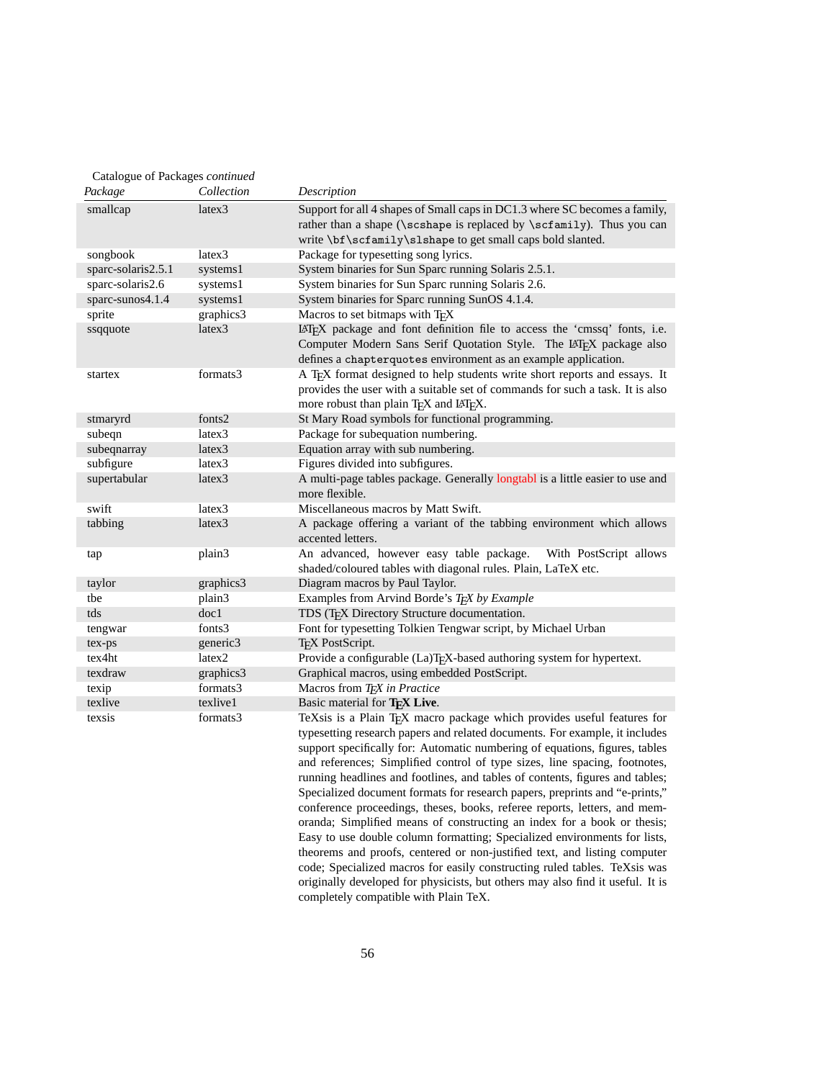<span id="page-55-0"></span>

| Package            | Collection | Description                                                                                                                                                                                                                                                                                                                                                                                                                                                                                                                                                                                                                                                                                                                                                                                         |
|--------------------|------------|-----------------------------------------------------------------------------------------------------------------------------------------------------------------------------------------------------------------------------------------------------------------------------------------------------------------------------------------------------------------------------------------------------------------------------------------------------------------------------------------------------------------------------------------------------------------------------------------------------------------------------------------------------------------------------------------------------------------------------------------------------------------------------------------------------|
| smallcap           | latex3     | Support for all 4 shapes of Small caps in DC1.3 where SC becomes a family,<br>rather than a shape (\scshape is replaced by \scfamily). Thus you can<br>write \bf\scfamily\slshape to get small caps bold slanted.                                                                                                                                                                                                                                                                                                                                                                                                                                                                                                                                                                                   |
| songbook           | latex3     | Package for typesetting song lyrics.                                                                                                                                                                                                                                                                                                                                                                                                                                                                                                                                                                                                                                                                                                                                                                |
| sparc-solaris2.5.1 | systems1   | System binaries for Sun Sparc running Solaris 2.5.1.                                                                                                                                                                                                                                                                                                                                                                                                                                                                                                                                                                                                                                                                                                                                                |
| sparc-solaris2.6   | systems1   | System binaries for Sun Sparc running Solaris 2.6.                                                                                                                                                                                                                                                                                                                                                                                                                                                                                                                                                                                                                                                                                                                                                  |
| sparc-sunos4.1.4   | systems1   | System binaries for Sparc running SunOS 4.1.4.                                                                                                                                                                                                                                                                                                                                                                                                                                                                                                                                                                                                                                                                                                                                                      |
| sprite             | graphics3  | Macros to set bitmaps with TFX                                                                                                                                                                                                                                                                                                                                                                                                                                                                                                                                                                                                                                                                                                                                                                      |
| ssqquote           | latex3     | IATEX package and font definition file to access the 'cmssq' fonts, i.e.<br>Computer Modern Sans Serif Quotation Style. The LATEX package also<br>defines a chapterquotes environment as an example application.                                                                                                                                                                                                                                                                                                                                                                                                                                                                                                                                                                                    |
| startex            | formats3   | A TEX format designed to help students write short reports and essays. It<br>provides the user with a suitable set of commands for such a task. It is also<br>more robust than plain TEX and IATEX.                                                                                                                                                                                                                                                                                                                                                                                                                                                                                                                                                                                                 |
| stmaryrd           | fonts2     | St Mary Road symbols for functional programming.                                                                                                                                                                                                                                                                                                                                                                                                                                                                                                                                                                                                                                                                                                                                                    |
| subeqn             | latex3     | Package for subequation numbering.                                                                                                                                                                                                                                                                                                                                                                                                                                                                                                                                                                                                                                                                                                                                                                  |
| subeqnarray        | latex3     | Equation array with sub numbering.                                                                                                                                                                                                                                                                                                                                                                                                                                                                                                                                                                                                                                                                                                                                                                  |
| subfigure          | latex3     | Figures divided into subfigures.                                                                                                                                                                                                                                                                                                                                                                                                                                                                                                                                                                                                                                                                                                                                                                    |
| supertabular       | latex3     | A multi-page tables package. Generally longtabl is a little easier to use and<br>more flexible.                                                                                                                                                                                                                                                                                                                                                                                                                                                                                                                                                                                                                                                                                                     |
| swift              | latex3     | Miscellaneous macros by Matt Swift.                                                                                                                                                                                                                                                                                                                                                                                                                                                                                                                                                                                                                                                                                                                                                                 |
| tabbing            | latex3     | A package offering a variant of the tabbing environment which allows<br>accented letters.                                                                                                                                                                                                                                                                                                                                                                                                                                                                                                                                                                                                                                                                                                           |
| tap                | plain3     | An advanced, however easy table package.<br>With PostScript allows<br>shaded/coloured tables with diagonal rules. Plain, LaTeX etc.                                                                                                                                                                                                                                                                                                                                                                                                                                                                                                                                                                                                                                                                 |
| taylor             | graphics3  | Diagram macros by Paul Taylor.                                                                                                                                                                                                                                                                                                                                                                                                                                                                                                                                                                                                                                                                                                                                                                      |
| tbe                | plain3     | Examples from Arvind Borde's T <sub>F</sub> X by Example                                                                                                                                                                                                                                                                                                                                                                                                                                                                                                                                                                                                                                                                                                                                            |
| tds                | doc1       | TDS (TEX Directory Structure documentation.                                                                                                                                                                                                                                                                                                                                                                                                                                                                                                                                                                                                                                                                                                                                                         |
| tengwar            | fonts3     | Font for typesetting Tolkien Tengwar script, by Michael Urban                                                                                                                                                                                                                                                                                                                                                                                                                                                                                                                                                                                                                                                                                                                                       |
| tex-ps             | generic3   | T <sub>F</sub> X PostScript.                                                                                                                                                                                                                                                                                                                                                                                                                                                                                                                                                                                                                                                                                                                                                                        |
| tex4ht             | latex2     | Provide a configurable (La)TEX-based authoring system for hypertext.                                                                                                                                                                                                                                                                                                                                                                                                                                                                                                                                                                                                                                                                                                                                |
| texdraw            | graphics3  | Graphical macros, using embedded PostScript.                                                                                                                                                                                                                                                                                                                                                                                                                                                                                                                                                                                                                                                                                                                                                        |
| texip              | formats3   | Macros from TEX in Practice                                                                                                                                                                                                                                                                                                                                                                                                                                                                                                                                                                                                                                                                                                                                                                         |
| texlive            | texlive1   | Basic material for TEX Live.                                                                                                                                                                                                                                                                                                                                                                                                                                                                                                                                                                                                                                                                                                                                                                        |
| texsis             | formats3   | TeXsis is a Plain TEX macro package which provides useful features for<br>typesetting research papers and related documents. For example, it includes<br>support specifically for: Automatic numbering of equations, figures, tables<br>and references; Simplified control of type sizes, line spacing, footnotes,<br>running headlines and footlines, and tables of contents, figures and tables;<br>Specialized document formats for research papers, preprints and "e-prints,"<br>conference proceedings, theses, books, referee reports, letters, and mem-<br>oranda; Simplified means of constructing an index for a book or thesis;<br>Easy to use double column formatting; Specialized environments for lists,<br>theorems and proofs, centered or non-justified text, and listing computer |

completely compatible with Plain TeX.

originally developed for physicists, but others may also find it useful. It is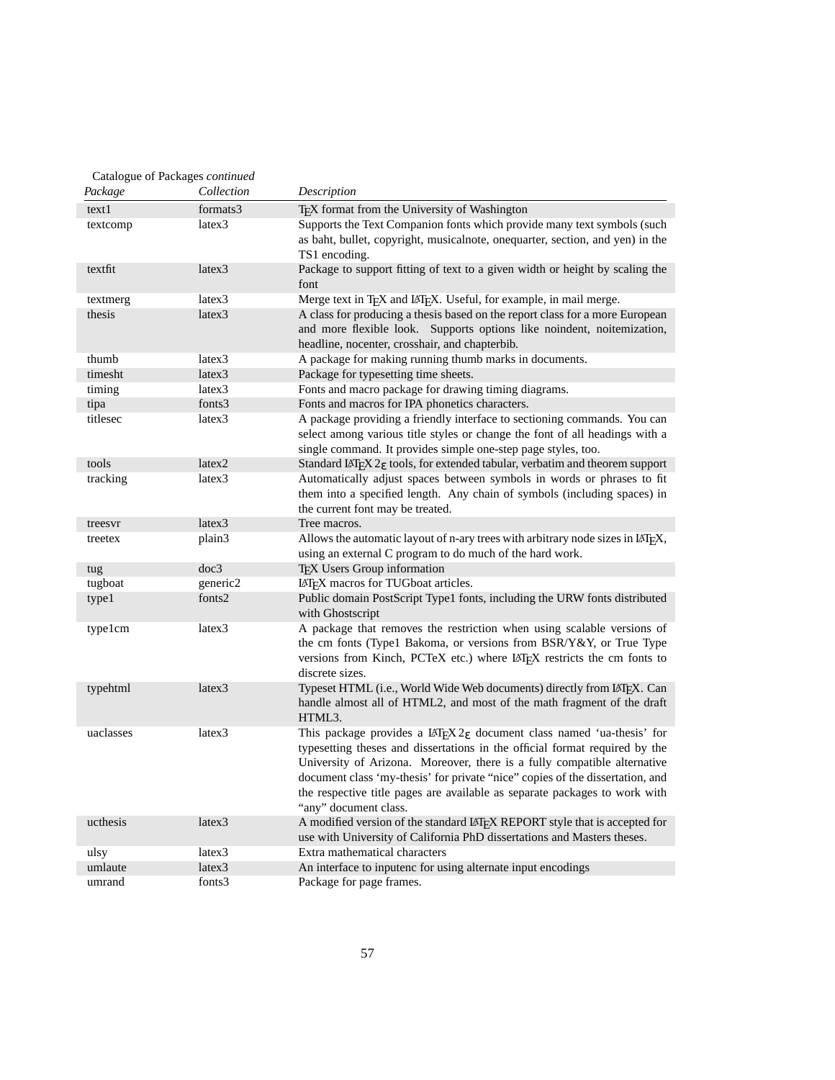| Package   | Collection         | Description                                                                                          |
|-----------|--------------------|------------------------------------------------------------------------------------------------------|
| text1     | formats3           | TFX format from the University of Washington                                                         |
| textcomp  | latex3             | Supports the Text Companion fonts which provide many text symbols (such                              |
|           |                    | as baht, bullet, copyright, musicalnote, onequarter, section, and yen) in the                        |
|           |                    | TS1 encoding.                                                                                        |
| textfit   | latex <sub>3</sub> | Package to support fitting of text to a given width or height by scaling the<br>font                 |
| textmerg  | latex3             | Merge text in T <sub>F</sub> X and LAT <sub>F</sub> X. Useful, for example, in mail merge.           |
| thesis    | latex3             | A class for producing a thesis based on the report class for a more European                         |
|           |                    | and more flexible look. Supports options like noindent, noitemization,                               |
|           |                    | headline, nocenter, crosshair, and chapterbib.                                                       |
| thumb     | latex3             | A package for making running thumb marks in documents.                                               |
| timesht   | latex3             | Package for typesetting time sheets.                                                                 |
| timing    | latex3             | Fonts and macro package for drawing timing diagrams.                                                 |
| tipa      | fonts3             | Fonts and macros for IPA phonetics characters.                                                       |
| titlesec  | latex3             | A package providing a friendly interface to sectioning commands. You can                             |
|           |                    | select among various title styles or change the font of all headings with a                          |
|           |                    | single command. It provides simple one-step page styles, too.                                        |
| tools     | latex2             | Standard LAT <sub>F</sub> X $2\varepsilon$ tools, for extended tabular, verbatim and theorem support |
| tracking  | latex3             | Automatically adjust spaces between symbols in words or phrases to fit                               |
|           |                    | them into a specified length. Any chain of symbols (including spaces) in                             |
|           |                    | the current font may be treated.                                                                     |
| treesvr   | lates3             | Tree macros.                                                                                         |
| treetex   | plain3             | Allows the automatic layout of n-ary trees with arbitrary node sizes in LATEX,                       |
|           |                    | using an external C program to do much of the hard work.                                             |
| tug       | doc3               | T <sub>E</sub> X Users Group information                                                             |
| tugboat   | generic2           | IATEX macros for TUGboat articles.                                                                   |
| type1     | fonts2             | Public domain PostScript Type1 fonts, including the URW fonts distributed<br>with Ghostscript        |
| type1cm   | latex3             | A package that removes the restriction when using scalable versions of                               |
|           |                    | the cm fonts (Type1 Bakoma, or versions from BSR/Y&Y, or True Type                                   |
|           |                    | versions from Kinch, PCTeX etc.) where IATEX restricts the cm fonts to                               |
|           |                    | discrete sizes.                                                                                      |
| typehtml  | latex3             | Typeset HTML (i.e., World Wide Web documents) directly from LATEX. Can                               |
|           |                    | handle almost all of HTML2, and most of the math fragment of the draft                               |
|           |                    | HTML3.                                                                                               |
| uaclasses | latex3             | This package provides a $LATEX2_{\epsilon}$ document class named 'ua-thesis' for                     |
|           |                    | typesetting theses and dissertations in the official format required by the                          |
|           |                    | University of Arizona. Moreover, there is a fully compatible alternative                             |
|           |                    | document class 'my-thesis' for private "nice" copies of the dissertation, and                        |
|           |                    | the respective title pages are available as separate packages to work with                           |
| ucthesis  | lates3             | "any" document class.<br>A modified version of the standard IATEX REPORT style that is accepted for  |
|           |                    | use with University of California PhD dissertations and Masters theses.                              |
| ulsy      | latex3             | Extra mathematical characters                                                                        |
| umlaute   | latex3             | An interface to inputenc for using alternate input encodings                                         |
| umrand    | fonts3             | Package for page frames.                                                                             |
|           |                    |                                                                                                      |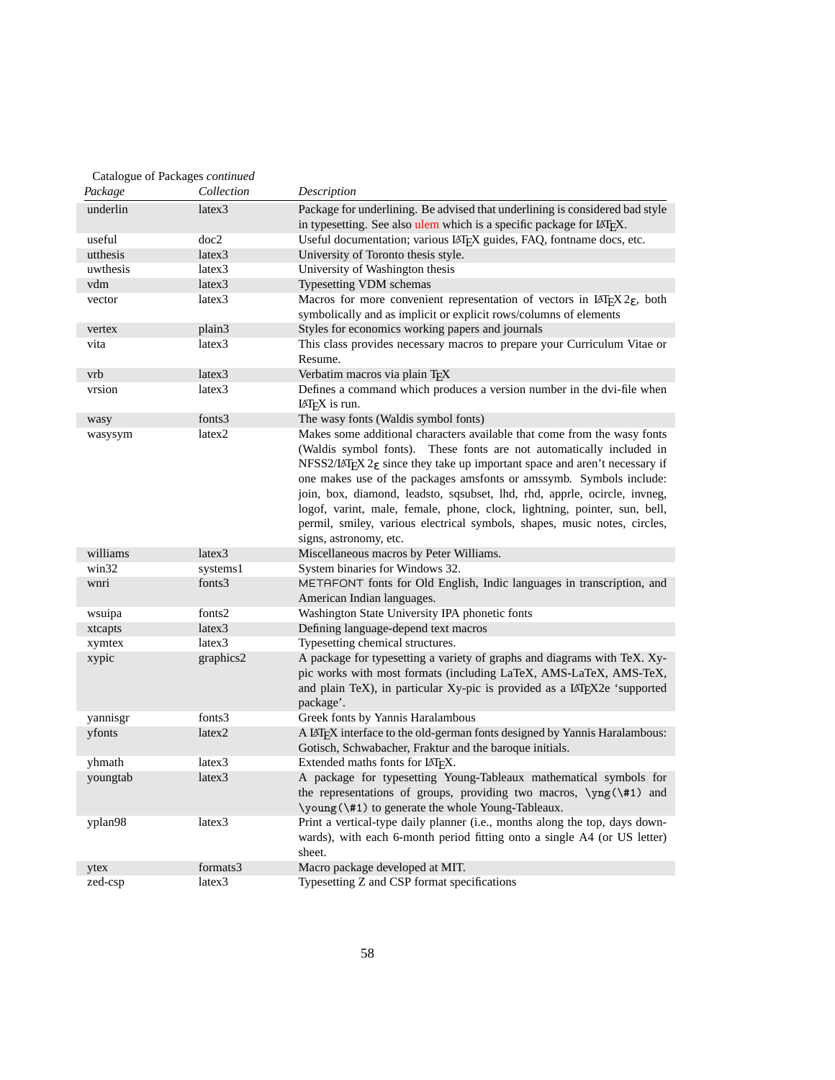|          | Catalogue of Packages continued |                                                                                                                                                                                                                                                                                                                                                                                                                                                                                                                                                                                                                       |  |  |  |
|----------|---------------------------------|-----------------------------------------------------------------------------------------------------------------------------------------------------------------------------------------------------------------------------------------------------------------------------------------------------------------------------------------------------------------------------------------------------------------------------------------------------------------------------------------------------------------------------------------------------------------------------------------------------------------------|--|--|--|
| Package  | Collection                      | Description                                                                                                                                                                                                                                                                                                                                                                                                                                                                                                                                                                                                           |  |  |  |
| underlin | latex3                          | Package for underlining. Be advised that underlining is considered bad style                                                                                                                                                                                                                                                                                                                                                                                                                                                                                                                                          |  |  |  |
|          |                                 | in typesetting. See also ulem which is a specific package for IATEX.                                                                                                                                                                                                                                                                                                                                                                                                                                                                                                                                                  |  |  |  |
| useful   | doc2                            | Useful documentation; various LATEX guides, FAQ, fontname docs, etc.                                                                                                                                                                                                                                                                                                                                                                                                                                                                                                                                                  |  |  |  |
| utthesis | latex3                          | University of Toronto thesis style.                                                                                                                                                                                                                                                                                                                                                                                                                                                                                                                                                                                   |  |  |  |
| uwthesis | latex3                          | University of Washington thesis                                                                                                                                                                                                                                                                                                                                                                                                                                                                                                                                                                                       |  |  |  |
| vdm      | latex3                          | Typesetting VDM schemas                                                                                                                                                                                                                                                                                                                                                                                                                                                                                                                                                                                               |  |  |  |
| vector   | latex3                          | Macros for more convenient representation of vectors in $LATEX2\epsilon$ , both<br>symbolically and as implicit or explicit rows/columns of elements                                                                                                                                                                                                                                                                                                                                                                                                                                                                  |  |  |  |
| vertex   | plain3                          | Styles for economics working papers and journals                                                                                                                                                                                                                                                                                                                                                                                                                                                                                                                                                                      |  |  |  |
| vita     | latex3                          | This class provides necessary macros to prepare your Curriculum Vitae or<br>Resume.                                                                                                                                                                                                                                                                                                                                                                                                                                                                                                                                   |  |  |  |
| yrb      | latex3                          | Verbatim macros via plain TFX                                                                                                                                                                                                                                                                                                                                                                                                                                                                                                                                                                                         |  |  |  |
| vrsion   | latex3                          | Defines a command which produces a version number in the dvi-file when<br>IATEX is run.                                                                                                                                                                                                                                                                                                                                                                                                                                                                                                                               |  |  |  |
| wasy     | fonts3                          | The wasy fonts (Waldis symbol fonts)                                                                                                                                                                                                                                                                                                                                                                                                                                                                                                                                                                                  |  |  |  |
| wasysym  | latex2                          | Makes some additional characters available that come from the wasy fonts<br>(Waldis symbol fonts). These fonts are not automatically included in<br>NFSS2/LAT <sub>F</sub> X 2 <sub><math>\varepsilon</math></sub> since they take up important space and aren't necessary if<br>one makes use of the packages amsfonts or amssymb. Symbols include:<br>join, box, diamond, leadsto, sqsubset, lhd, rhd, apprle, ocircle, invneg,<br>logof, varint, male, female, phone, clock, lightning, pointer, sun, bell,<br>permil, smiley, various electrical symbols, shapes, music notes, circles,<br>signs, astronomy, etc. |  |  |  |
| williams | latex3                          | Miscellaneous macros by Peter Williams.                                                                                                                                                                                                                                                                                                                                                                                                                                                                                                                                                                               |  |  |  |
| win32    | systems1                        | System binaries for Windows 32.                                                                                                                                                                                                                                                                                                                                                                                                                                                                                                                                                                                       |  |  |  |
| wnri     | fonts3                          | METAFONT fonts for Old English, Indic languages in transcription, and<br>American Indian languages.                                                                                                                                                                                                                                                                                                                                                                                                                                                                                                                   |  |  |  |
| wsuipa   | fonts2                          | Washington State University IPA phonetic fonts                                                                                                                                                                                                                                                                                                                                                                                                                                                                                                                                                                        |  |  |  |
| xtcapts  | latex3                          | Defining language-depend text macros                                                                                                                                                                                                                                                                                                                                                                                                                                                                                                                                                                                  |  |  |  |
| xymtex   | latex3                          | Typesetting chemical structures.                                                                                                                                                                                                                                                                                                                                                                                                                                                                                                                                                                                      |  |  |  |
| xypic    | graphics2                       | A package for typesetting a variety of graphs and diagrams with TeX. Xy-<br>pic works with most formats (including LaTeX, AMS-LaTeX, AMS-TeX,<br>and plain TeX), in particular Xy-pic is provided as a IATEX2e 'supported<br>package'.                                                                                                                                                                                                                                                                                                                                                                                |  |  |  |
| yannisgr | fonts3                          | Greek fonts by Yannis Haralambous                                                                                                                                                                                                                                                                                                                                                                                                                                                                                                                                                                                     |  |  |  |
| yfonts   | latex2                          | A LATEX interface to the old-german fonts designed by Yannis Haralambous:<br>Gotisch, Schwabacher, Fraktur and the baroque initials.                                                                                                                                                                                                                                                                                                                                                                                                                                                                                  |  |  |  |
| yhmath   | latex <sub>3</sub>              | Extended maths fonts for LAT <sub>E</sub> X.                                                                                                                                                                                                                                                                                                                                                                                                                                                                                                                                                                          |  |  |  |
| youngtab | latex3                          | A package for typesetting Young-Tableaux mathematical symbols for<br>the representations of groups, providing two macros, \yng(\#1) and<br>\young(\#1) to generate the whole Young-Tableaux.                                                                                                                                                                                                                                                                                                                                                                                                                          |  |  |  |
| yplan98  | latex3                          | Print a vertical-type daily planner (i.e., months along the top, days down-<br>wards), with each 6-month period fitting onto a single A4 (or US letter)<br>sheet.                                                                                                                                                                                                                                                                                                                                                                                                                                                     |  |  |  |
| ytex     | formats3                        | Macro package developed at MIT.                                                                                                                                                                                                                                                                                                                                                                                                                                                                                                                                                                                       |  |  |  |
| zed-csp  | latex3                          | Typesetting Z and CSP format specifications                                                                                                                                                                                                                                                                                                                                                                                                                                                                                                                                                                           |  |  |  |